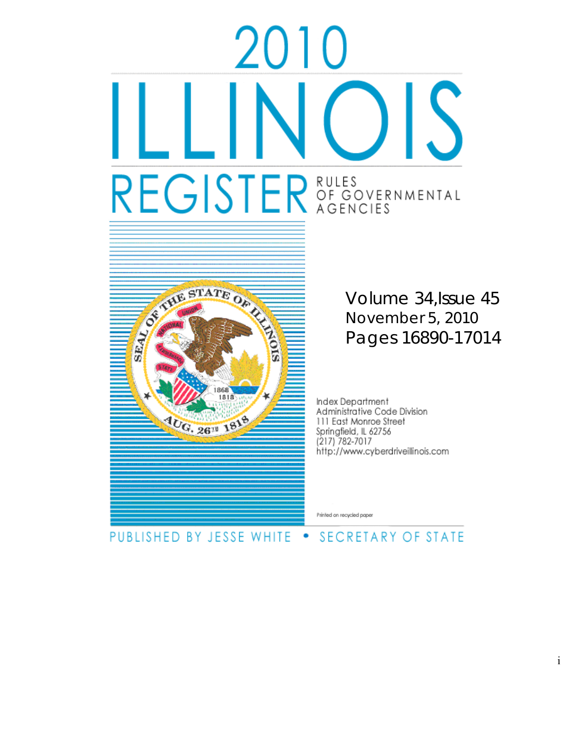# UIC IS REGISTER OF GOVERNMENTAL



Volume 34,Issue 45 November 5, 2010 Pages 16890-17014

Index Department<br>Administrative Code Division 111 East Monroe Street Springfield, IL 62756 (217) 782-7017 http://www.cyberdriveillinois.com

Printed on recycled paper

# PUBLISHED BY JESSE WHITE . SECRETARY OF STATE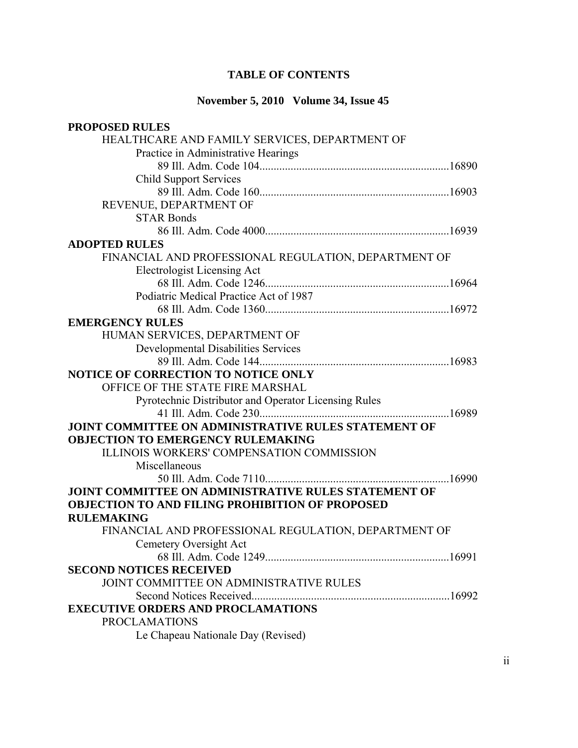# **TABLE OF CONTENTS**

# **November 5, 2010 Volume 34, Issue 45**

| <b>PROPOSED RULES</b>                                  |
|--------------------------------------------------------|
| HEALTHCARE AND FAMILY SERVICES, DEPARTMENT OF          |
| Practice in Administrative Hearings                    |
|                                                        |
| <b>Child Support Services</b>                          |
|                                                        |
| REVENUE, DEPARTMENT OF                                 |
| <b>STAR Bonds</b>                                      |
|                                                        |
| <b>ADOPTED RULES</b>                                   |
| FINANCIAL AND PROFESSIONAL REGULATION, DEPARTMENT OF   |
| <b>Electrologist Licensing Act</b>                     |
|                                                        |
| Podiatric Medical Practice Act of 1987                 |
|                                                        |
| <b>EMERGENCY RULES</b>                                 |
| HUMAN SERVICES, DEPARTMENT OF                          |
| <b>Developmental Disabilities Services</b>             |
|                                                        |
| <b>NOTICE OF CORRECTION TO NOTICE ONLY</b>             |
| OFFICE OF THE STATE FIRE MARSHAL                       |
| Pyrotechnic Distributor and Operator Licensing Rules   |
|                                                        |
| JOINT COMMITTEE ON ADMINISTRATIVE RULES STATEMENT OF   |
| <b>OBJECTION TO EMERGENCY RULEMAKING</b>               |
| <b>ILLINOIS WORKERS' COMPENSATION COMMISSION</b>       |
| Miscellaneous                                          |
|                                                        |
| JOINT COMMITTEE ON ADMINISTRATIVE RULES STATEMENT OF   |
| <b>OBJECTION TO AND FILING PROHIBITION OF PROPOSED</b> |
| <b>RULEMAKING</b>                                      |
| FINANCIAL AND PROFESSIONAL REGULATION, DEPARTMENT OF   |
| Cemetery Oversight Act                                 |
|                                                        |
| <b>SECOND NOTICES RECEIVED</b>                         |
| JOINT COMMITTEE ON ADMINISTRATIVE RULES                |
|                                                        |
| <b>EXECUTIVE ORDERS AND PROCLAMATIONS</b>              |
| <b>PROCLAMATIONS</b>                                   |
| Le Chapeau Nationale Day (Revised)                     |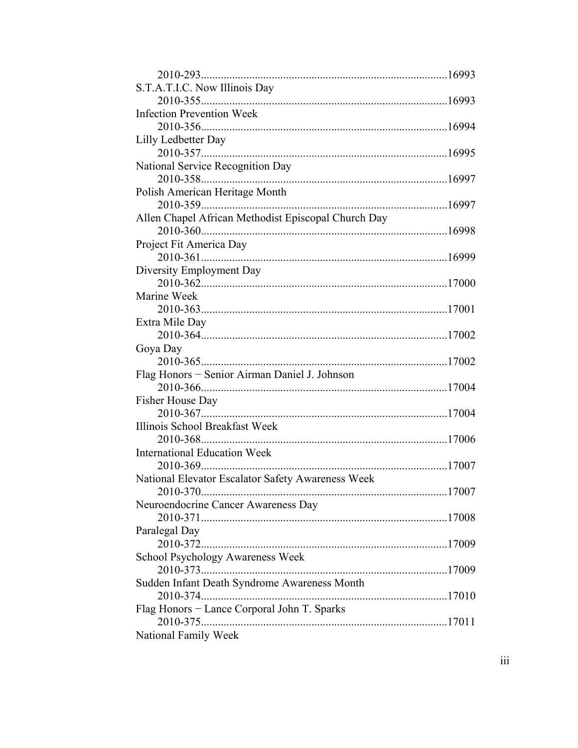| S.T.A.T.I.C. Now Illinois Day                       |  |
|-----------------------------------------------------|--|
|                                                     |  |
| <b>Infection Prevention Week</b>                    |  |
|                                                     |  |
| Lilly Ledbetter Day                                 |  |
|                                                     |  |
| National Service Recognition Day                    |  |
|                                                     |  |
| Polish American Heritage Month                      |  |
|                                                     |  |
| Allen Chapel African Methodist Episcopal Church Day |  |
|                                                     |  |
| Project Fit America Day                             |  |
|                                                     |  |
| Diversity Employment Day                            |  |
|                                                     |  |
| Marine Week                                         |  |
|                                                     |  |
| Extra Mile Day                                      |  |
|                                                     |  |
| Goya Day                                            |  |
|                                                     |  |
| Flag Honors - Senior Airman Daniel J. Johnson       |  |
|                                                     |  |
| Fisher House Day                                    |  |
|                                                     |  |
| Illinois School Breakfast Week                      |  |
|                                                     |  |
| <b>International Education Week</b>                 |  |
|                                                     |  |
| National Elevator Escalator Safety Awareness Week   |  |
| 2010-370                                            |  |
| Neuroendocrine Cancer Awareness Day                 |  |
|                                                     |  |
| Paralegal Day                                       |  |
|                                                     |  |
| School Psychology Awareness Week                    |  |
|                                                     |  |
| Sudden Infant Death Syndrome Awareness Month        |  |
|                                                     |  |
| Flag Honors - Lance Corporal John T. Sparks         |  |
| $2010 - 375$                                        |  |
| National Family Week                                |  |
|                                                     |  |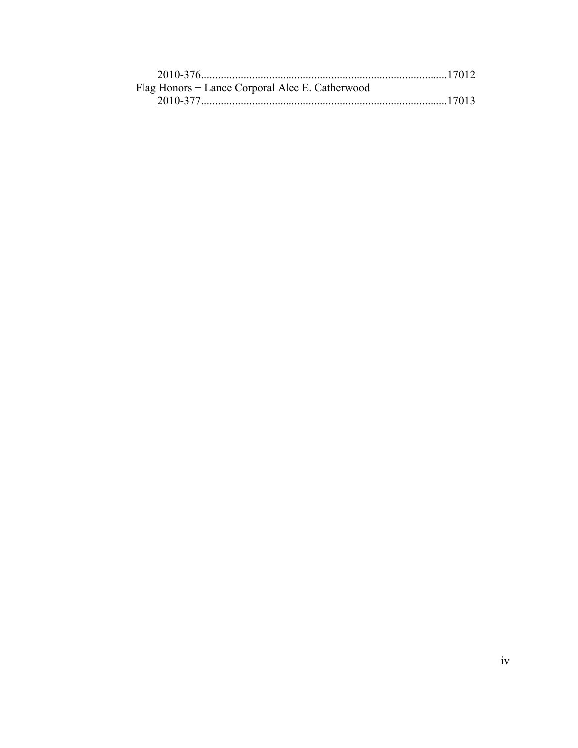| Flag Honors – Lance Corporal Alec E. Catherwood |  |
|-------------------------------------------------|--|
|                                                 |  |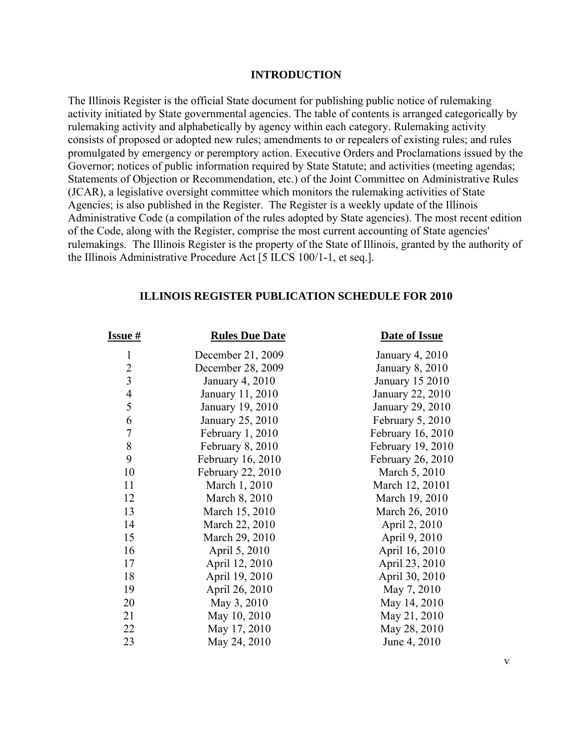#### **INTRODUCTION**

The Illinois Register is the official State document for publishing public notice of rulemaking activity initiated by State governmental agencies. The table of contents is arranged categorically by rulemaking activity and alphabetically by agency within each category. Rulemaking activity consists of proposed or adopted new rules; amendments to or repealers of existing rules; and rules promulgated by emergency or peremptory action. Executive Orders and Proclamations issued by the Governor; notices of public information required by State Statute; and activities (meeting agendas; Statements of Objection or Recommendation, etc.) of the Joint Committee on Administrative Rules (JCAR), a legislative oversight committee which monitors the rulemaking activities of State Agencies; is also published in the Register. The Register is a weekly update of the Illinois Administrative Code (a compilation of the rules adopted by State agencies). The most recent edition of the Code, along with the Register, comprise the most current accounting of State agencies' rulemakings. The Illinois Register is the property of the State of Illinois, granted by the authority of the Illinois Administrative Procedure Act [5 ILCS 100/1-1, et seq.].

# **ILLINOIS REGISTER PUBLICATION SCHEDULE FOR 2010**

| <u>Issue #</u>          | <b>Rules Due Date</b> | <b>Date of Issue</b>   |
|-------------------------|-----------------------|------------------------|
| $\mathbf{1}$            | December 21, 2009     | <b>January 4, 2010</b> |
| $\overline{c}$          | December 28, 2009     | January 8, 2010        |
| $\overline{\mathbf{3}}$ | January 4, 2010       | <b>January 15 2010</b> |
| $\frac{4}{5}$           | January 11, 2010      | January 22, 2010       |
|                         | January 19, 2010      | January 29, 2010       |
| 6                       | January 25, 2010      | February 5, 2010       |
| $\overline{7}$          | February 1, 2010      | February 16, 2010      |
| $\,$ $\,$               | February 8, 2010      | February 19, 2010      |
| 9                       | February 16, 2010     | February 26, 2010      |
| 10                      | February 22, 2010     | March 5, 2010          |
| 11                      | March 1, 2010         | March 12, 20101        |
| 12                      | March 8, 2010         | March 19, 2010         |
| 13                      | March 15, 2010        | March 26, 2010         |
| 14                      | March 22, 2010        | April 2, 2010          |
| 15                      | March 29, 2010        | April 9, 2010          |
| 16                      | April 5, 2010         | April 16, 2010         |
| 17                      | April 12, 2010        | April 23, 2010         |
| 18                      | April 19, 2010        | April 30, 2010         |
| 19                      | April 26, 2010        | May 7, 2010            |
| 20                      | May 3, 2010           | May 14, 2010           |
| 21                      | May 10, 2010          | May 21, 2010           |
| 22                      | May 17, 2010          | May 28, 2010           |
| 23                      | May 24, 2010          | June 4, 2010           |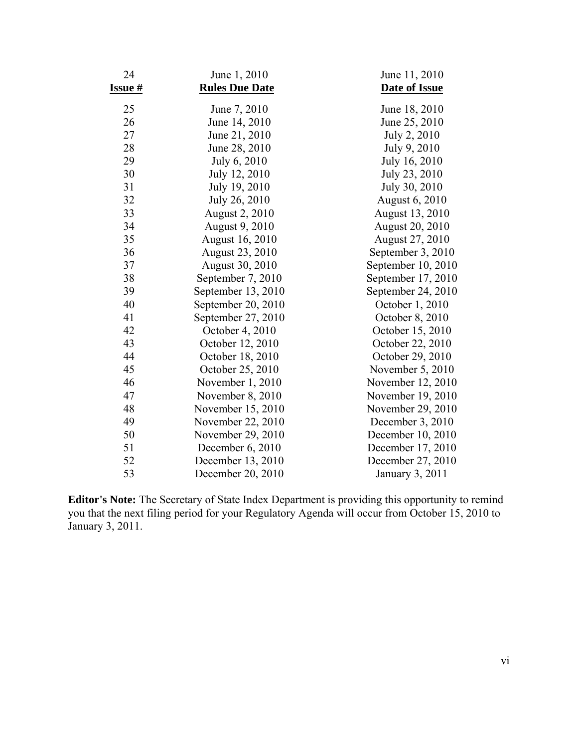| 24      | June 1, 2010          | June 11, 2010          |
|---------|-----------------------|------------------------|
| Issue # | <b>Rules Due Date</b> | Date of Issue          |
| 25      | June 7, 2010          | June 18, 2010          |
| 26      | June 14, 2010         | June 25, 2010          |
| 27      | June 21, 2010         | July 2, 2010           |
| 28      | June 28, 2010         | July 9, 2010           |
| 29      | July 6, 2010          | July 16, 2010          |
| 30      | July 12, 2010         | July 23, 2010          |
| 31      | July 19, 2010         | July 30, 2010          |
| 32      | July 26, 2010         | <b>August 6, 2010</b>  |
| 33      | August 2, 2010        | August 13, 2010        |
| 34      | August 9, 2010        | <b>August 20, 2010</b> |
| 35      | August 16, 2010       | August 27, 2010        |
| 36      | August 23, 2010       | September 3, 2010      |
| 37      | August 30, 2010       | September 10, 2010     |
| 38      | September 7, 2010     | September 17, 2010     |
| 39      | September 13, 2010    | September 24, 2010     |
| 40      | September 20, 2010    | October 1, 2010        |
| 41      | September 27, 2010    | October 8, 2010        |
| 42      | October 4, 2010       | October 15, 2010       |
| 43      | October 12, 2010      | October 22, 2010       |
| 44      | October 18, 2010      | October 29, 2010       |
| 45      | October 25, 2010      | November 5, 2010       |
| 46      | November 1, 2010      | November 12, 2010      |
| 47      | November 8, 2010      | November 19, 2010      |
| 48      | November 15, 2010     | November 29, 2010      |
| 49      | November 22, 2010     | December $3, 2010$     |
| 50      | November 29, 2010     | December 10, 2010      |
| 51      | December 6, 2010      | December 17, 2010      |
| 52      | December 13, 2010     | December 27, 2010      |
| 53      | December 20, 2010     | January 3, 2011        |

**Editor's Note:** The Secretary of State Index Department is providing this opportunity to remind you that the next filing period for your Regulatory Agenda will occur from October 15, 2010 to January 3, 2011.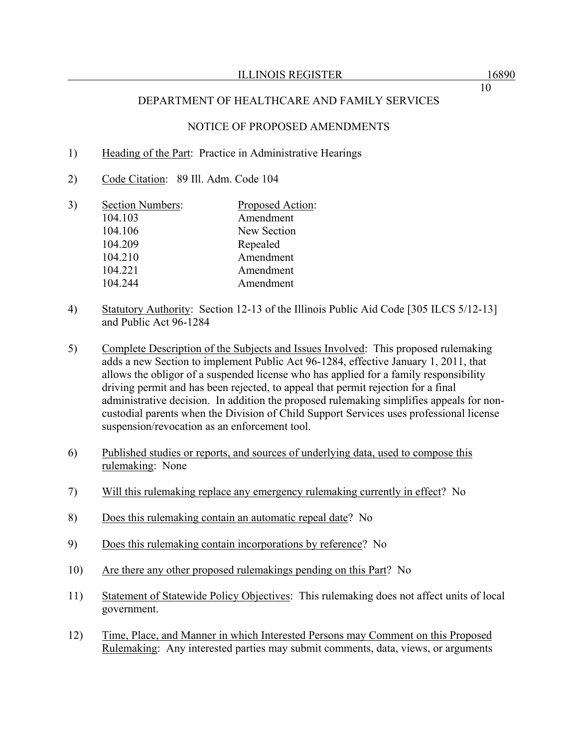#### NOTICE OF PROPOSED AMENDMENTS

- 1) Heading of the Part: Practice in Administrative Hearings
- 2) Code Citation: 89 Ill. Adm. Code 104
- 3) Section Numbers: Proposed Action: 104.103 Amendment 104.106 New Section 104.209 Repealed 104.210 Amendment 104.221 Amendment 104.244 Amendment
- 4) Statutory Authority: Section 12-13 of the Illinois Public Aid Code [305 ILCS 5/12-13] and Public Act 96-1284
- 5) Complete Description of the Subjects and Issues Involved: This proposed rulemaking adds a new Section to implement Public Act 96-1284, effective January 1, 2011, that allows the obligor of a suspended license who has applied for a family responsibility driving permit and has been rejected, to appeal that permit rejection for a final administrative decision. In addition the proposed rulemaking simplifies appeals for noncustodial parents when the Division of Child Support Services uses professional license suspension/revocation as an enforcement tool.
- 6) Published studies or reports, and sources of underlying data, used to compose this rulemaking: None
- 7) Will this rulemaking replace any emergency rulemaking currently in effect? No
- 8) Does this rulemaking contain an automatic repeal date? No
- 9) Does this rulemaking contain incorporations by reference? No
- 10) Are there any other proposed rulemakings pending on this Part? No
- 11) Statement of Statewide Policy Objectives: This rulemaking does not affect units of local government.
- 12) Time, Place, and Manner in which Interested Persons may Comment on this Proposed Rulemaking: Any interested parties may submit comments, data, views, or arguments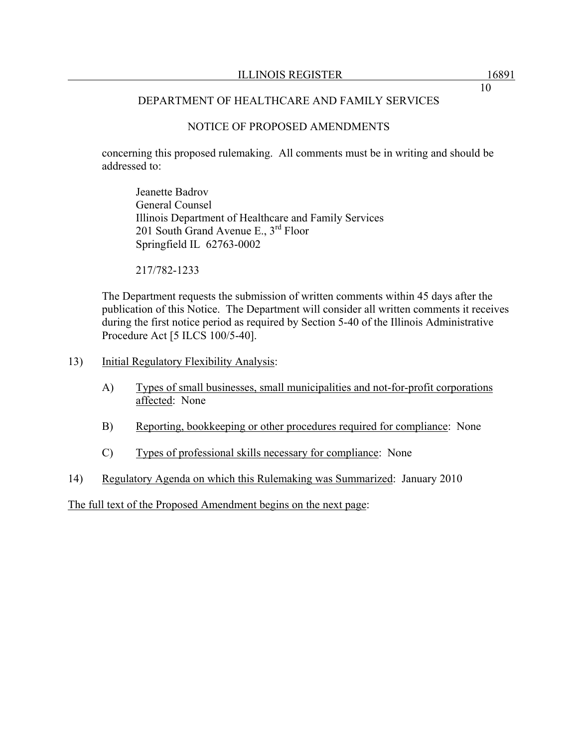# NOTICE OF PROPOSED AMENDMENTS

concerning this proposed rulemaking. All comments must be in writing and should be addressed to:

 Jeanette Badrov General Counsel Illinois Department of Healthcare and Family Services 201 South Grand Avenue E.,  $3^{rd}$  Floor Springfield IL 62763-0002

217/782-1233

The Department requests the submission of written comments within 45 days after the publication of this Notice. The Department will consider all written comments it receives during the first notice period as required by Section 5-40 of the Illinois Administrative Procedure Act [5 ILCS 100/5-40].

- 13) Initial Regulatory Flexibility Analysis:
	- A) Types of small businesses, small municipalities and not-for-profit corporations affected: None
	- B) Reporting, bookkeeping or other procedures required for compliance: None
	- C) Types of professional skills necessary for compliance: None
- 14) Regulatory Agenda on which this Rulemaking was Summarized: January 2010

The full text of the Proposed Amendment begins on the next page: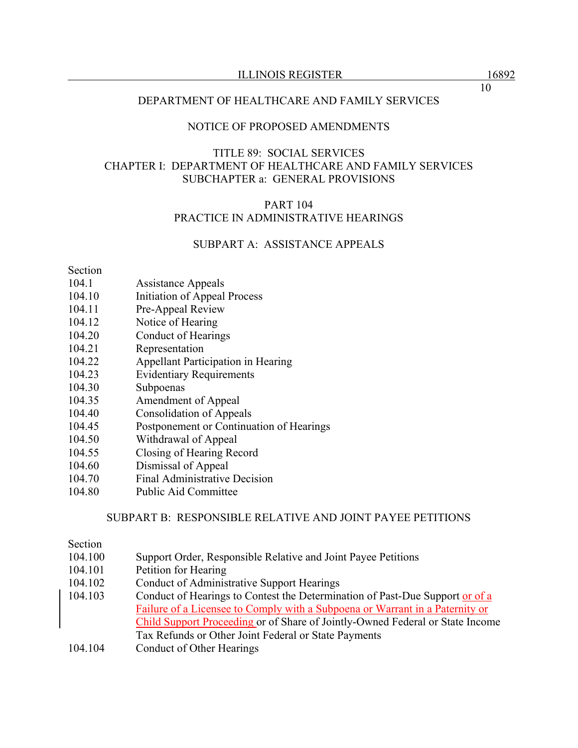## NOTICE OF PROPOSED AMENDMENTS

# TITLE 89: SOCIAL SERVICES CHAPTER I: DEPARTMENT OF HEALTHCARE AND FAMILY SERVICES SUBCHAPTER a: GENERAL PROVISIONS

## PART 104 PRACTICE IN ADMINISTRATIVE HEARINGS

# SUBPART A: ASSISTANCE APPEALS

#### Section

- 104.1 Assistance Appeals
- 104.10 Initiation of Appeal Process
- 104.11 Pre-Appeal Review
- 104.12 Notice of Hearing
- 104.20 Conduct of Hearings
- 104.21 Representation
- 104.22 Appellant Participation in Hearing
- 104.23 Evidentiary Requirements
- 104.30 Subpoenas
- 104.35 Amendment of Appeal
- 104.40 Consolidation of Appeals
- 104.45 Postponement or Continuation of Hearings
- 104.50 Withdrawal of Appeal
- 104.55 Closing of Hearing Record
- 104.60 Dismissal of Appeal
- 104.70 Final Administrative Decision
- 104.80 Public Aid Committee

#### SUBPART B: RESPONSIBLE RELATIVE AND JOINT PAYEE PETITIONS

#### Section

- 104.100 Support Order, Responsible Relative and Joint Payee Petitions
- 104.101 Petition for Hearing
- 104.102 Conduct of Administrative Support Hearings
- 104.103 Conduct of Hearings to Contest the Determination of Past-Due Support or of a Failure of a Licensee to Comply with a Subpoena or Warrant in a Paternity or Child Support Proceeding or of Share of Jointly-Owned Federal or State Income Tax Refunds or Other Joint Federal or State Payments
- 104.104 Conduct of Other Hearings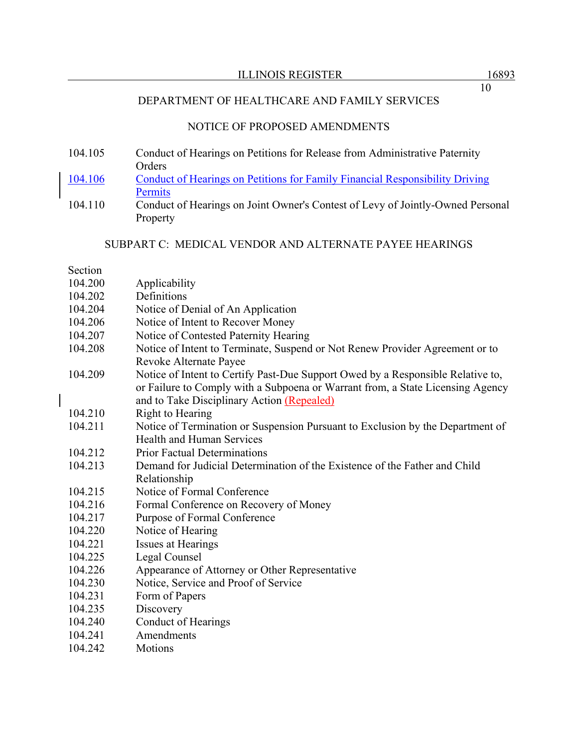# NOTICE OF PROPOSED AMENDMENTS

- 104.105 Conduct of Hearings on Petitions for Release from Administrative Paternity Orders
- 104.106 Conduct of Hearings on Petitions for Family Financial Responsibility Driving **Permits**
- 104.110 Conduct of Hearings on Joint Owner's Contest of Levy of Jointly-Owned Personal Property

#### SUBPART C: MEDICAL VENDOR AND ALTERNATE PAYEE HEARINGS

#### Section

| 104.200 | Applicability                                                                   |
|---------|---------------------------------------------------------------------------------|
| 104.202 | Definitions                                                                     |
| 104.204 | Notice of Denial of An Application                                              |
| 104.206 | Notice of Intent to Recover Money                                               |
| 104.207 | Notice of Contested Paternity Hearing                                           |
| 104.208 | Notice of Intent to Terminate, Suspend or Not Renew Provider Agreement or to    |
|         | Revoke Alternate Payee                                                          |
| 104.209 | Notice of Intent to Certify Past-Due Support Owed by a Responsible Relative to, |
|         | or Failure to Comply with a Subpoena or Warrant from, a State Licensing Agency  |
|         | and to Take Disciplinary Action (Repealed)                                      |
| 104.210 | Right to Hearing                                                                |
| 104.211 | Notice of Termination or Suspension Pursuant to Exclusion by the Department of  |
|         | <b>Health and Human Services</b>                                                |
| 104.212 | <b>Prior Factual Determinations</b>                                             |
| 104.213 | Demand for Judicial Determination of the Existence of the Father and Child      |
|         | Relationship                                                                    |
| 104.215 | Notice of Formal Conference                                                     |
| 104.216 | Formal Conference on Recovery of Money                                          |
| 104.217 | Purpose of Formal Conference                                                    |
| 104.220 | Notice of Hearing                                                               |
| 104.221 | Issues at Hearings                                                              |
| 104.225 | Legal Counsel                                                                   |
| 104.226 | Appearance of Attorney or Other Representative                                  |
| 104.230 | Notice, Service and Proof of Service                                            |
| 104.231 | Form of Papers                                                                  |
| 104.235 | Discovery                                                                       |
| 104.240 | <b>Conduct of Hearings</b>                                                      |
| 104.241 | Amendments                                                                      |
| 104.242 | <b>Motions</b>                                                                  |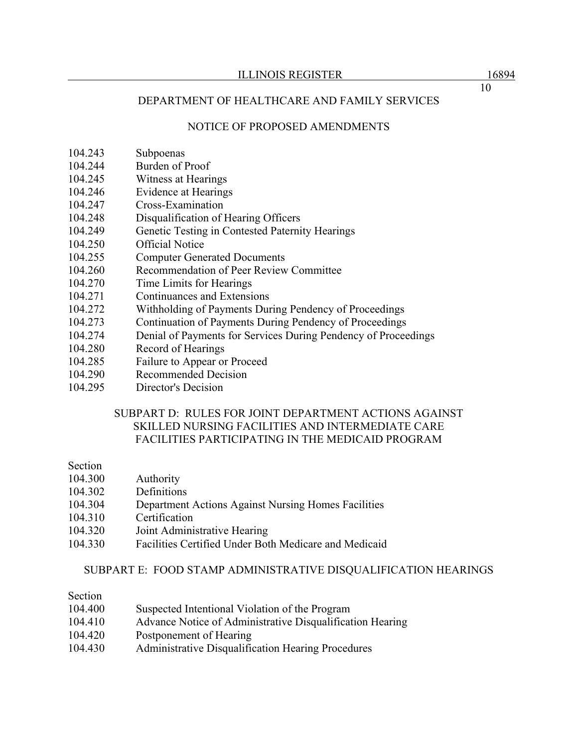# NOTICE OF PROPOSED AMENDMENTS

- 104.243 Subpoenas
- 104.244 Burden of Proof
- 104.245 Witness at Hearings
- 104.246 Evidence at Hearings
- 104.247 Cross-Examination
- 104.248 Disqualification of Hearing Officers
- 104.249 Genetic Testing in Contested Paternity Hearings
- 104.250 Official Notice
- 104.255 Computer Generated Documents
- 104.260 Recommendation of Peer Review Committee
- 104.270 Time Limits for Hearings
- 104.271 Continuances and Extensions
- 104.272 Withholding of Payments During Pendency of Proceedings
- 104.273 Continuation of Payments During Pendency of Proceedings
- 104.274 Denial of Payments for Services During Pendency of Proceedings
- 104.280 Record of Hearings
- 104.285 Failure to Appear or Proceed
- 104.290 Recommended Decision
- 104.295 Director's Decision

# SUBPART D: RULES FOR JOINT DEPARTMENT ACTIONS AGAINST SKILLED NURSING FACILITIES AND INTERMEDIATE CARE FACILITIES PARTICIPATING IN THE MEDICAID PROGRAM

#### Section

- 104.300 Authority
- 104.302 Definitions
- 104.304 Department Actions Against Nursing Homes Facilities
- 104.310 Certification
- 104.320 Joint Administrative Hearing
- 104.330 Facilities Certified Under Both Medicare and Medicaid

#### SUBPART E: FOOD STAMP ADMINISTRATIVE DISQUALIFICATION HEARINGS

- Section
- 104.400 Suspected Intentional Violation of the Program
- 104.410 Advance Notice of Administrative Disqualification Hearing
- 104.420 Postponement of Hearing
- 104.430 Administrative Disqualification Hearing Procedures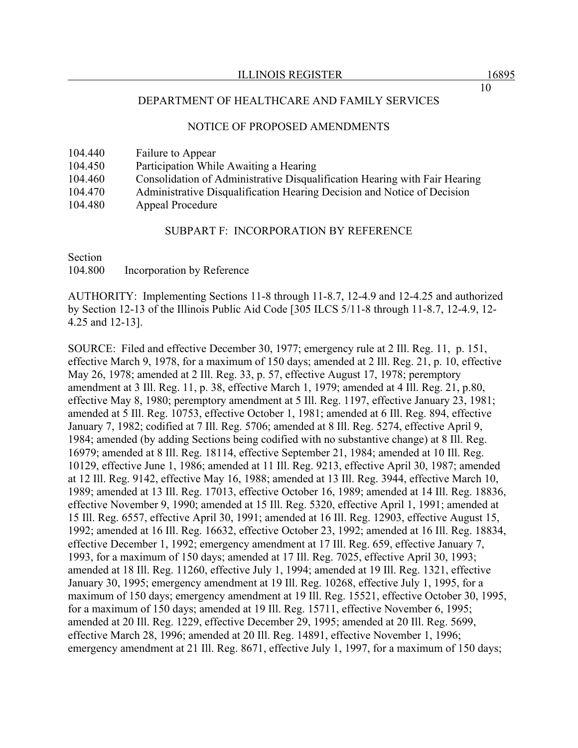#### NOTICE OF PROPOSED AMENDMENTS

| 104.440 | Failure to Appear                                                          |
|---------|----------------------------------------------------------------------------|
| 104.450 | Participation While Awaiting a Hearing                                     |
| 104.460 | Consolidation of Administrative Disqualification Hearing with Fair Hearing |
| 104.470 | Administrative Disqualification Hearing Decision and Notice of Decision    |
| 104.480 | Appeal Procedure                                                           |

#### SUBPART F: INCORPORATION BY REFERENCE

Section 104.800 Incorporation by Reference

AUTHORITY: Implementing Sections 11-8 through 11-8.7, 12-4.9 and 12-4.25 and authorized by Section 12-13 of the Illinois Public Aid Code [305 ILCS 5/11-8 through 11-8.7, 12-4.9, 12- 4.25 and 12-13].

SOURCE: Filed and effective December 30, 1977; emergency rule at 2 Ill. Reg. 11, p. 151, effective March 9, 1978, for a maximum of 150 days; amended at 2 Ill. Reg. 21, p. 10, effective May 26, 1978; amended at 2 Ill. Reg. 33, p. 57, effective August 17, 1978; peremptory amendment at 3 Ill. Reg. 11, p. 38, effective March 1, 1979; amended at 4 Ill. Reg. 21, p.80, effective May 8, 1980; peremptory amendment at 5 Ill. Reg. 1197, effective January 23, 1981; amended at 5 Ill. Reg. 10753, effective October 1, 1981; amended at 6 Ill. Reg. 894, effective January 7, 1982; codified at 7 Ill. Reg. 5706; amended at 8 Ill. Reg. 5274, effective April 9, 1984; amended (by adding Sections being codified with no substantive change) at 8 Ill. Reg. 16979; amended at 8 Ill. Reg. 18114, effective September 21, 1984; amended at 10 Ill. Reg. 10129, effective June 1, 1986; amended at 11 Ill. Reg. 9213, effective April 30, 1987; amended at 12 Ill. Reg. 9142, effective May 16, 1988; amended at 13 Ill. Reg. 3944, effective March 10, 1989; amended at 13 Ill. Reg. 17013, effective October 16, 1989; amended at 14 Ill. Reg. 18836, effective November 9, 1990; amended at 15 Ill. Reg. 5320, effective April 1, 1991; amended at 15 Ill. Reg. 6557, effective April 30, 1991; amended at 16 Ill. Reg. 12903, effective August 15, 1992; amended at 16 Ill. Reg. 16632, effective October 23, 1992; amended at 16 Ill. Reg. 18834, effective December 1, 1992; emergency amendment at 17 Ill. Reg. 659, effective January 7, 1993, for a maximum of 150 days; amended at 17 Ill. Reg. 7025, effective April 30, 1993; amended at 18 Ill. Reg. 11260, effective July 1, 1994; amended at 19 Ill. Reg. 1321, effective January 30, 1995; emergency amendment at 19 Ill. Reg. 10268, effective July 1, 1995, for a maximum of 150 days; emergency amendment at 19 Ill. Reg. 15521, effective October 30, 1995, for a maximum of 150 days; amended at 19 Ill. Reg. 15711, effective November 6, 1995; amended at 20 Ill. Reg. 1229, effective December 29, 1995; amended at 20 Ill. Reg. 5699, effective March 28, 1996; amended at 20 Ill. Reg. 14891, effective November 1, 1996; emergency amendment at 21 Ill. Reg. 8671, effective July 1, 1997, for a maximum of 150 days;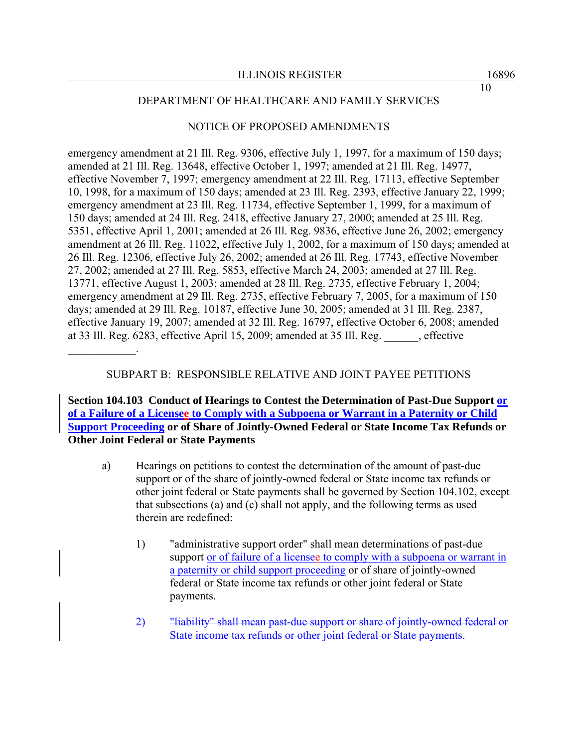#### NOTICE OF PROPOSED AMENDMENTS

emergency amendment at 21 Ill. Reg. 9306, effective July 1, 1997, for a maximum of 150 days; amended at 21 Ill. Reg. 13648, effective October 1, 1997; amended at 21 Ill. Reg. 14977, effective November 7, 1997; emergency amendment at 22 Ill. Reg. 17113, effective September 10, 1998, for a maximum of 150 days; amended at 23 Ill. Reg. 2393, effective January 22, 1999; emergency amendment at 23 Ill. Reg. 11734, effective September 1, 1999, for a maximum of 150 days; amended at 24 Ill. Reg. 2418, effective January 27, 2000; amended at 25 Ill. Reg. 5351, effective April 1, 2001; amended at 26 Ill. Reg. 9836, effective June 26, 2002; emergency amendment at 26 Ill. Reg. 11022, effective July 1, 2002, for a maximum of 150 days; amended at 26 Ill. Reg. 12306, effective July 26, 2002; amended at 26 Ill. Reg. 17743, effective November 27, 2002; amended at 27 Ill. Reg. 5853, effective March 24, 2003; amended at 27 Ill. Reg. 13771, effective August 1, 2003; amended at 28 Ill. Reg. 2735, effective February 1, 2004; emergency amendment at 29 Ill. Reg. 2735, effective February 7, 2005, for a maximum of 150 days; amended at 29 Ill. Reg. 10187, effective June 30, 2005; amended at 31 Ill. Reg. 2387, effective January 19, 2007; amended at 32 Ill. Reg. 16797, effective October 6, 2008; amended at 33 Ill. Reg. 6283, effective April 15, 2009; amended at 35 Ill. Reg. \_\_\_\_\_\_, effective

#### SUBPART B: RESPONSIBLE RELATIVE AND JOINT PAYEE PETITIONS

 $\frac{1}{2}$ 

**Section 104.103 Conduct of Hearings to Contest the Determination of Past-Due Support or of a Failure of a Licensee to Comply with a Subpoena or Warrant in a Paternity or Child Support Proceeding or of Share of Jointly-Owned Federal or State Income Tax Refunds or Other Joint Federal or State Payments**

- a) Hearings on petitions to contest the determination of the amount of past-due support or of the share of jointly-owned federal or State income tax refunds or other joint federal or State payments shall be governed by Section 104.102, except that subsections (a) and (c) shall not apply, and the following terms as used therein are redefined:
	- 1) "administrative support order" shall mean determinations of past-due support or of failure of a licensee to comply with a subpoena or warrant in a paternity or child support proceeding or of share of jointly-owned federal or State income tax refunds or other joint federal or State payments.
	- 2) "liability" shall mean past-due support or share of jointly-owned federal or State income tax refunds or other joint federal or State payments.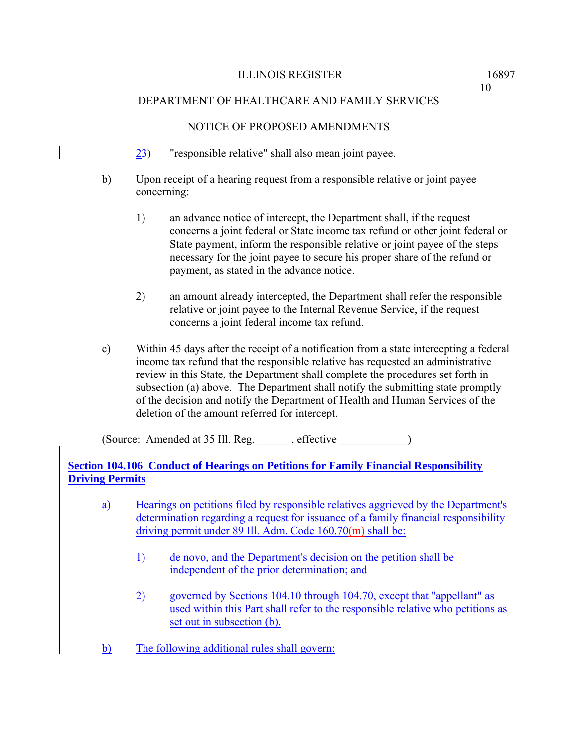# NOTICE OF PROPOSED AMENDMENTS

- 23) "responsible relative" shall also mean joint payee.
- b) Upon receipt of a hearing request from a responsible relative or joint payee concerning:
	- 1) an advance notice of intercept, the Department shall, if the request concerns a joint federal or State income tax refund or other joint federal or State payment, inform the responsible relative or joint payee of the steps necessary for the joint payee to secure his proper share of the refund or payment, as stated in the advance notice.
	- 2) an amount already intercepted, the Department shall refer the responsible relative or joint payee to the Internal Revenue Service, if the request concerns a joint federal income tax refund.
- c) Within 45 days after the receipt of a notification from a state intercepting a federal income tax refund that the responsible relative has requested an administrative review in this State, the Department shall complete the procedures set forth in subsection (a) above. The Department shall notify the submitting state promptly of the decision and notify the Department of Health and Human Services of the deletion of the amount referred for intercept.

(Source: Amended at 35 Ill. Reg. \_\_\_\_\_\_, effective \_\_\_\_\_\_\_\_\_\_\_\_)

**Section 104.106 Conduct of Hearings on Petitions for Family Financial Responsibility Driving Permits**

- a) Hearings on petitions filed by responsible relatives aggrieved by the Department's determination regarding a request for issuance of a family financial responsibility driving permit under 89 Ill. Adm. Code 160.70(m) shall be:
	- 1) de novo, and the Department's decision on the petition shall be independent of the prior determination; and
	- 2) governed by Sections 104.10 through 104.70, except that "appellant" as used within this Part shall refer to the responsible relative who petitions as set out in subsection (b).
- b) The following additional rules shall govern: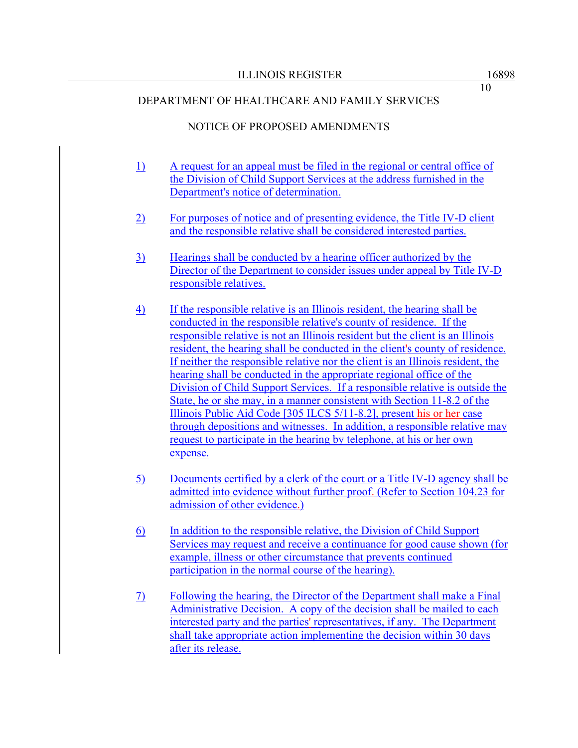# NOTICE OF PROPOSED AMENDMENTS

- 1) A request for an appeal must be filed in the regional or central office of the Division of Child Support Services at the address furnished in the Department's notice of determination.
- 2) For purposes of notice and of presenting evidence, the Title IV-D client and the responsible relative shall be considered interested parties.
- 3) Hearings shall be conducted by a hearing officer authorized by the Director of the Department to consider issues under appeal by Title IV-D responsible relatives.
- 4) If the responsible relative is an Illinois resident, the hearing shall be conducted in the responsible relative's county of residence. If the responsible relative is not an Illinois resident but the client is an Illinois resident, the hearing shall be conducted in the client's county of residence. If neither the responsible relative nor the client is an Illinois resident, the hearing shall be conducted in the appropriate regional office of the Division of Child Support Services. If a responsible relative is outside the State, he or she may, in a manner consistent with Section 11-8.2 of the Illinois Public Aid Code [305 ILCS 5/11-8.2], present his or her case through depositions and witnesses. In addition, a responsible relative may request to participate in the hearing by telephone, at his or her own expense.
- 5) Documents certified by a clerk of the court or a Title IV-D agency shall be admitted into evidence without further proof. (Refer to Section 104.23 for admission of other evidence.)
- 6) In addition to the responsible relative, the Division of Child Support Services may request and receive a continuance for good cause shown (for example, illness or other circumstance that prevents continued participation in the normal course of the hearing).
- 7) Following the hearing, the Director of the Department shall make a Final Administrative Decision. A copy of the decision shall be mailed to each interested party and the parties' representatives, if any. The Department shall take appropriate action implementing the decision within 30 days after its release.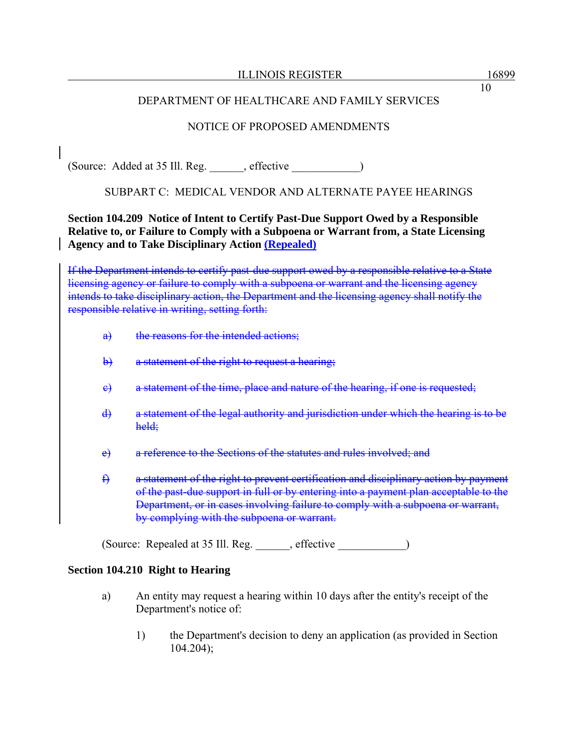# NOTICE OF PROPOSED AMENDMENTS

(Source: Added at 35 Ill. Reg. effective )

# SUBPART C: MEDICAL VENDOR AND ALTERNATE PAYEE HEARINGS

# **Section 104.209 Notice of Intent to Certify Past-Due Support Owed by a Responsible Relative to, or Failure to Comply with a Subpoena or Warrant from, a State Licensing Agency and to Take Disciplinary Action (Repealed)**

If the Department intends to certify past-due support owed by a responsible relative to a State licensing agency or failure to comply with a subpoena or warrant and the licensing agency intends to take disciplinary action, the Department and the licensing agency shall notify the responsible relative in writing, setting forth:

- a) the reasons for the intended actions;
- b) a statement of the right to request a hearing;
- e) a statement of the time, place and nature of the hearing, if one is requested;
- d) a statement of the legal authority and jurisdiction under which the hearing is to be held;
- e) a reference to the Sections of the statutes and rules involved; and
- f) a statement of the right to prevent certification and disciplinary action by payment of the past-due support in full or by entering into a payment plan acceptable to the Department, or in cases involving failure to comply with a subpoena or warrant, by complying with the subpoena or warrant.

(Source: Repealed at 35 Ill. Reg. \_\_\_\_\_\_, effective \_\_\_\_\_\_\_\_\_\_\_\_)

# **Section 104.210 Right to Hearing**

- a) An entity may request a hearing within 10 days after the entity's receipt of the Department's notice of:
	- 1) the Department's decision to deny an application (as provided in Section 104.204);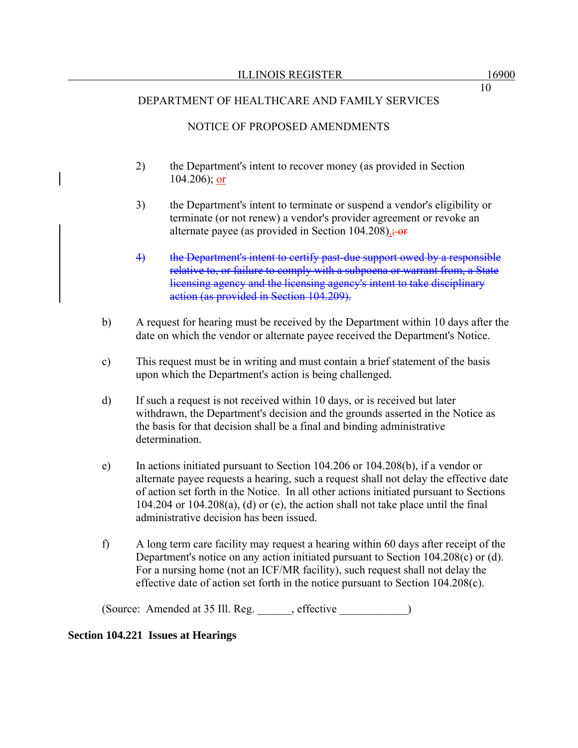# NOTICE OF PROPOSED AMENDMENTS

- 2) the Department's intent to recover money (as provided in Section 104.206); or
- 3) the Department's intent to terminate or suspend a vendor's eligibility or terminate (or not renew) a vendor's provider agreement or revoke an alternate payee (as provided in Section 104.208).; or
- 4) the Department's intent to certify past-due support owed by a responsible relative to, or failure to comply with a subpoena or warrant from, a State licensing agency and the licensing agency's intent to take disciplinary action (as provided in Section 104.209).
- b) A request for hearing must be received by the Department within 10 days after the date on which the vendor or alternate payee received the Department's Notice.
- c) This request must be in writing and must contain a brief statement of the basis upon which the Department's action is being challenged.
- d) If such a request is not received within 10 days, or is received but later withdrawn, the Department's decision and the grounds asserted in the Notice as the basis for that decision shall be a final and binding administrative determination.
- e) In actions initiated pursuant to Section 104.206 or 104.208(b), if a vendor or alternate payee requests a hearing, such a request shall not delay the effective date of action set forth in the Notice. In all other actions initiated pursuant to Sections  $104.204$  or  $104.208(a)$ , (d) or (e), the action shall not take place until the final administrative decision has been issued.
- f) A long term care facility may request a hearing within 60 days after receipt of the Department's notice on any action initiated pursuant to Section 104.208(c) or (d). For a nursing home (not an ICF/MR facility), such request shall not delay the effective date of action set forth in the notice pursuant to Section 104.208(c).

(Source: Amended at 35 Ill. Reg. \_\_\_\_\_\_, effective \_\_\_\_\_\_\_\_\_\_\_\_)

#### **Section 104.221 Issues at Hearings**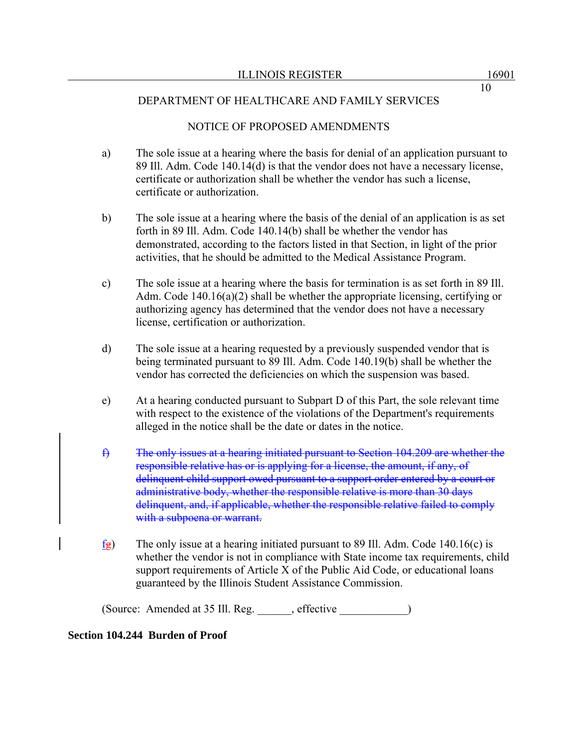# NOTICE OF PROPOSED AMENDMENTS

- a) The sole issue at a hearing where the basis for denial of an application pursuant to 89 Ill. Adm. Code 140.14(d) is that the vendor does not have a necessary license, certificate or authorization shall be whether the vendor has such a license, certificate or authorization.
- b) The sole issue at a hearing where the basis of the denial of an application is as set forth in 89 Ill. Adm. Code 140.14(b) shall be whether the vendor has demonstrated, according to the factors listed in that Section, in light of the prior activities, that he should be admitted to the Medical Assistance Program.
- c) The sole issue at a hearing where the basis for termination is as set forth in 89 Ill. Adm. Code 140.16(a)(2) shall be whether the appropriate licensing, certifying or authorizing agency has determined that the vendor does not have a necessary license, certification or authorization.
- d) The sole issue at a hearing requested by a previously suspended vendor that is being terminated pursuant to 89 Ill. Adm. Code 140.19(b) shall be whether the vendor has corrected the deficiencies on which the suspension was based.
- e) At a hearing conducted pursuant to Subpart D of this Part, the sole relevant time with respect to the existence of the violations of the Department's requirements alleged in the notice shall be the date or dates in the notice.
- f) The only issues at a hearing initiated pursuant to Section 104.209 are whether the responsible relative has or is applying for a license, the amount, if any, of delinquent child support owed pursuant to a support order entered by a court or administrative body, whether the responsible relative is more than 30 days delinquent, and, if applicable, whether the responsible relative failed to comply with a subpoena or warrant.
- $f_{\mathbf{g}}$ ) The only issue at a hearing initiated pursuant to 89 Ill. Adm. Code 140.16(c) is whether the vendor is not in compliance with State income tax requirements, child support requirements of Article X of the Public Aid Code, or educational loans guaranteed by the Illinois Student Assistance Commission.

(Source: Amended at 35 Ill. Reg. effective )

#### **Section 104.244 Burden of Proof**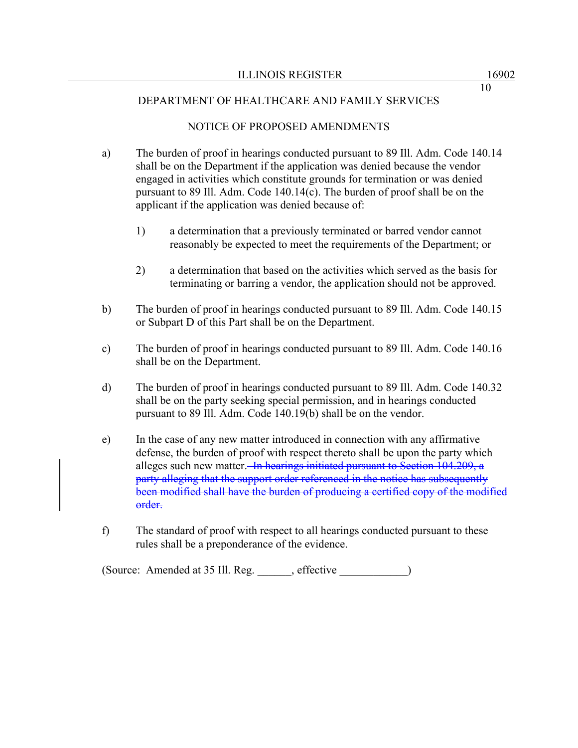## NOTICE OF PROPOSED AMENDMENTS

- a) The burden of proof in hearings conducted pursuant to 89 Ill. Adm. Code 140.14 shall be on the Department if the application was denied because the vendor engaged in activities which constitute grounds for termination or was denied pursuant to 89 Ill. Adm. Code 140.14(c). The burden of proof shall be on the applicant if the application was denied because of:
	- 1) a determination that a previously terminated or barred vendor cannot reasonably be expected to meet the requirements of the Department; or
	- 2) a determination that based on the activities which served as the basis for terminating or barring a vendor, the application should not be approved.
- b) The burden of proof in hearings conducted pursuant to 89 Ill. Adm. Code 140.15 or Subpart D of this Part shall be on the Department.
- c) The burden of proof in hearings conducted pursuant to 89 Ill. Adm. Code 140.16 shall be on the Department.
- d) The burden of proof in hearings conducted pursuant to 89 Ill. Adm. Code 140.32 shall be on the party seeking special permission, and in hearings conducted pursuant to 89 Ill. Adm. Code 140.19(b) shall be on the vendor.
- e) In the case of any new matter introduced in connection with any affirmative defense, the burden of proof with respect thereto shall be upon the party which alleges such new matter. In hearings initiated pursuant to Section 104.209, a party alleging that the support order referenced in the notice has subsequently been modified shall have the burden of producing a certified copy of the modified order.
- f) The standard of proof with respect to all hearings conducted pursuant to these rules shall be a preponderance of the evidence.

(Source: Amended at 35 Ill. Reg. \_\_\_\_\_\_, effective \_\_\_\_\_\_\_\_\_\_\_\_)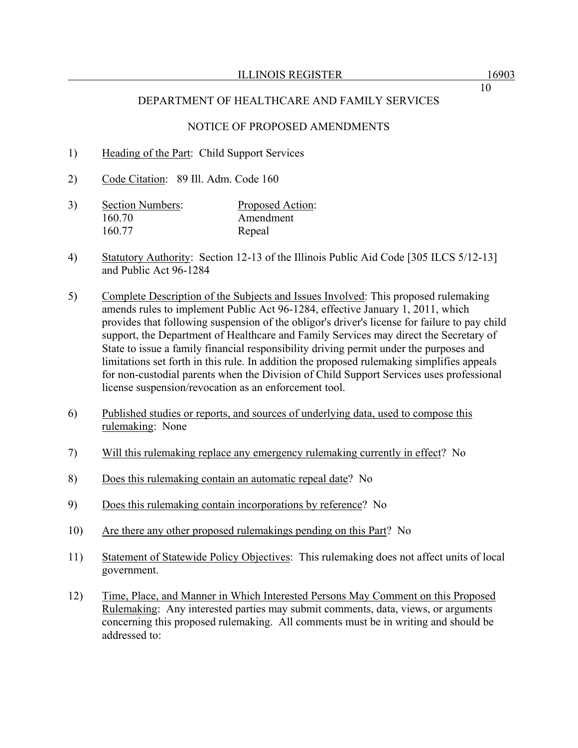## NOTICE OF PROPOSED AMENDMENTS

- 1) Heading of the Part: Child Support Services
- 2) Code Citation: 89 Ill. Adm. Code 160
- 3) Section Numbers: Proposed Action: 160.70 Amendment 160.77 Repeal
- 4) Statutory Authority: Section 12-13 of the Illinois Public Aid Code [305 ILCS 5/12-13] and Public Act 96-1284
- 5) Complete Description of the Subjects and Issues Involved: This proposed rulemaking amends rules to implement Public Act 96-1284, effective January 1, 2011, which provides that following suspension of the obligor's driver's license for failure to pay child support, the Department of Healthcare and Family Services may direct the Secretary of State to issue a family financial responsibility driving permit under the purposes and limitations set forth in this rule. In addition the proposed rulemaking simplifies appeals for non-custodial parents when the Division of Child Support Services uses professional license suspension/revocation as an enforcement tool.
- 6) Published studies or reports, and sources of underlying data, used to compose this rulemaking: None
- 7) Will this rulemaking replace any emergency rulemaking currently in effect? No
- 8) Does this rulemaking contain an automatic repeal date? No
- 9) Does this rulemaking contain incorporations by reference? No
- 10) Are there any other proposed rulemakings pending on this Part? No
- 11) Statement of Statewide Policy Objectives: This rulemaking does not affect units of local government.
- 12) Time, Place, and Manner in Which Interested Persons May Comment on this Proposed Rulemaking: Any interested parties may submit comments, data, views, or arguments concerning this proposed rulemaking. All comments must be in writing and should be addressed to: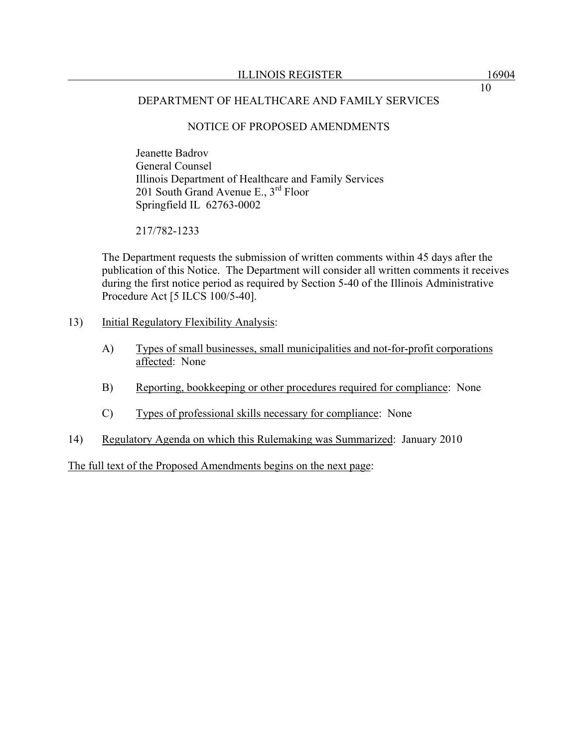# NOTICE OF PROPOSED AMENDMENTS

 Jeanette Badrov General Counsel Illinois Department of Healthcare and Family Services 201 South Grand Avenue E., 3rd Floor Springfield IL 62763-0002

217/782-1233

The Department requests the submission of written comments within 45 days after the publication of this Notice. The Department will consider all written comments it receives during the first notice period as required by Section 5-40 of the Illinois Administrative Procedure Act [5 ILCS 100/5-40].

- 13) Initial Regulatory Flexibility Analysis:
	- A) Types of small businesses, small municipalities and not-for-profit corporations affected: None
	- B) Reporting, bookkeeping or other procedures required for compliance: None
	- C) Types of professional skills necessary for compliance: None
- 14) Regulatory Agenda on which this Rulemaking was Summarized: January 2010

The full text of the Proposed Amendments begins on the next page: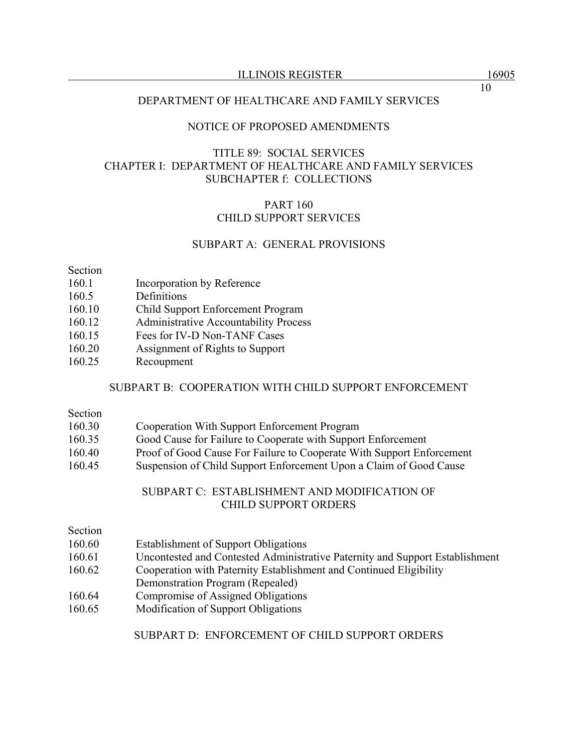ILLINOIS REGISTER 16905

#### DEPARTMENT OF HEALTHCARE AND FAMILY SERVICES

#### NOTICE OF PROPOSED AMENDMENTS

# TITLE 89: SOCIAL SERVICES CHAPTER I: DEPARTMENT OF HEALTHCARE AND FAMILY SERVICES SUBCHAPTER f: COLLECTIONS

#### PART 160 CHILD SUPPORT SERVICES

#### SUBPART A: GENERAL PROVISIONS

Section

- 160.1 Incorporation by Reference
- 160.5 Definitions
- 160.10 Child Support Enforcement Program
- 160.12 Administrative Accountability Process
- 160.15 Fees for IV-D Non-TANF Cases
- 160.20 Assignment of Rights to Support
- 160.25 Recoupment

#### SUBPART B: COOPERATION WITH CHILD SUPPORT ENFORCEMENT

#### Section

- 160.30 Cooperation With Support Enforcement Program
- 160.35 Good Cause for Failure to Cooperate with Support Enforcement
- 160.40 Proof of Good Cause For Failure to Cooperate With Support Enforcement
- 160.45 Suspension of Child Support Enforcement Upon a Claim of Good Cause

#### SUBPART C: ESTABLISHMENT AND MODIFICATION OF CHILD SUPPORT ORDERS

| Section |
|---------|
|---------|

- 160.60 Establishment of Support Obligations
- 160.61 Uncontested and Contested Administrative Paternity and Support Establishment
- 160.62 Cooperation with Paternity Establishment and Continued Eligibility
- Demonstration Program (Repealed)
- 160.64 Compromise of Assigned Obligations
- 160.65 Modification of Support Obligations

#### SUBPART D: ENFORCEMENT OF CHILD SUPPORT ORDERS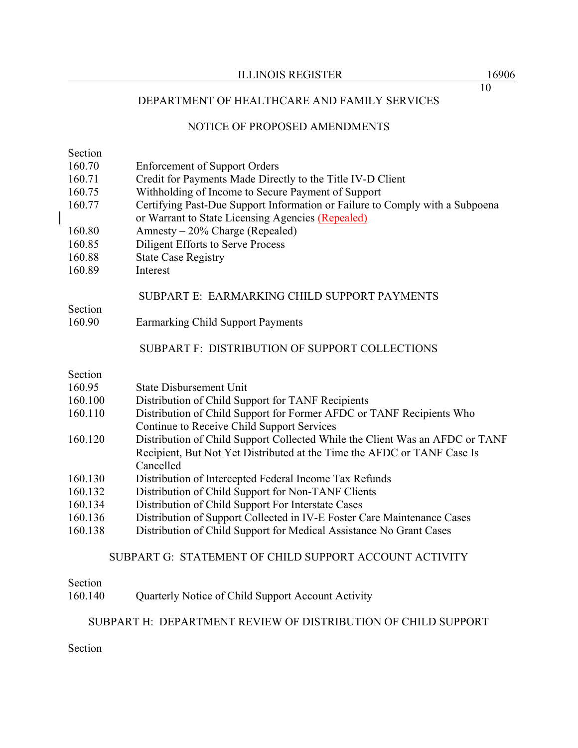# NOTICE OF PROPOSED AMENDMENTS

Section

- 160.70 Enforcement of Support Orders
- 160.71 Credit for Payments Made Directly to the Title IV-D Client
- 160.75 Withholding of Income to Secure Payment of Support
- 160.77 Certifying Past-Due Support Information or Failure to Comply with a Subpoena or Warrant to State Licensing Agencies (Repealed)
- 160.80 Amnesty 20% Charge (Repealed)
- 160.85 Diligent Efforts to Serve Process
- 160.88 State Case Registry
- 160.89 Interest

#### SUBPART E: EARMARKING CHILD SUPPORT PAYMENTS

160.90 Earmarking Child Support Payments

#### SUBPART F: DISTRIBUTION OF SUPPORT COLLECTIONS

Section

Section

- 160.95 State Disbursement Unit
- 160.100 Distribution of Child Support for TANF Recipients
- 160.110 Distribution of Child Support for Former AFDC or TANF Recipients Who Continue to Receive Child Support Services
- 160.120 Distribution of Child Support Collected While the Client Was an AFDC or TANF Recipient, But Not Yet Distributed at the Time the AFDC or TANF Case Is Cancelled
- 160.130 Distribution of Intercepted Federal Income Tax Refunds
- 160.132 Distribution of Child Support for Non-TANF Clients
- 160.134 Distribution of Child Support For Interstate Cases
- 160.136 Distribution of Support Collected in IV-E Foster Care Maintenance Cases
- 160.138 Distribution of Child Support for Medical Assistance No Grant Cases

#### SUBPART G: STATEMENT OF CHILD SUPPORT ACCOUNT ACTIVITY

#### Section

160.140 Quarterly Notice of Child Support Account Activity

#### SUBPART H: DEPARTMENT REVIEW OF DISTRIBUTION OF CHILD SUPPORT

Section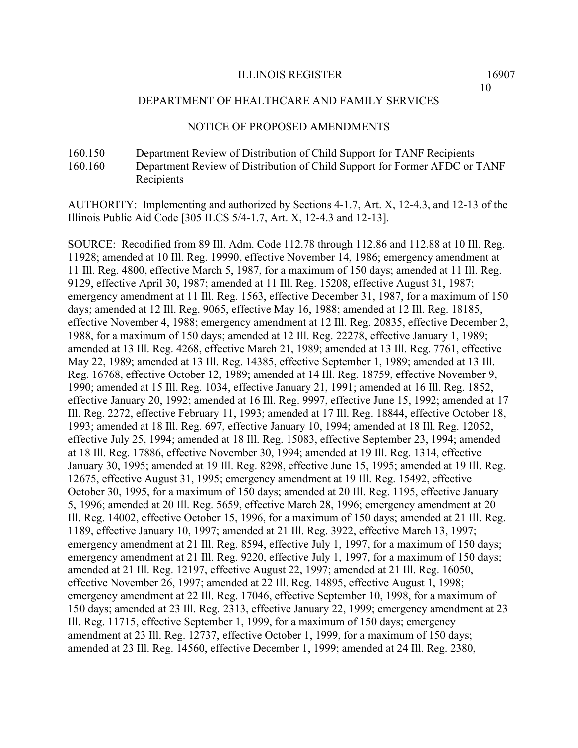#### NOTICE OF PROPOSED AMENDMENTS

160.150 Department Review of Distribution of Child Support for TANF Recipients 160.160 Department Review of Distribution of Child Support for Former AFDC or TANF Recipients

AUTHORITY: Implementing and authorized by Sections 4-1.7, Art. X, 12-4.3, and 12-13 of the Illinois Public Aid Code [305 ILCS 5/4-1.7, Art. X, 12-4.3 and 12-13].

SOURCE: Recodified from 89 Ill. Adm. Code 112.78 through 112.86 and 112.88 at 10 Ill. Reg. 11928; amended at 10 Ill. Reg. 19990, effective November 14, 1986; emergency amendment at 11 Ill. Reg. 4800, effective March 5, 1987, for a maximum of 150 days; amended at 11 Ill. Reg. 9129, effective April 30, 1987; amended at 11 Ill. Reg. 15208, effective August 31, 1987; emergency amendment at 11 Ill. Reg. 1563, effective December 31, 1987, for a maximum of 150 days; amended at 12 Ill. Reg. 9065, effective May 16, 1988; amended at 12 Ill. Reg. 18185, effective November 4, 1988; emergency amendment at 12 Ill. Reg. 20835, effective December 2, 1988, for a maximum of 150 days; amended at 12 Ill. Reg. 22278, effective January 1, 1989; amended at 13 Ill. Reg. 4268, effective March 21, 1989; amended at 13 Ill. Reg. 7761, effective May 22, 1989; amended at 13 Ill. Reg. 14385, effective September 1, 1989; amended at 13 Ill. Reg. 16768, effective October 12, 1989; amended at 14 Ill. Reg. 18759, effective November 9, 1990; amended at 15 Ill. Reg. 1034, effective January 21, 1991; amended at 16 Ill. Reg. 1852, effective January 20, 1992; amended at 16 Ill. Reg. 9997, effective June 15, 1992; amended at 17 Ill. Reg. 2272, effective February 11, 1993; amended at 17 Ill. Reg. 18844, effective October 18, 1993; amended at 18 Ill. Reg. 697, effective January 10, 1994; amended at 18 Ill. Reg. 12052, effective July 25, 1994; amended at 18 Ill. Reg. 15083, effective September 23, 1994; amended at 18 Ill. Reg. 17886, effective November 30, 1994; amended at 19 Ill. Reg. 1314, effective January 30, 1995; amended at 19 Ill. Reg. 8298, effective June 15, 1995; amended at 19 Ill. Reg. 12675, effective August 31, 1995; emergency amendment at 19 Ill. Reg. 15492, effective October 30, 1995, for a maximum of 150 days; amended at 20 Ill. Reg. 1195, effective January 5, 1996; amended at 20 Ill. Reg. 5659, effective March 28, 1996; emergency amendment at 20 Ill. Reg. 14002, effective October 15, 1996, for a maximum of 150 days; amended at 21 Ill. Reg. 1189, effective January 10, 1997; amended at 21 Ill. Reg. 3922, effective March 13, 1997; emergency amendment at 21 Ill. Reg. 8594, effective July 1, 1997, for a maximum of 150 days; emergency amendment at 21 Ill. Reg. 9220, effective July 1, 1997, for a maximum of 150 days; amended at 21 Ill. Reg. 12197, effective August 22, 1997; amended at 21 Ill. Reg. 16050, effective November 26, 1997; amended at 22 Ill. Reg. 14895, effective August 1, 1998; emergency amendment at 22 Ill. Reg. 17046, effective September 10, 1998, for a maximum of 150 days; amended at 23 Ill. Reg. 2313, effective January 22, 1999; emergency amendment at 23 Ill. Reg. 11715, effective September 1, 1999, for a maximum of 150 days; emergency amendment at 23 Ill. Reg. 12737, effective October 1, 1999, for a maximum of 150 days; amended at 23 Ill. Reg. 14560, effective December 1, 1999; amended at 24 Ill. Reg. 2380,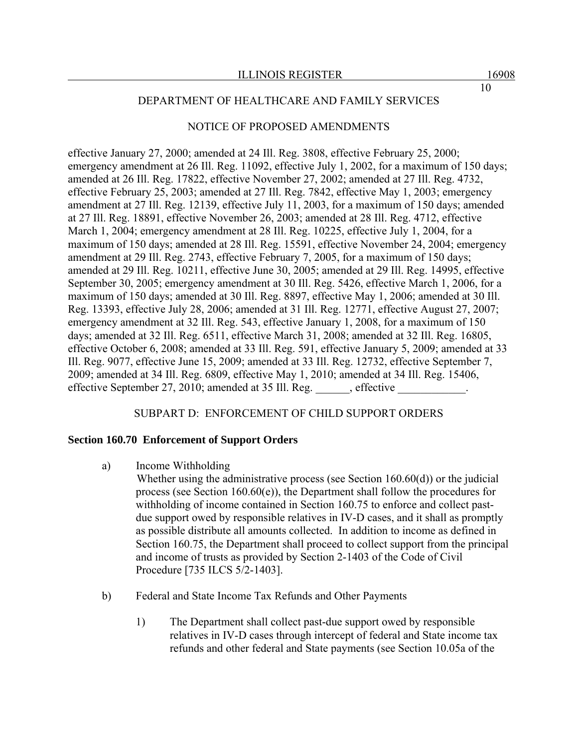#### NOTICE OF PROPOSED AMENDMENTS

effective January 27, 2000; amended at 24 Ill. Reg. 3808, effective February 25, 2000; emergency amendment at 26 Ill. Reg. 11092, effective July 1, 2002, for a maximum of 150 days; amended at 26 Ill. Reg. 17822, effective November 27, 2002; amended at 27 Ill. Reg. 4732, effective February 25, 2003; amended at 27 Ill. Reg. 7842, effective May 1, 2003; emergency amendment at 27 Ill. Reg. 12139, effective July 11, 2003, for a maximum of 150 days; amended at 27 Ill. Reg. 18891, effective November 26, 2003; amended at 28 Ill. Reg. 4712, effective March 1, 2004; emergency amendment at 28 Ill. Reg. 10225, effective July 1, 2004, for a maximum of 150 days; amended at 28 Ill. Reg. 15591, effective November 24, 2004; emergency amendment at 29 Ill. Reg. 2743, effective February 7, 2005, for a maximum of 150 days; amended at 29 Ill. Reg. 10211, effective June 30, 2005; amended at 29 Ill. Reg. 14995, effective September 30, 2005; emergency amendment at 30 Ill. Reg. 5426, effective March 1, 2006, for a maximum of 150 days; amended at 30 Ill. Reg. 8897, effective May 1, 2006; amended at 30 Ill. Reg. 13393, effective July 28, 2006; amended at 31 Ill. Reg. 12771, effective August 27, 2007; emergency amendment at 32 Ill. Reg. 543, effective January 1, 2008, for a maximum of 150 days; amended at 32 Ill. Reg. 6511, effective March 31, 2008; amended at 32 Ill. Reg. 16805, effective October 6, 2008; amended at 33 Ill. Reg. 591, effective January 5, 2009; amended at 33 Ill. Reg. 9077, effective June 15, 2009; amended at 33 Ill. Reg. 12732, effective September 7, 2009; amended at 34 Ill. Reg. 6809, effective May 1, 2010; amended at 34 Ill. Reg. 15406, effective September 27, 2010; amended at 35 Ill. Reg. effective

#### SUBPART D: ENFORCEMENT OF CHILD SUPPORT ORDERS

#### **Section 160.70 Enforcement of Support Orders**

a) Income Withholding

Whether using the administrative process (see Section 160.60(d)) or the judicial process (see Section 160.60(e)), the Department shall follow the procedures for withholding of income contained in Section 160.75 to enforce and collect pastdue support owed by responsible relatives in IV-D cases, and it shall as promptly as possible distribute all amounts collected. In addition to income as defined in Section 160.75, the Department shall proceed to collect support from the principal and income of trusts as provided by Section 2-1403 of the Code of Civil Procedure [735 ILCS 5/2-1403].

- b) Federal and State Income Tax Refunds and Other Payments
	- 1) The Department shall collect past-due support owed by responsible relatives in IV-D cases through intercept of federal and State income tax refunds and other federal and State payments (see Section 10.05a of the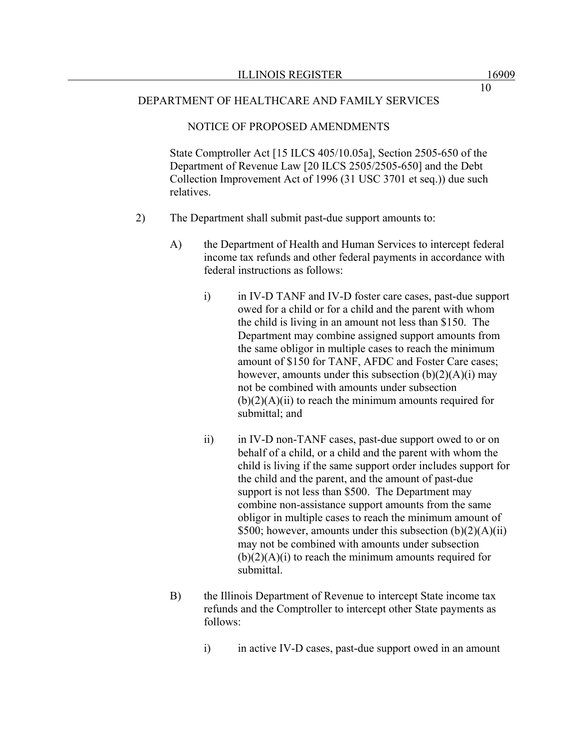#### NOTICE OF PROPOSED AMENDMENTS

State Comptroller Act [15 ILCS 405/10.05a], Section 2505-650 of the Department of Revenue Law [20 ILCS 2505/2505-650] and the Debt Collection Improvement Act of 1996 (31 USC 3701 et seq.)) due such relatives.

- 2) The Department shall submit past-due support amounts to:
	- A) the Department of Health and Human Services to intercept federal income tax refunds and other federal payments in accordance with federal instructions as follows:
		- i) in IV-D TANF and IV-D foster care cases, past-due support owed for a child or for a child and the parent with whom the child is living in an amount not less than \$150. The Department may combine assigned support amounts from the same obligor in multiple cases to reach the minimum amount of \$150 for TANF, AFDC and Foster Care cases; however, amounts under this subsection  $(b)(2)(A)(i)$  may not be combined with amounts under subsection  $(b)(2)(A)(ii)$  to reach the minimum amounts required for submittal; and
		- ii) in IV-D non-TANF cases, past-due support owed to or on behalf of a child, or a child and the parent with whom the child is living if the same support order includes support for the child and the parent, and the amount of past-due support is not less than \$500. The Department may combine non-assistance support amounts from the same obligor in multiple cases to reach the minimum amount of \$500; however, amounts under this subsection  $(b)(2)(A)(ii)$ may not be combined with amounts under subsection  $(b)(2)(A)(i)$  to reach the minimum amounts required for submittal.
	- B) the Illinois Department of Revenue to intercept State income tax refunds and the Comptroller to intercept other State payments as follows:
		- i) in active IV-D cases, past-due support owed in an amount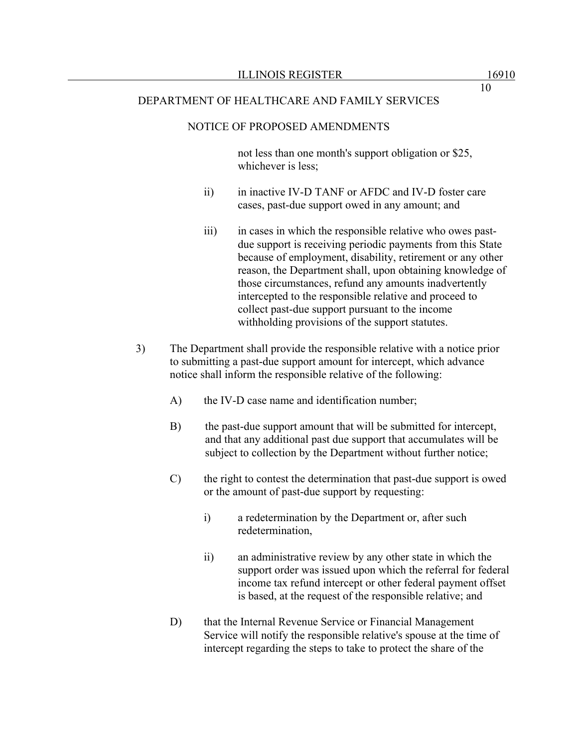#### NOTICE OF PROPOSED AMENDMENTS

not less than one month's support obligation or \$25, whichever is less;

- ii) in inactive IV-D TANF or AFDC and IV-D foster care cases, past-due support owed in any amount; and
- iii) in cases in which the responsible relative who owes pastdue support is receiving periodic payments from this State because of employment, disability, retirement or any other reason, the Department shall, upon obtaining knowledge of those circumstances, refund any amounts inadvertently intercepted to the responsible relative and proceed to collect past-due support pursuant to the income withholding provisions of the support statutes.
- 3) The Department shall provide the responsible relative with a notice prior to submitting a past-due support amount for intercept, which advance notice shall inform the responsible relative of the following:
	- A) the IV-D case name and identification number;
	- B) the past-due support amount that will be submitted for intercept, and that any additional past due support that accumulates will be subject to collection by the Department without further notice;
	- C) the right to contest the determination that past-due support is owed or the amount of past-due support by requesting:
		- i) a redetermination by the Department or, after such redetermination,
		- ii) an administrative review by any other state in which the support order was issued upon which the referral for federal income tax refund intercept or other federal payment offset is based, at the request of the responsible relative; and
	- D) that the Internal Revenue Service or Financial Management Service will notify the responsible relative's spouse at the time of intercept regarding the steps to take to protect the share of the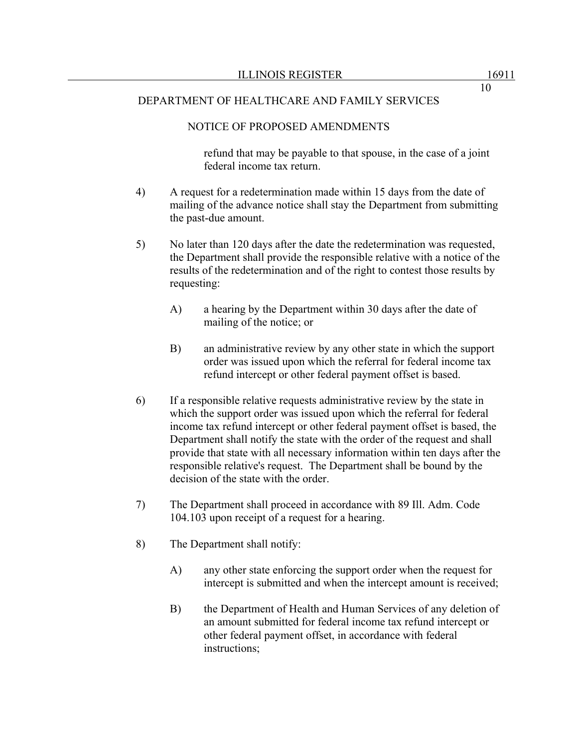# NOTICE OF PROPOSED AMENDMENTS

refund that may be payable to that spouse, in the case of a joint federal income tax return.

- 4) A request for a redetermination made within 15 days from the date of mailing of the advance notice shall stay the Department from submitting the past-due amount.
- 5) No later than 120 days after the date the redetermination was requested, the Department shall provide the responsible relative with a notice of the results of the redetermination and of the right to contest those results by requesting:
	- A) a hearing by the Department within 30 days after the date of mailing of the notice; or
	- B) an administrative review by any other state in which the support order was issued upon which the referral for federal income tax refund intercept or other federal payment offset is based.
- 6) If a responsible relative requests administrative review by the state in which the support order was issued upon which the referral for federal income tax refund intercept or other federal payment offset is based, the Department shall notify the state with the order of the request and shall provide that state with all necessary information within ten days after the responsible relative's request. The Department shall be bound by the decision of the state with the order.
- 7) The Department shall proceed in accordance with 89 Ill. Adm. Code 104.103 upon receipt of a request for a hearing.
- 8) The Department shall notify:
	- A) any other state enforcing the support order when the request for intercept is submitted and when the intercept amount is received;
	- B) the Department of Health and Human Services of any deletion of an amount submitted for federal income tax refund intercept or other federal payment offset, in accordance with federal instructions;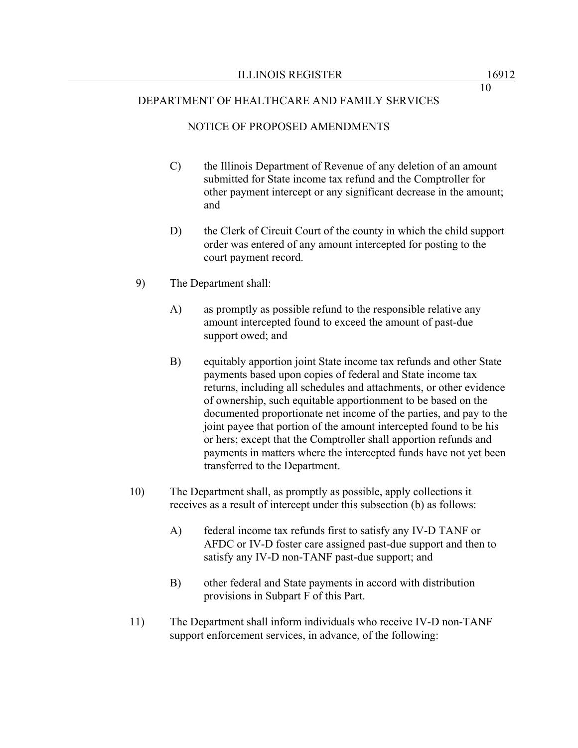#### NOTICE OF PROPOSED AMENDMENTS

- C) the Illinois Department of Revenue of any deletion of an amount submitted for State income tax refund and the Comptroller for other payment intercept or any significant decrease in the amount; and
- D) the Clerk of Circuit Court of the county in which the child support order was entered of any amount intercepted for posting to the court payment record.
- 9) The Department shall:
	- A) as promptly as possible refund to the responsible relative any amount intercepted found to exceed the amount of past-due support owed; and
	- B) equitably apportion joint State income tax refunds and other State payments based upon copies of federal and State income tax returns, including all schedules and attachments, or other evidence of ownership, such equitable apportionment to be based on the documented proportionate net income of the parties, and pay to the joint payee that portion of the amount intercepted found to be his or hers; except that the Comptroller shall apportion refunds and payments in matters where the intercepted funds have not yet been transferred to the Department.
- 10) The Department shall, as promptly as possible, apply collections it receives as a result of intercept under this subsection (b) as follows:
	- A) federal income tax refunds first to satisfy any IV-D TANF or AFDC or IV-D foster care assigned past-due support and then to satisfy any IV-D non-TANF past-due support; and
	- B) other federal and State payments in accord with distribution provisions in Subpart F of this Part.
- 11) The Department shall inform individuals who receive IV-D non-TANF support enforcement services, in advance, of the following: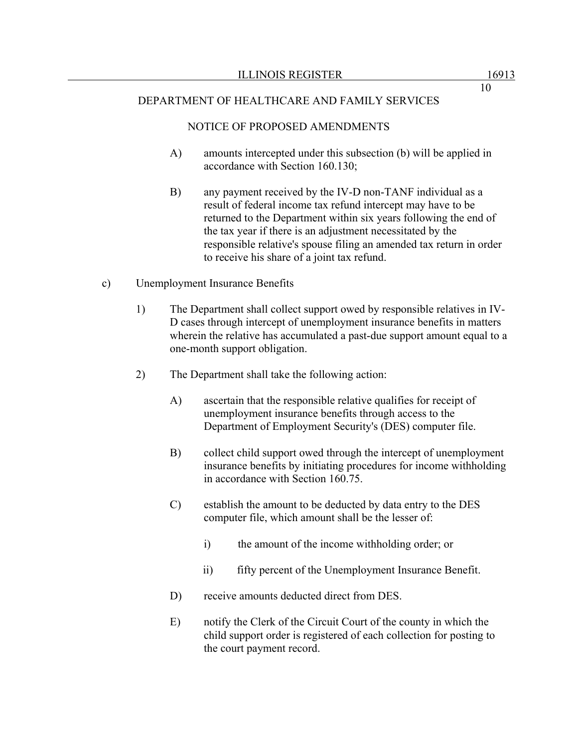#### NOTICE OF PROPOSED AMENDMENTS

- A) amounts intercepted under this subsection (b) will be applied in accordance with Section 160.130;
- B) any payment received by the IV-D non-TANF individual as a result of federal income tax refund intercept may have to be returned to the Department within six years following the end of the tax year if there is an adjustment necessitated by the responsible relative's spouse filing an amended tax return in order to receive his share of a joint tax refund.
- c) Unemployment Insurance Benefits
	- 1) The Department shall collect support owed by responsible relatives in IV-D cases through intercept of unemployment insurance benefits in matters wherein the relative has accumulated a past-due support amount equal to a one-month support obligation.
	- 2) The Department shall take the following action:
		- A) ascertain that the responsible relative qualifies for receipt of unemployment insurance benefits through access to the Department of Employment Security's (DES) computer file.
		- B) collect child support owed through the intercept of unemployment insurance benefits by initiating procedures for income withholding in accordance with Section 160.75.
		- C) establish the amount to be deducted by data entry to the DES computer file, which amount shall be the lesser of:
			- i) the amount of the income withholding order; or
			- ii) fifty percent of the Unemployment Insurance Benefit.
		- D) receive amounts deducted direct from DES.
		- E) notify the Clerk of the Circuit Court of the county in which the child support order is registered of each collection for posting to the court payment record.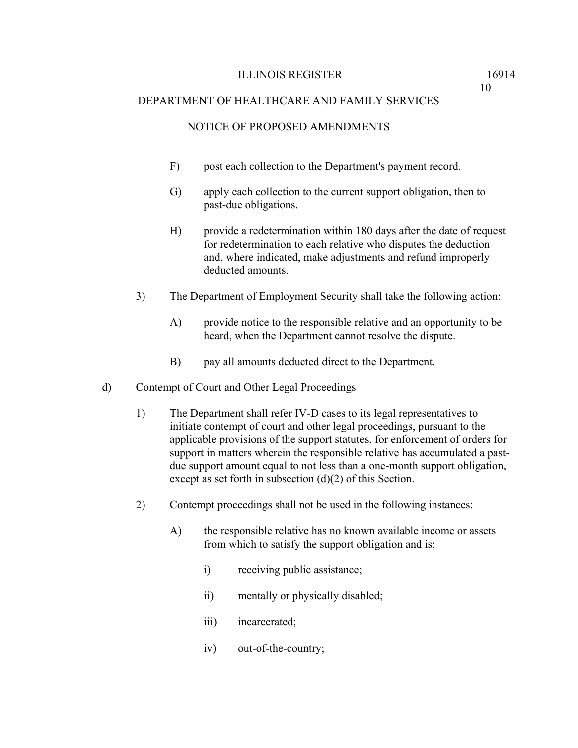## NOTICE OF PROPOSED AMENDMENTS

- F) post each collection to the Department's payment record.
- G) apply each collection to the current support obligation, then to past-due obligations.
- H) provide a redetermination within 180 days after the date of request for redetermination to each relative who disputes the deduction and, where indicated, make adjustments and refund improperly deducted amounts.
- 3) The Department of Employment Security shall take the following action:
	- A) provide notice to the responsible relative and an opportunity to be heard, when the Department cannot resolve the dispute.
	- B) pay all amounts deducted direct to the Department.
- d) Contempt of Court and Other Legal Proceedings
	- 1) The Department shall refer IV-D cases to its legal representatives to initiate contempt of court and other legal proceedings, pursuant to the applicable provisions of the support statutes, for enforcement of orders for support in matters wherein the responsible relative has accumulated a pastdue support amount equal to not less than a one-month support obligation, except as set forth in subsection (d)(2) of this Section.
	- 2) Contempt proceedings shall not be used in the following instances:
		- A) the responsible relative has no known available income or assets from which to satisfy the support obligation and is:
			- i) receiving public assistance;
			- ii) mentally or physically disabled;
			- iii) incarcerated;
			- iv) out-of-the-country;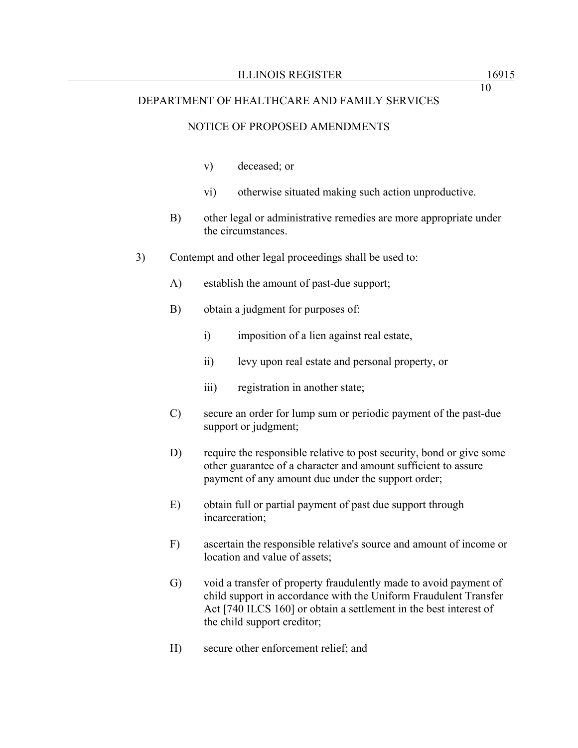#### NOTICE OF PROPOSED AMENDMENTS

- v) deceased; or
- vi) otherwise situated making such action unproductive.
- B) other legal or administrative remedies are more appropriate under the circumstances.
- 3) Contempt and other legal proceedings shall be used to:
	- A) establish the amount of past-due support;
	- B) obtain a judgment for purposes of:
		- i) imposition of a lien against real estate,
		- ii) levy upon real estate and personal property, or
		- iii) registration in another state;
	- C) secure an order for lump sum or periodic payment of the past-due support or judgment;
	- D) require the responsible relative to post security, bond or give some other guarantee of a character and amount sufficient to assure payment of any amount due under the support order;
	- E) obtain full or partial payment of past due support through incarceration;
	- F) ascertain the responsible relative's source and amount of income or location and value of assets;
	- G) void a transfer of property fraudulently made to avoid payment of child support in accordance with the Uniform Fraudulent Transfer Act [740 ILCS 160] or obtain a settlement in the best interest of the child support creditor;
	- H) secure other enforcement relief; and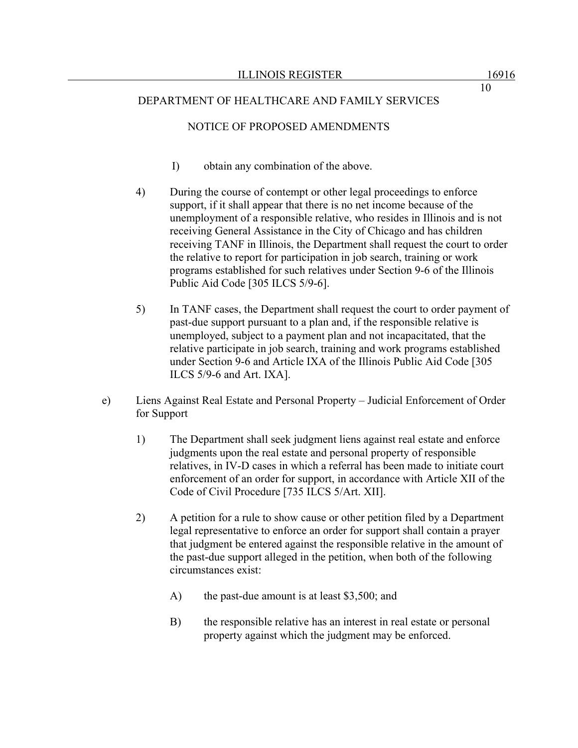## NOTICE OF PROPOSED AMENDMENTS

- I) obtain any combination of the above.
- 4) During the course of contempt or other legal proceedings to enforce support, if it shall appear that there is no net income because of the unemployment of a responsible relative, who resides in Illinois and is not receiving General Assistance in the City of Chicago and has children receiving TANF in Illinois, the Department shall request the court to order the relative to report for participation in job search, training or work programs established for such relatives under Section 9-6 of the Illinois Public Aid Code [305 ILCS 5/9-6].
- 5) In TANF cases, the Department shall request the court to order payment of past-due support pursuant to a plan and, if the responsible relative is unemployed, subject to a payment plan and not incapacitated, that the relative participate in job search, training and work programs established under Section 9-6 and Article IXA of the Illinois Public Aid Code [305 ILCS 5/9-6 and Art. IXA].
- e) Liens Against Real Estate and Personal Property Judicial Enforcement of Order for Support
	- 1) The Department shall seek judgment liens against real estate and enforce judgments upon the real estate and personal property of responsible relatives, in IV-D cases in which a referral has been made to initiate court enforcement of an order for support, in accordance with Article XII of the Code of Civil Procedure [735 ILCS 5/Art. XII].
	- 2) A petition for a rule to show cause or other petition filed by a Department legal representative to enforce an order for support shall contain a prayer that judgment be entered against the responsible relative in the amount of the past-due support alleged in the petition, when both of the following circumstances exist:
		- A) the past-due amount is at least \$3,500; and
		- B) the responsible relative has an interest in real estate or personal property against which the judgment may be enforced.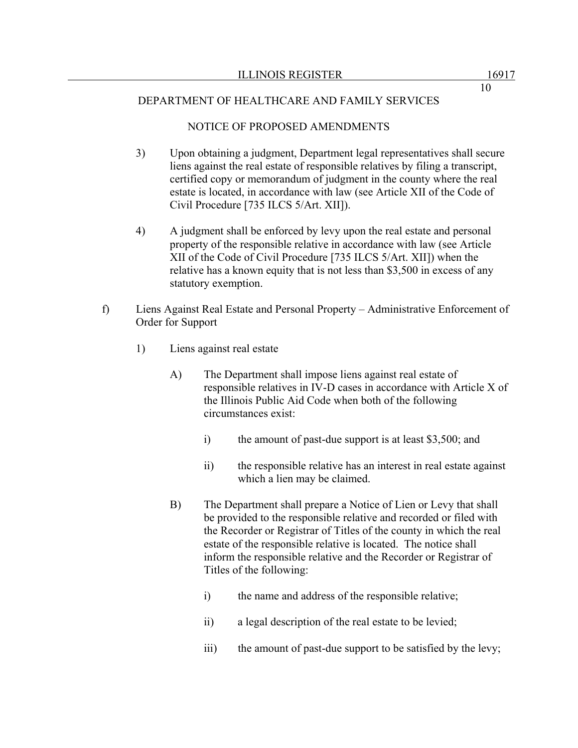## NOTICE OF PROPOSED AMENDMENTS

- 3) Upon obtaining a judgment, Department legal representatives shall secure liens against the real estate of responsible relatives by filing a transcript, certified copy or memorandum of judgment in the county where the real estate is located, in accordance with law (see Article XII of the Code of Civil Procedure [735 ILCS 5/Art. XII]).
- 4) A judgment shall be enforced by levy upon the real estate and personal property of the responsible relative in accordance with law (see Article XII of the Code of Civil Procedure [735 ILCS 5/Art. XII]) when the relative has a known equity that is not less than \$3,500 in excess of any statutory exemption.
- f) Liens Against Real Estate and Personal Property Administrative Enforcement of Order for Support
	- 1) Liens against real estate
		- A) The Department shall impose liens against real estate of responsible relatives in IV-D cases in accordance with Article X of the Illinois Public Aid Code when both of the following circumstances exist:
			- i) the amount of past-due support is at least \$3,500; and
			- ii) the responsible relative has an interest in real estate against which a lien may be claimed.
		- B) The Department shall prepare a Notice of Lien or Levy that shall be provided to the responsible relative and recorded or filed with the Recorder or Registrar of Titles of the county in which the real estate of the responsible relative is located. The notice shall inform the responsible relative and the Recorder or Registrar of Titles of the following:
			- i) the name and address of the responsible relative;
			- ii) a legal description of the real estate to be levied;
			- iii) the amount of past-due support to be satisfied by the levy;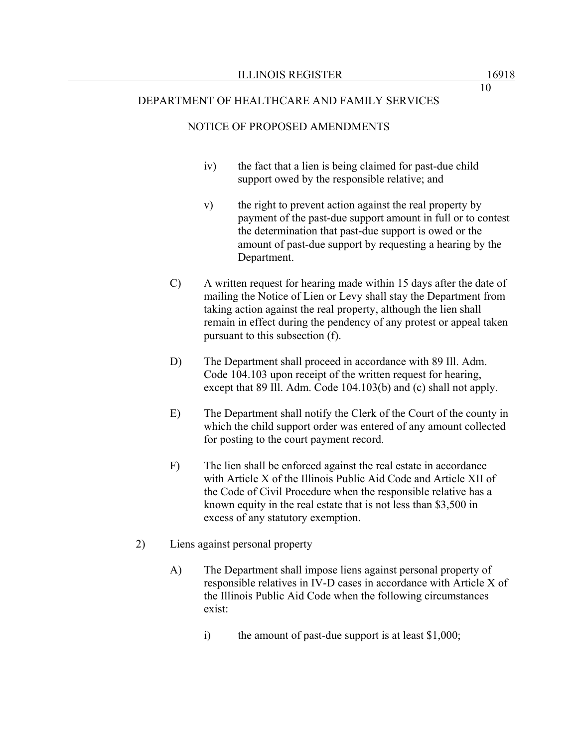#### NOTICE OF PROPOSED AMENDMENTS

- iv) the fact that a lien is being claimed for past-due child support owed by the responsible relative; and
- v) the right to prevent action against the real property by payment of the past-due support amount in full or to contest the determination that past-due support is owed or the amount of past-due support by requesting a hearing by the Department.
- C) A written request for hearing made within 15 days after the date of mailing the Notice of Lien or Levy shall stay the Department from taking action against the real property, although the lien shall remain in effect during the pendency of any protest or appeal taken pursuant to this subsection (f).
- D) The Department shall proceed in accordance with 89 Ill. Adm. Code 104.103 upon receipt of the written request for hearing, except that 89 Ill. Adm. Code 104.103(b) and (c) shall not apply.
- E) The Department shall notify the Clerk of the Court of the county in which the child support order was entered of any amount collected for posting to the court payment record.
- F) The lien shall be enforced against the real estate in accordance with Article X of the Illinois Public Aid Code and Article XII of the Code of Civil Procedure when the responsible relative has a known equity in the real estate that is not less than \$3,500 in excess of any statutory exemption.
- 2) Liens against personal property
	- A) The Department shall impose liens against personal property of responsible relatives in IV-D cases in accordance with Article X of the Illinois Public Aid Code when the following circumstances exist:
		- i) the amount of past-due support is at least  $$1,000$ ;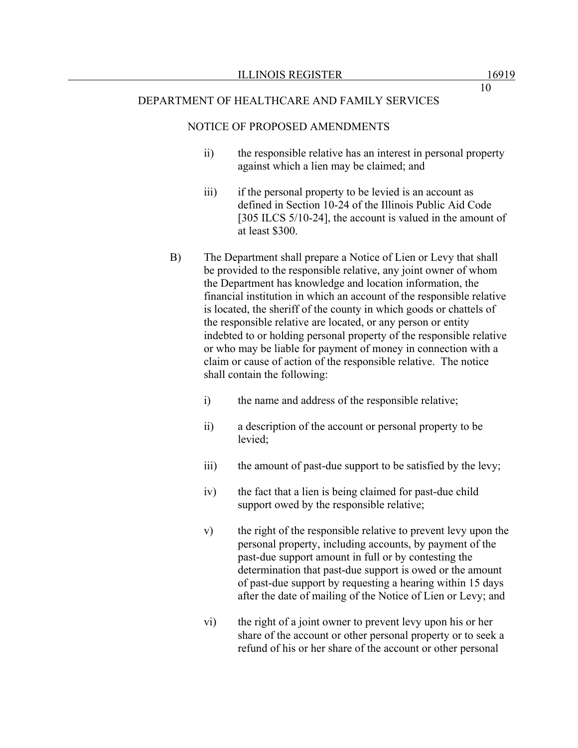#### NOTICE OF PROPOSED AMENDMENTS

- ii) the responsible relative has an interest in personal property against which a lien may be claimed; and
- iii) if the personal property to be levied is an account as defined in Section 10-24 of the Illinois Public Aid Code [305 ILCS 5/10-24], the account is valued in the amount of at least \$300.
- B) The Department shall prepare a Notice of Lien or Levy that shall be provided to the responsible relative, any joint owner of whom the Department has knowledge and location information, the financial institution in which an account of the responsible relative is located, the sheriff of the county in which goods or chattels of the responsible relative are located, or any person or entity indebted to or holding personal property of the responsible relative or who may be liable for payment of money in connection with a claim or cause of action of the responsible relative. The notice shall contain the following:
	- i) the name and address of the responsible relative;
	- ii) a description of the account or personal property to be levied;
	- iii) the amount of past-due support to be satisfied by the levy;
	- iv) the fact that a lien is being claimed for past-due child support owed by the responsible relative;
	- v) the right of the responsible relative to prevent levy upon the personal property, including accounts, by payment of the past-due support amount in full or by contesting the determination that past-due support is owed or the amount of past-due support by requesting a hearing within 15 days after the date of mailing of the Notice of Lien or Levy; and
	- vi) the right of a joint owner to prevent levy upon his or her share of the account or other personal property or to seek a refund of his or her share of the account or other personal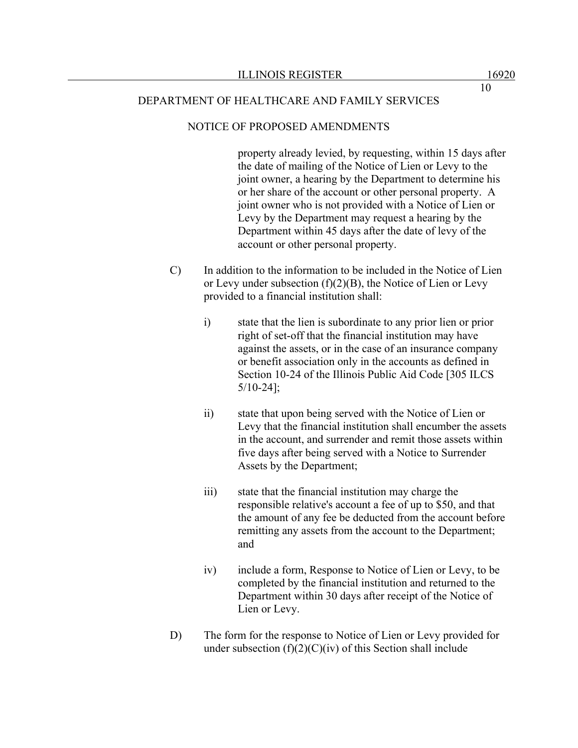### NOTICE OF PROPOSED AMENDMENTS

property already levied, by requesting, within 15 days after the date of mailing of the Notice of Lien or Levy to the joint owner, a hearing by the Department to determine his or her share of the account or other personal property. A joint owner who is not provided with a Notice of Lien or Levy by the Department may request a hearing by the Department within 45 days after the date of levy of the account or other personal property.

- C) In addition to the information to be included in the Notice of Lien or Levy under subsection  $(f)(2)(B)$ , the Notice of Lien or Levy provided to a financial institution shall:
	- i) state that the lien is subordinate to any prior lien or prior right of set-off that the financial institution may have against the assets, or in the case of an insurance company or benefit association only in the accounts as defined in Section 10-24 of the Illinois Public Aid Code [305 ILCS 5/10-24];
	- ii) state that upon being served with the Notice of Lien or Levy that the financial institution shall encumber the assets in the account, and surrender and remit those assets within five days after being served with a Notice to Surrender Assets by the Department;
	- iii) state that the financial institution may charge the responsible relative's account a fee of up to \$50, and that the amount of any fee be deducted from the account before remitting any assets from the account to the Department; and
	- iv) include a form, Response to Notice of Lien or Levy, to be completed by the financial institution and returned to the Department within 30 days after receipt of the Notice of Lien or Levy.
- D) The form for the response to Notice of Lien or Levy provided for under subsection  $(f)(2)(C)(iv)$  of this Section shall include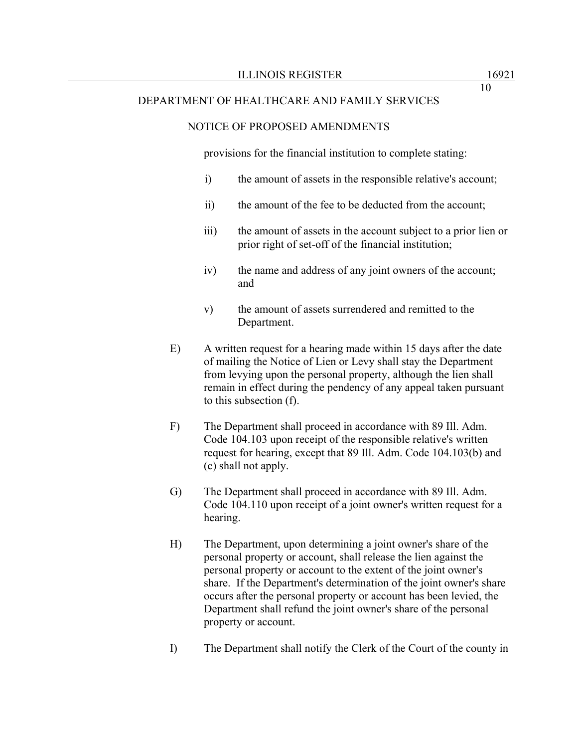### NOTICE OF PROPOSED AMENDMENTS

provisions for the financial institution to complete stating:

- i) the amount of assets in the responsible relative's account;
- ii) the amount of the fee to be deducted from the account;
- iii) the amount of assets in the account subject to a prior lien or prior right of set-off of the financial institution;
- iv) the name and address of any joint owners of the account; and
- v) the amount of assets surrendered and remitted to the Department.
- E) A written request for a hearing made within 15 days after the date of mailing the Notice of Lien or Levy shall stay the Department from levying upon the personal property, although the lien shall remain in effect during the pendency of any appeal taken pursuant to this subsection (f).
- F) The Department shall proceed in accordance with 89 Ill. Adm. Code 104.103 upon receipt of the responsible relative's written request for hearing, except that 89 Ill. Adm. Code 104.103(b) and (c) shall not apply.
- G) The Department shall proceed in accordance with 89 Ill. Adm. Code 104.110 upon receipt of a joint owner's written request for a hearing.
- H) The Department, upon determining a joint owner's share of the personal property or account, shall release the lien against the personal property or account to the extent of the joint owner's share. If the Department's determination of the joint owner's share occurs after the personal property or account has been levied, the Department shall refund the joint owner's share of the personal property or account.
- I) The Department shall notify the Clerk of the Court of the county in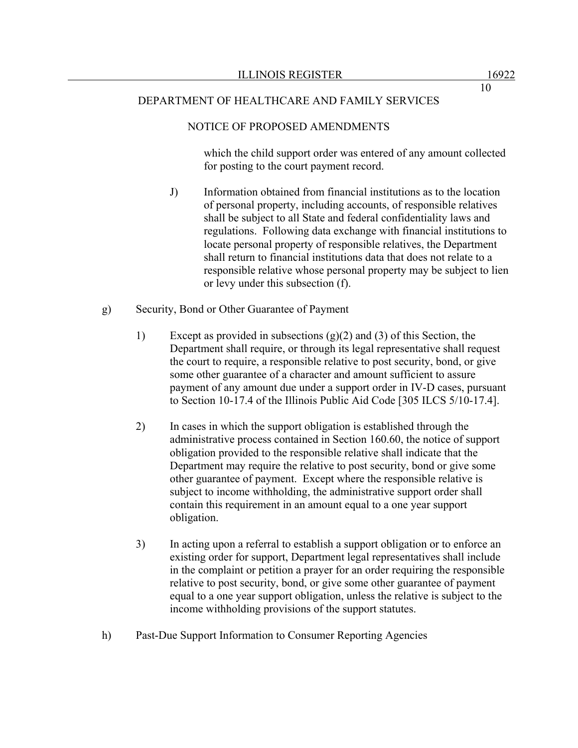## NOTICE OF PROPOSED AMENDMENTS

which the child support order was entered of any amount collected for posting to the court payment record.

- J) Information obtained from financial institutions as to the location of personal property, including accounts, of responsible relatives shall be subject to all State and federal confidentiality laws and regulations. Following data exchange with financial institutions to locate personal property of responsible relatives, the Department shall return to financial institutions data that does not relate to a responsible relative whose personal property may be subject to lien or levy under this subsection (f).
- g) Security, Bond or Other Guarantee of Payment
	- 1) Except as provided in subsections (g)(2) and (3) of this Section, the Department shall require, or through its legal representative shall request the court to require, a responsible relative to post security, bond, or give some other guarantee of a character and amount sufficient to assure payment of any amount due under a support order in IV-D cases, pursuant to Section 10-17.4 of the Illinois Public Aid Code [305 ILCS 5/10-17.4].
	- 2) In cases in which the support obligation is established through the administrative process contained in Section 160.60, the notice of support obligation provided to the responsible relative shall indicate that the Department may require the relative to post security, bond or give some other guarantee of payment. Except where the responsible relative is subject to income withholding, the administrative support order shall contain this requirement in an amount equal to a one year support obligation.
	- 3) In acting upon a referral to establish a support obligation or to enforce an existing order for support, Department legal representatives shall include in the complaint or petition a prayer for an order requiring the responsible relative to post security, bond, or give some other guarantee of payment equal to a one year support obligation, unless the relative is subject to the income withholding provisions of the support statutes.
- h) Past-Due Support Information to Consumer Reporting Agencies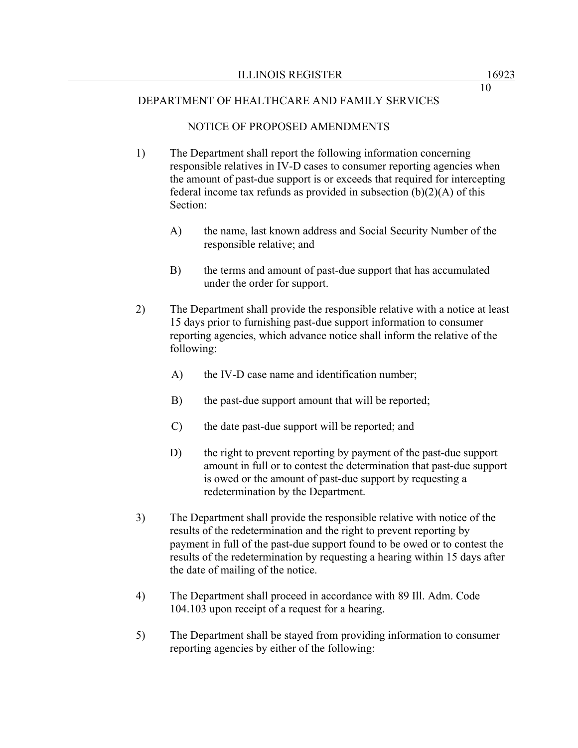## NOTICE OF PROPOSED AMENDMENTS

- 1) The Department shall report the following information concerning responsible relatives in IV-D cases to consumer reporting agencies when the amount of past-due support is or exceeds that required for intercepting federal income tax refunds as provided in subsection  $(b)(2)(A)$  of this Section:
	- A) the name, last known address and Social Security Number of the responsible relative; and
	- B) the terms and amount of past-due support that has accumulated under the order for support.
- 2) The Department shall provide the responsible relative with a notice at least 15 days prior to furnishing past-due support information to consumer reporting agencies, which advance notice shall inform the relative of the following:
	- A) the IV-D case name and identification number;
	- B) the past-due support amount that will be reported;
	- C) the date past-due support will be reported; and
	- D) the right to prevent reporting by payment of the past-due support amount in full or to contest the determination that past-due support is owed or the amount of past-due support by requesting a redetermination by the Department.
- 3) The Department shall provide the responsible relative with notice of the results of the redetermination and the right to prevent reporting by payment in full of the past-due support found to be owed or to contest the results of the redetermination by requesting a hearing within 15 days after the date of mailing of the notice.
- 4) The Department shall proceed in accordance with 89 Ill. Adm. Code 104.103 upon receipt of a request for a hearing.
- 5) The Department shall be stayed from providing information to consumer reporting agencies by either of the following: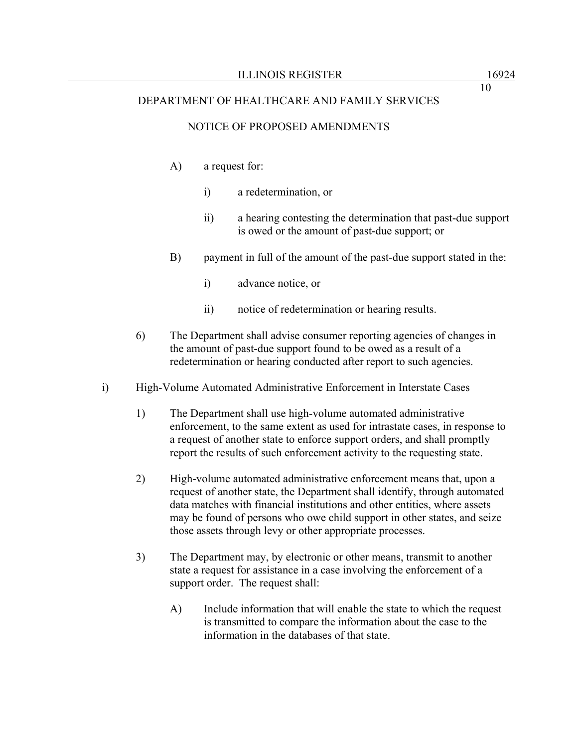# NOTICE OF PROPOSED AMENDMENTS

- A) a request for:
	- i) a redetermination, or
	- ii) a hearing contesting the determination that past-due support is owed or the amount of past-due support; or
- B) payment in full of the amount of the past-due support stated in the:
	- i) advance notice, or
	- ii) notice of redetermination or hearing results.
- 6) The Department shall advise consumer reporting agencies of changes in the amount of past-due support found to be owed as a result of a redetermination or hearing conducted after report to such agencies.
- i) High-Volume Automated Administrative Enforcement in Interstate Cases
	- 1) The Department shall use high-volume automated administrative enforcement, to the same extent as used for intrastate cases, in response to a request of another state to enforce support orders, and shall promptly report the results of such enforcement activity to the requesting state.
	- 2) High-volume automated administrative enforcement means that, upon a request of another state, the Department shall identify, through automated data matches with financial institutions and other entities, where assets may be found of persons who owe child support in other states, and seize those assets through levy or other appropriate processes.
	- 3) The Department may, by electronic or other means, transmit to another state a request for assistance in a case involving the enforcement of a support order. The request shall:
		- A) Include information that will enable the state to which the request is transmitted to compare the information about the case to the information in the databases of that state.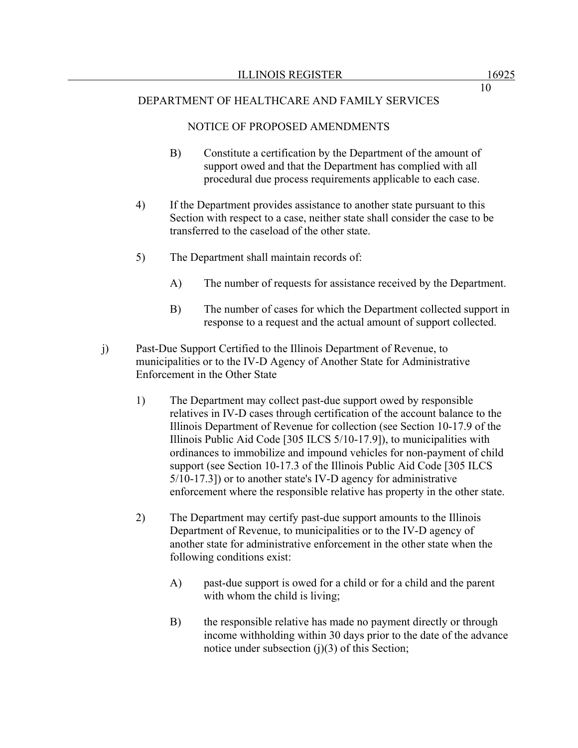## NOTICE OF PROPOSED AMENDMENTS

- B) Constitute a certification by the Department of the amount of support owed and that the Department has complied with all procedural due process requirements applicable to each case.
- 4) If the Department provides assistance to another state pursuant to this Section with respect to a case, neither state shall consider the case to be transferred to the caseload of the other state.
- 5) The Department shall maintain records of:
	- A) The number of requests for assistance received by the Department.
	- B) The number of cases for which the Department collected support in response to a request and the actual amount of support collected.
- j) Past-Due Support Certified to the Illinois Department of Revenue, to municipalities or to the IV-D Agency of Another State for Administrative Enforcement in the Other State
	- 1) The Department may collect past-due support owed by responsible relatives in IV-D cases through certification of the account balance to the Illinois Department of Revenue for collection (see Section 10-17.9 of the Illinois Public Aid Code [305 ILCS 5/10-17.9]), to municipalities with ordinances to immobilize and impound vehicles for non-payment of child support (see Section 10-17.3 of the Illinois Public Aid Code [305 ILCS 5/10-17.3]) or to another state's IV-D agency for administrative enforcement where the responsible relative has property in the other state.
	- 2) The Department may certify past-due support amounts to the Illinois Department of Revenue, to municipalities or to the IV-D agency of another state for administrative enforcement in the other state when the following conditions exist:
		- A) past-due support is owed for a child or for a child and the parent with whom the child is living;
		- B) the responsible relative has made no payment directly or through income withholding within 30 days prior to the date of the advance notice under subsection  $(j)(3)$  of this Section;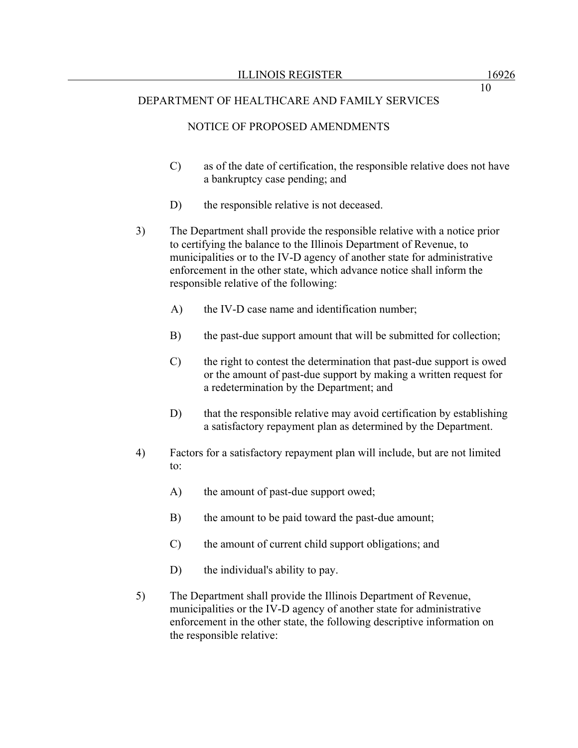## NOTICE OF PROPOSED AMENDMENTS

- C) as of the date of certification, the responsible relative does not have a bankruptcy case pending; and
- D) the responsible relative is not deceased.
- 3) The Department shall provide the responsible relative with a notice prior to certifying the balance to the Illinois Department of Revenue, to municipalities or to the IV-D agency of another state for administrative enforcement in the other state, which advance notice shall inform the responsible relative of the following:
	- A) the IV-D case name and identification number;
	- B) the past-due support amount that will be submitted for collection;
	- C) the right to contest the determination that past-due support is owed or the amount of past-due support by making a written request for a redetermination by the Department; and
	- D) that the responsible relative may avoid certification by establishing a satisfactory repayment plan as determined by the Department.
- 4) Factors for a satisfactory repayment plan will include, but are not limited to:
	- A) the amount of past-due support owed;
	- B) the amount to be paid toward the past-due amount;
	- C) the amount of current child support obligations; and
	- D) the individual's ability to pay.
- 5) The Department shall provide the Illinois Department of Revenue, municipalities or the IV-D agency of another state for administrative enforcement in the other state, the following descriptive information on the responsible relative: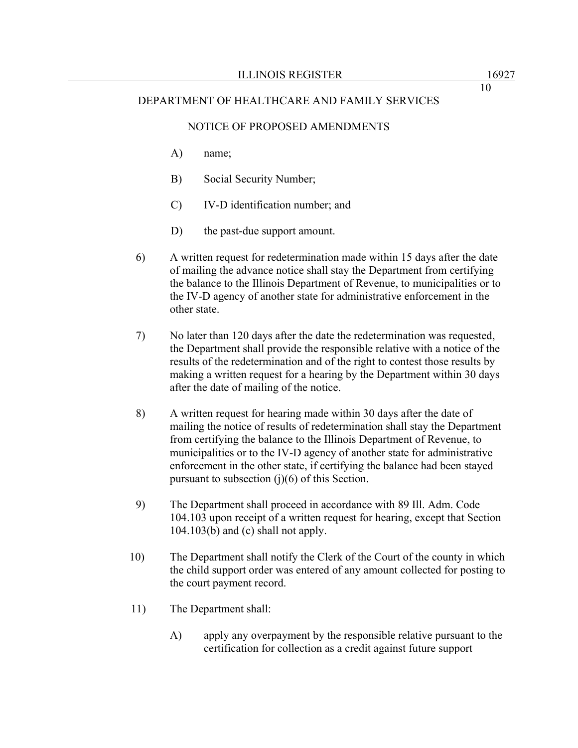### NOTICE OF PROPOSED AMENDMENTS

- A) name;
- B) Social Security Number;
- C) IV-D identification number; and
- D) the past-due support amount.
- 6) A written request for redetermination made within 15 days after the date of mailing the advance notice shall stay the Department from certifying the balance to the Illinois Department of Revenue, to municipalities or to the IV-D agency of another state for administrative enforcement in the other state.
- 7) No later than 120 days after the date the redetermination was requested, the Department shall provide the responsible relative with a notice of the results of the redetermination and of the right to contest those results by making a written request for a hearing by the Department within 30 days after the date of mailing of the notice.
- 8) A written request for hearing made within 30 days after the date of mailing the notice of results of redetermination shall stay the Department from certifying the balance to the Illinois Department of Revenue, to municipalities or to the IV-D agency of another state for administrative enforcement in the other state, if certifying the balance had been stayed pursuant to subsection  $(i)(6)$  of this Section.
- 9) The Department shall proceed in accordance with 89 Ill. Adm. Code 104.103 upon receipt of a written request for hearing, except that Section  $104.103(b)$  and (c) shall not apply.
- 10) The Department shall notify the Clerk of the Court of the county in which the child support order was entered of any amount collected for posting to the court payment record.
- 11) The Department shall:
	- A) apply any overpayment by the responsible relative pursuant to the certification for collection as a credit against future support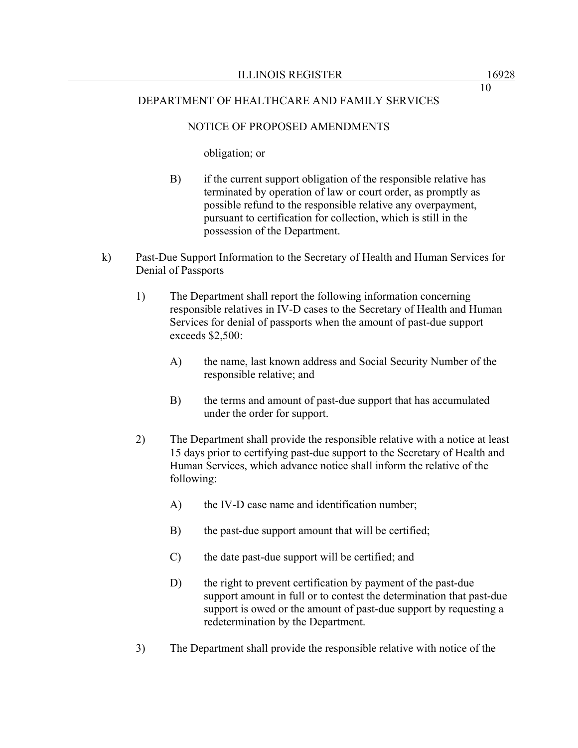# NOTICE OF PROPOSED AMENDMENTS

obligation; or

- B) if the current support obligation of the responsible relative has terminated by operation of law or court order, as promptly as possible refund to the responsible relative any overpayment, pursuant to certification for collection, which is still in the possession of the Department.
- k) Past-Due Support Information to the Secretary of Health and Human Services for Denial of Passports
	- 1) The Department shall report the following information concerning responsible relatives in IV-D cases to the Secretary of Health and Human Services for denial of passports when the amount of past-due support exceeds \$2,500:
		- A) the name, last known address and Social Security Number of the responsible relative; and
		- B) the terms and amount of past-due support that has accumulated under the order for support.
	- 2) The Department shall provide the responsible relative with a notice at least 15 days prior to certifying past-due support to the Secretary of Health and Human Services, which advance notice shall inform the relative of the following:
		- A) the IV-D case name and identification number;
		- B) the past-due support amount that will be certified;
		- C) the date past-due support will be certified; and
		- D) the right to prevent certification by payment of the past-due support amount in full or to contest the determination that past-due support is owed or the amount of past-due support by requesting a redetermination by the Department.
	- 3) The Department shall provide the responsible relative with notice of the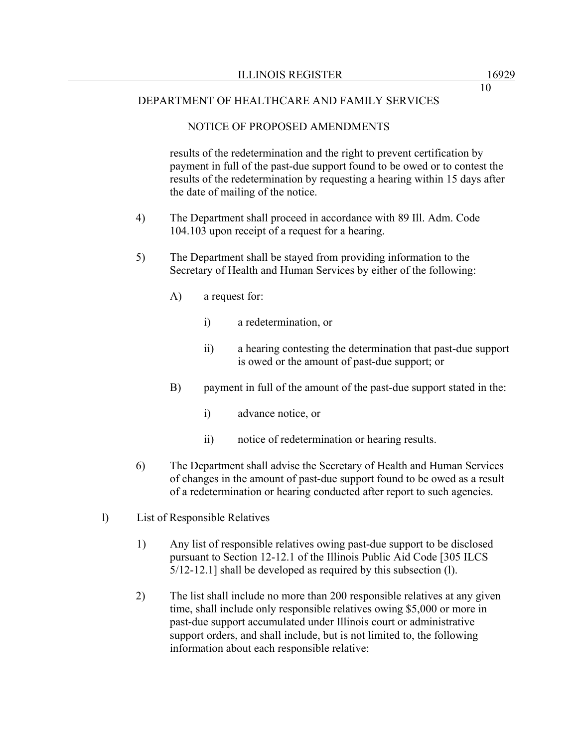## NOTICE OF PROPOSED AMENDMENTS

results of the redetermination and the right to prevent certification by payment in full of the past-due support found to be owed or to contest the results of the redetermination by requesting a hearing within 15 days after the date of mailing of the notice.

- 4) The Department shall proceed in accordance with 89 Ill. Adm. Code 104.103 upon receipt of a request for a hearing.
- 5) The Department shall be stayed from providing information to the Secretary of Health and Human Services by either of the following:
	- A) a request for:
		- i) a redetermination, or
		- ii) a hearing contesting the determination that past-due support is owed or the amount of past-due support; or
	- B) payment in full of the amount of the past-due support stated in the:
		- i) advance notice, or
		- ii) notice of redetermination or hearing results.
- 6) The Department shall advise the Secretary of Health and Human Services of changes in the amount of past-due support found to be owed as a result of a redetermination or hearing conducted after report to such agencies.
- l) List of Responsible Relatives
	- 1) Any list of responsible relatives owing past-due support to be disclosed pursuant to Section 12-12.1 of the Illinois Public Aid Code [305 ILCS 5/12-12.1] shall be developed as required by this subsection (l).
	- 2) The list shall include no more than 200 responsible relatives at any given time, shall include only responsible relatives owing \$5,000 or more in past-due support accumulated under Illinois court or administrative support orders, and shall include, but is not limited to, the following information about each responsible relative: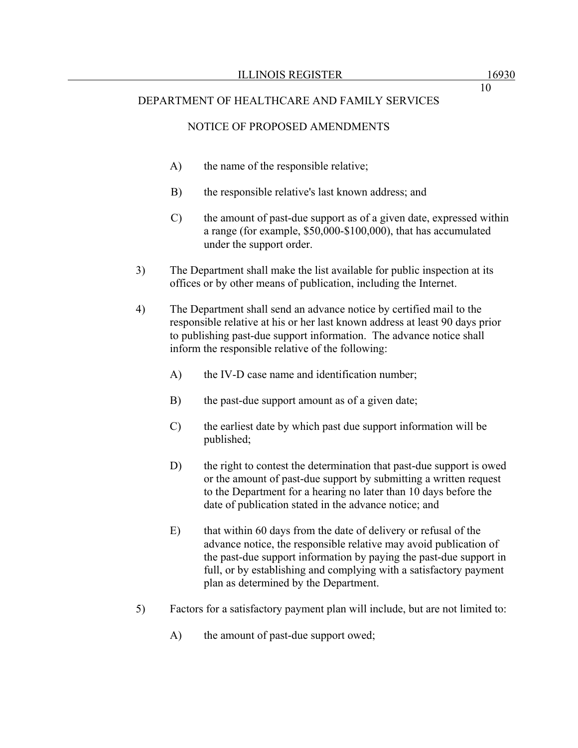## NOTICE OF PROPOSED AMENDMENTS

- A) the name of the responsible relative;
- B) the responsible relative's last known address; and
- C) the amount of past-due support as of a given date, expressed within a range (for example, \$50,000-\$100,000), that has accumulated under the support order.
- 3) The Department shall make the list available for public inspection at its offices or by other means of publication, including the Internet.
- 4) The Department shall send an advance notice by certified mail to the responsible relative at his or her last known address at least 90 days prior to publishing past-due support information. The advance notice shall inform the responsible relative of the following:
	- A) the IV-D case name and identification number;
	- B) the past-due support amount as of a given date;
	- C) the earliest date by which past due support information will be published;
	- D) the right to contest the determination that past-due support is owed or the amount of past-due support by submitting a written request to the Department for a hearing no later than 10 days before the date of publication stated in the advance notice; and
	- E) that within 60 days from the date of delivery or refusal of the advance notice, the responsible relative may avoid publication of the past-due support information by paying the past-due support in full, or by establishing and complying with a satisfactory payment plan as determined by the Department.
- 5) Factors for a satisfactory payment plan will include, but are not limited to:
	- A) the amount of past-due support owed;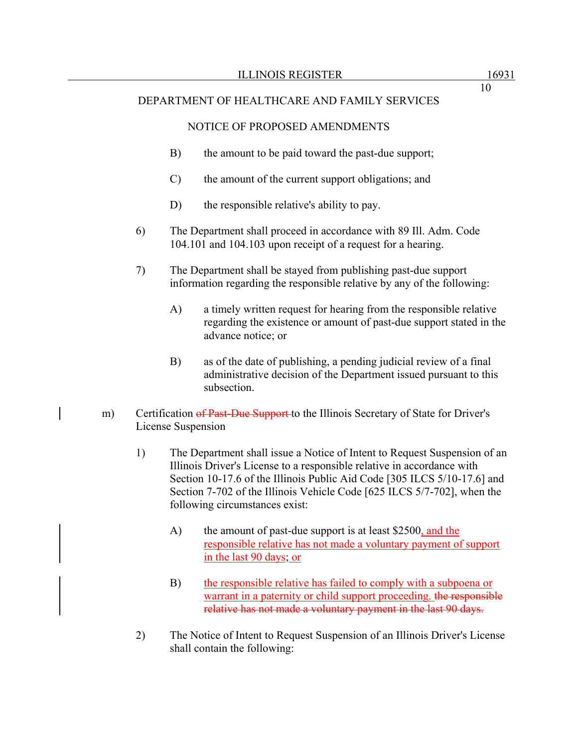## NOTICE OF PROPOSED AMENDMENTS

- B) the amount to be paid toward the past-due support;
- C) the amount of the current support obligations; and
- D) the responsible relative's ability to pay.
- 6) The Department shall proceed in accordance with 89 Ill. Adm. Code 104.101 and 104.103 upon receipt of a request for a hearing.
- 7) The Department shall be stayed from publishing past-due support information regarding the responsible relative by any of the following:
	- A) a timely written request for hearing from the responsible relative regarding the existence or amount of past-due support stated in the advance notice; or
	- B) as of the date of publishing, a pending judicial review of a final administrative decision of the Department issued pursuant to this subsection.
- m) Certification of Past-Due Support to the Illinois Secretary of State for Driver's License Suspension
	- 1) The Department shall issue a Notice of Intent to Request Suspension of an Illinois Driver's License to a responsible relative in accordance with Section 10-17.6 of the Illinois Public Aid Code [305 ILCS 5/10-17.6] and Section 7-702 of the Illinois Vehicle Code [625 ILCS 5/7-702], when the following circumstances exist:
		- A) the amount of past-due support is at least \$2500, and the responsible relative has not made a voluntary payment of support in the last 90 days; or
		- B) the responsible relative has failed to comply with a subpoena or warrant in a paternity or child support proceeding. the responsible relative has not made a voluntary payment in the last 90 days.
	- 2) The Notice of Intent to Request Suspension of an Illinois Driver's License shall contain the following: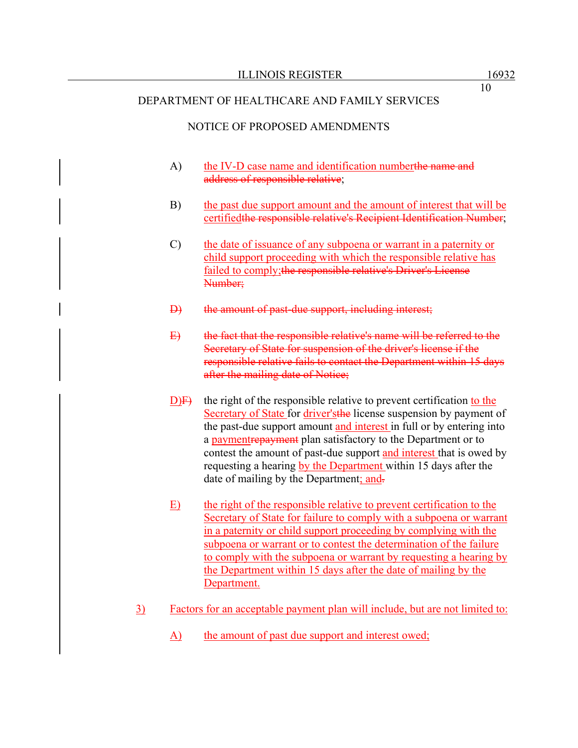## NOTICE OF PROPOSED AMENDMENTS

- A) the IV-D case name and identification numberthe name and address of responsible relative;
- B) the past due support amount and the amount of interest that will be certifiedthe responsible relative's Recipient Identification Number;
- C) the date of issuance of any subpoena or warrant in a paternity or child support proceeding with which the responsible relative has failed to comply; the responsible relative's Driver's License Number;
- D) the amount of past-due support, including interest;
- E) the fact that the responsible relative's name will be referred to the Secretary of State for suspension of the driver's license if the responsible relative fails to contact the Department within 15 days after the mailing date of Notice;
- $D/F$  the right of the responsible relative to prevent certification to the Secretary of State for driver'sthe license suspension by payment of the past-due support amount and interest in full or by entering into a paymentrepayment plan satisfactory to the Department or to contest the amount of past-due support and interest that is owed by requesting a hearing by the Department within 15 days after the date of mailing by the Department; and-
- E) the right of the responsible relative to prevent certification to the Secretary of State for failure to comply with a subpoena or warrant in a paternity or child support proceeding by complying with the subpoena or warrant or to contest the determination of the failure to comply with the subpoena or warrant by requesting a hearing by the Department within 15 days after the date of mailing by the Department.
- 3) Factors for an acceptable payment plan will include, but are not limited to:
	- A) the amount of past due support and interest owed;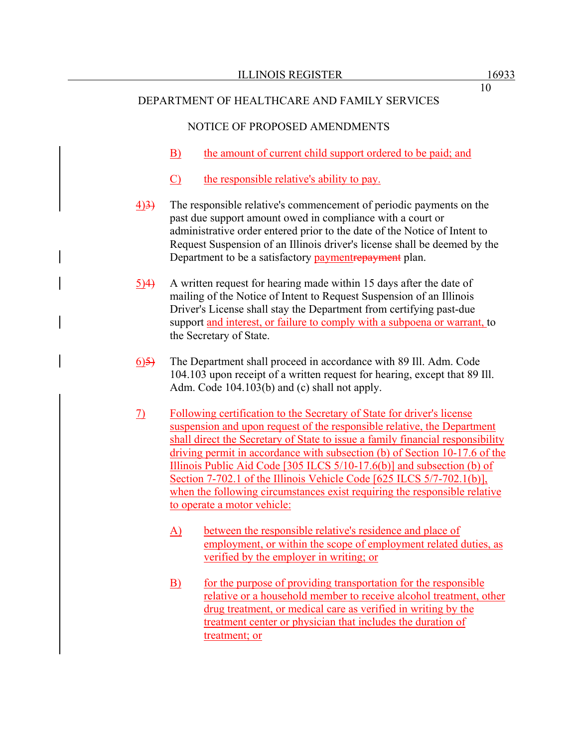## NOTICE OF PROPOSED AMENDMENTS

- B) the amount of current child support ordered to be paid; and
- C) the responsible relative's ability to pay.
- 4)3) The responsible relative's commencement of periodic payments on the past due support amount owed in compliance with a court or administrative order entered prior to the date of the Notice of Intent to Request Suspension of an Illinois driver's license shall be deemed by the Department to be a satisfactory paymentrepayment plan.
- 5)4) A written request for hearing made within 15 days after the date of mailing of the Notice of Intent to Request Suspension of an Illinois Driver's License shall stay the Department from certifying past-due support and interest, or failure to comply with a subpoena or warrant, to the Secretary of State.
- 6)5) The Department shall proceed in accordance with 89 Ill. Adm. Code 104.103 upon receipt of a written request for hearing, except that 89 Ill. Adm. Code 104.103(b) and (c) shall not apply.
- 7) Following certification to the Secretary of State for driver's license suspension and upon request of the responsible relative, the Department shall direct the Secretary of State to issue a family financial responsibility driving permit in accordance with subsection (b) of Section 10-17.6 of the Illinois Public Aid Code [305 ILCS 5/10-17.6(b)] and subsection (b) of Section 7-702.1 of the Illinois Vehicle Code [625 ILCS 5/7-702.1(b)], when the following circumstances exist requiring the responsible relative to operate a motor vehicle:
	- A) between the responsible relative's residence and place of employment, or within the scope of employment related duties, as verified by the employer in writing; or
	- B) for the purpose of providing transportation for the responsible relative or a household member to receive alcohol treatment, other drug treatment, or medical care as verified in writing by the treatment center or physician that includes the duration of treatment; or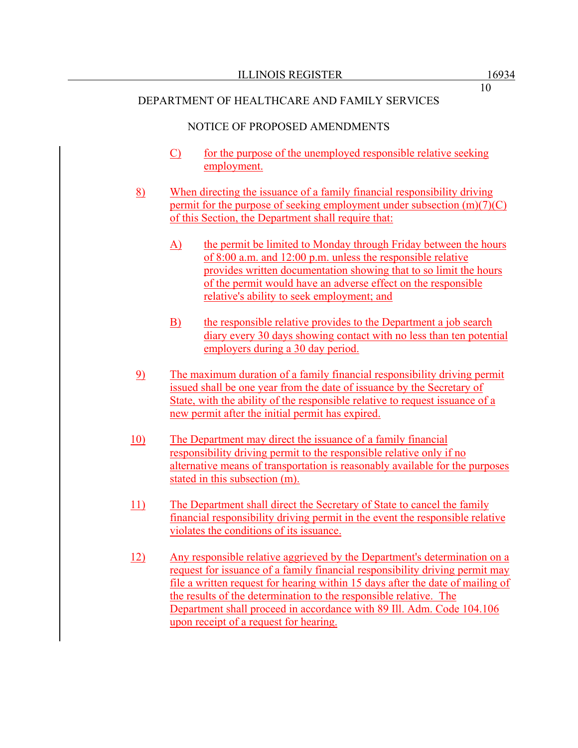## NOTICE OF PROPOSED AMENDMENTS

- C) for the purpose of the unemployed responsible relative seeking employment.
- 8) When directing the issuance of a family financial responsibility driving permit for the purpose of seeking employment under subsection (m)(7)(C) of this Section, the Department shall require that:
	- A) the permit be limited to Monday through Friday between the hours of 8:00 a.m. and 12:00 p.m. unless the responsible relative provides written documentation showing that to so limit the hours of the permit would have an adverse effect on the responsible relative's ability to seek employment; and
	- B) the responsible relative provides to the Department a job search diary every 30 days showing contact with no less than ten potential employers during a 30 day period.
- 9) The maximum duration of a family financial responsibility driving permit issued shall be one year from the date of issuance by the Secretary of State, with the ability of the responsible relative to request issuance of a new permit after the initial permit has expired.
- 10) The Department may direct the issuance of a family financial responsibility driving permit to the responsible relative only if no alternative means of transportation is reasonably available for the purposes stated in this subsection (m).
- 11) The Department shall direct the Secretary of State to cancel the family financial responsibility driving permit in the event the responsible relative violates the conditions of its issuance.
- 12) Any responsible relative aggrieved by the Department's determination on a request for issuance of a family financial responsibility driving permit may file a written request for hearing within 15 days after the date of mailing of the results of the determination to the responsible relative. The Department shall proceed in accordance with 89 Ill. Adm. Code 104.106 upon receipt of a request for hearing.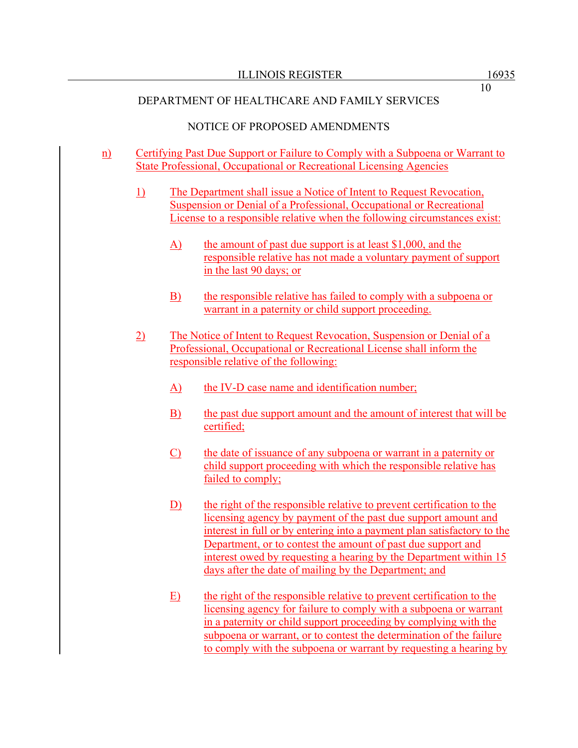## NOTICE OF PROPOSED AMENDMENTS

- n) Certifying Past Due Support or Failure to Comply with a Subpoena or Warrant to State Professional, Occupational or Recreational Licensing Agencies
	- 1) The Department shall issue a Notice of Intent to Request Revocation, Suspension or Denial of a Professional, Occupational or Recreational License to a responsible relative when the following circumstances exist:
		- $\overline{A}$  the amount of past due support is at least \$1,000, and the responsible relative has not made a voluntary payment of support in the last 90 days; or
		- B) the responsible relative has failed to comply with a subpoena or warrant in a paternity or child support proceeding.
	- 2) The Notice of Intent to Request Revocation, Suspension or Denial of a Professional, Occupational or Recreational License shall inform the responsible relative of the following:
		- A) the IV-D case name and identification number;
		- B) the past due support amount and the amount of interest that will be certified;
		- C) the date of issuance of any subpoena or warrant in a paternity or child support proceeding with which the responsible relative has failed to comply;
		- D) the right of the responsible relative to prevent certification to the licensing agency by payment of the past due support amount and interest in full or by entering into a payment plan satisfactory to the Department, or to contest the amount of past due support and interest owed by requesting a hearing by the Department within 15 days after the date of mailing by the Department; and
		- E) the right of the responsible relative to prevent certification to the licensing agency for failure to comply with a subpoena or warrant in a paternity or child support proceeding by complying with the subpoena or warrant, or to contest the determination of the failure to comply with the subpoena or warrant by requesting a hearing by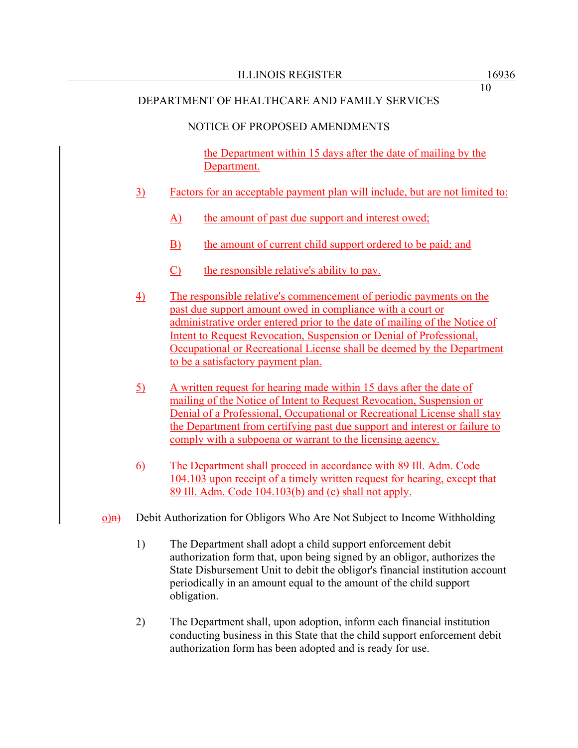## NOTICE OF PROPOSED AMENDMENTS

the Department within 15 days after the date of mailing by the Department.

- 3) Factors for an acceptable payment plan will include, but are not limited to:
	- A) the amount of past due support and interest owed;
	- B) the amount of current child support ordered to be paid; and
	- C) the responsible relative's ability to pay.
- 4) The responsible relative's commencement of periodic payments on the past due support amount owed in compliance with a court or administrative order entered prior to the date of mailing of the Notice of Intent to Request Revocation, Suspension or Denial of Professional, Occupational or Recreational License shall be deemed by the Department to be a satisfactory payment plan.
- 5) A written request for hearing made within 15 days after the date of mailing of the Notice of Intent to Request Revocation, Suspension or Denial of a Professional, Occupational or Recreational License shall stay the Department from certifying past due support and interest or failure to comply with a subpoena or warrant to the licensing agency.
- 6) The Department shall proceed in accordance with 89 Ill. Adm. Code 104.103 upon receipt of a timely written request for hearing, except that 89 Ill. Adm. Code 104.103(b) and (c) shall not apply.
- $o$ ) $\overrightarrow{h}$  Debit Authorization for Obligors Who Are Not Subject to Income Withholding
	- 1) The Department shall adopt a child support enforcement debit authorization form that, upon being signed by an obligor, authorizes the State Disbursement Unit to debit the obligor's financial institution account periodically in an amount equal to the amount of the child support obligation.
	- 2) The Department shall, upon adoption, inform each financial institution conducting business in this State that the child support enforcement debit authorization form has been adopted and is ready for use.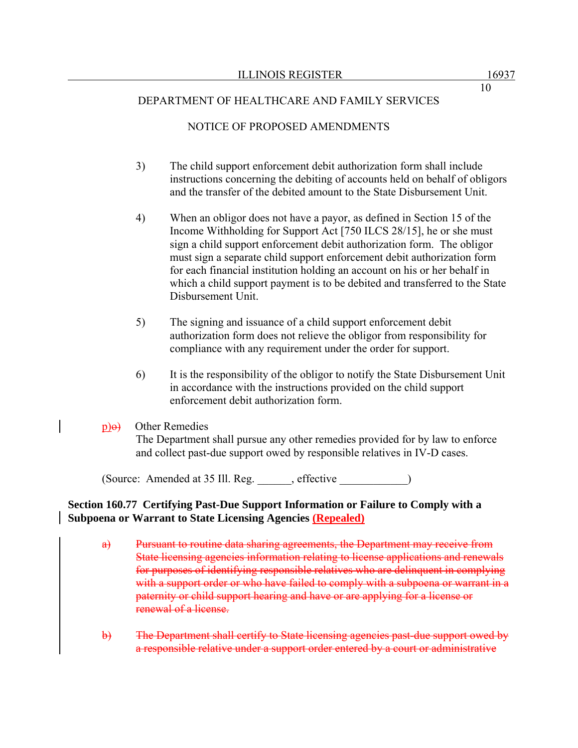# NOTICE OF PROPOSED AMENDMENTS

- 3) The child support enforcement debit authorization form shall include instructions concerning the debiting of accounts held on behalf of obligors and the transfer of the debited amount to the State Disbursement Unit.
- 4) When an obligor does not have a payor, as defined in Section 15 of the Income Withholding for Support Act [750 ILCS 28/15], he or she must sign a child support enforcement debit authorization form. The obligor must sign a separate child support enforcement debit authorization form for each financial institution holding an account on his or her behalf in which a child support payment is to be debited and transferred to the State Disbursement Unit.
- 5) The signing and issuance of a child support enforcement debit authorization form does not relieve the obligor from responsibility for compliance with any requirement under the order for support.
- 6) It is the responsibility of the obligor to notify the State Disbursement Unit in accordance with the instructions provided on the child support enforcement debit authorization form.

## $p$  $\Theta$  Other Remedies

The Department shall pursue any other remedies provided for by law to enforce and collect past-due support owed by responsible relatives in IV-D cases.

(Source: Amended at 35 Ill. Reg. \_\_\_\_\_\_, effective \_\_\_\_\_\_\_\_\_\_\_\_)

## **Section 160.77 Certifying Past-Due Support Information or Failure to Comply with a Subpoena or Warrant to State Licensing Agencies (Repealed)**

- a) Pursuant to routine data sharing agreements, the Department may receive from State licensing agencies information relating to license applications and renewals for purposes of identifying responsible relatives who are delinquent in complying with a support order or who have failed to comply with a subpoena or warrant in a paternity or child support hearing and have or are applying for a license or renewal of a license.
- b) The Department shall certify to State licensing agencies past-due support owed by a responsible relative under a support order entered by a court or administrative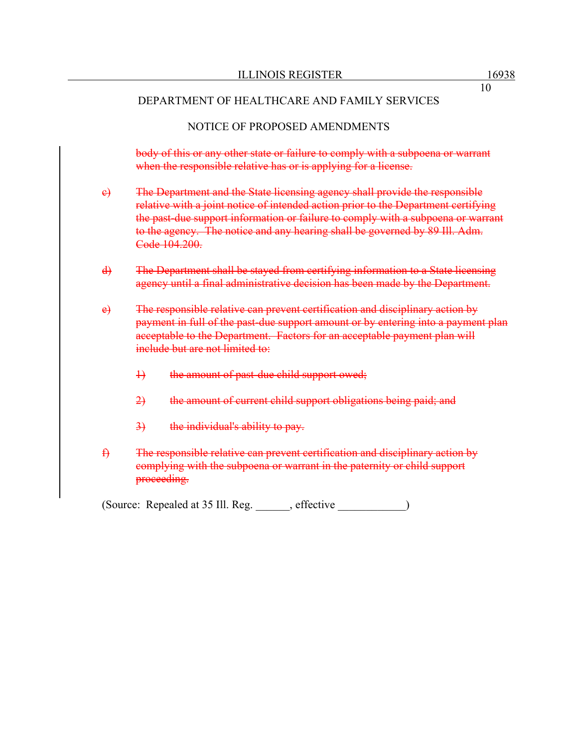## NOTICE OF PROPOSED AMENDMENTS

body of this or any other state or failure to comply with a subpoena or warrant when the responsible relative has or is applying for a license.

- c) The Department and the State licensing agency shall provide the responsible relative with a joint notice of intended action prior to the Department certifying the past-due support information or failure to comply with a subpoena or warrant to the agency. The notice and any hearing shall be governed by 89 Ill. Adm. Code 104.200.
- d) The Department shall be stayed from certifying information to a State licensing agency until a final administrative decision has been made by the Department.
- e) The responsible relative can prevent certification and disciplinary action by payment in full of the past-due support amount or by entering into a payment plan acceptable to the Department. Factors for an acceptable payment plan will include but are not limited to:
	- 1) the amount of past-due child support owed;
	- 2) the amount of current child support obligations being paid; and
	- 3) the individual's ability to pay.
- f) The responsible relative can prevent certification and disciplinary action by complying with the subpoena or warrant in the paternity or child support proceeding.

(Source: Repealed at 35 Ill. Reg. \_\_\_\_\_\_, effective \_\_\_\_\_\_\_\_\_\_\_\_)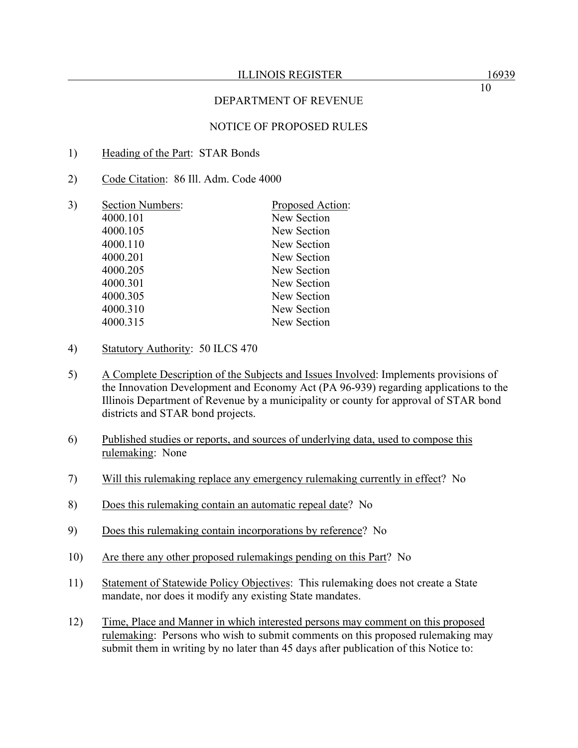#### ILLINOIS REGISTER 16939

## DEPARTMENT OF REVENUE

## NOTICE OF PROPOSED RULES

- 1) Heading of the Part: STAR Bonds
- 2) Code Citation: 86 Ill. Adm. Code 4000

| 3) | <b>Section Numbers:</b> | Proposed Action: |
|----|-------------------------|------------------|
|    | 4000.101                | New Section      |
|    | 4000.105                | New Section      |
|    | 4000.110                | New Section      |
|    | 4000.201                | New Section      |
|    | 4000.205                | New Section      |
|    | 4000.301                | New Section      |
|    | 4000.305                | New Section      |
|    | 4000.310                | New Section      |
|    | 4000.315                | New Section      |
|    |                         |                  |

- 4) Statutory Authority: 50 ILCS 470
- 5) A Complete Description of the Subjects and Issues Involved: Implements provisions of the Innovation Development and Economy Act (PA 96-939) regarding applications to the Illinois Department of Revenue by a municipality or county for approval of STAR bond districts and STAR bond projects.
- 6) Published studies or reports, and sources of underlying data, used to compose this rulemaking: None
- 7) Will this rulemaking replace any emergency rulemaking currently in effect? No
- 8) Does this rulemaking contain an automatic repeal date? No
- 9) Does this rulemaking contain incorporations by reference? No
- 10) Are there any other proposed rulemakings pending on this Part? No
- 11) Statement of Statewide Policy Objectives: This rulemaking does not create a State mandate, nor does it modify any existing State mandates.
- 12) Time, Place and Manner in which interested persons may comment on this proposed rulemaking: Persons who wish to submit comments on this proposed rulemaking may submit them in writing by no later than 45 days after publication of this Notice to: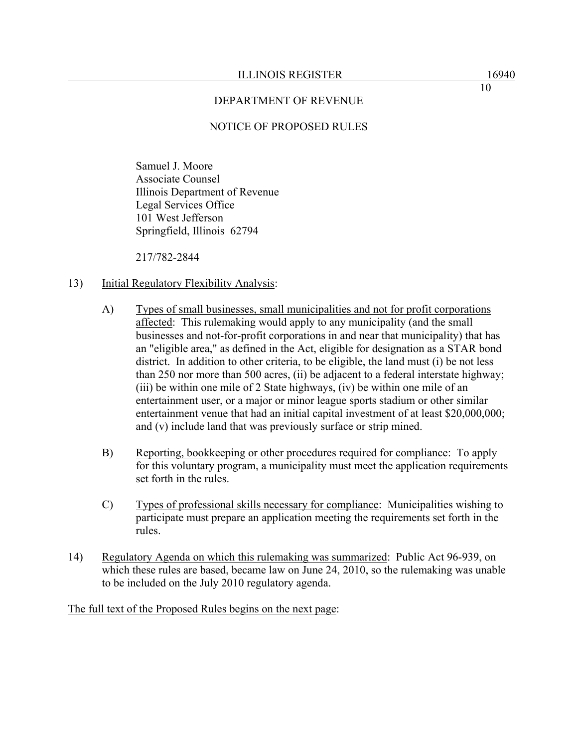### NOTICE OF PROPOSED RULES

Samuel J. Moore Associate Counsel Illinois Department of Revenue Legal Services Office 101 West Jefferson Springfield, Illinois 62794

217/782-2844

### 13) Initial Regulatory Flexibility Analysis:

- A) Types of small businesses, small municipalities and not for profit corporations affected: This rulemaking would apply to any municipality (and the small businesses and not-for-profit corporations in and near that municipality) that has an "eligible area," as defined in the Act, eligible for designation as a STAR bond district. In addition to other criteria, to be eligible, the land must (i) be not less than 250 nor more than 500 acres, (ii) be adjacent to a federal interstate highway; (iii) be within one mile of 2 State highways, (iv) be within one mile of an entertainment user, or a major or minor league sports stadium or other similar entertainment venue that had an initial capital investment of at least \$20,000,000; and (v) include land that was previously surface or strip mined.
- B) Reporting, bookkeeping or other procedures required for compliance: To apply for this voluntary program, a municipality must meet the application requirements set forth in the rules.
- C) Types of professional skills necessary for compliance: Municipalities wishing to participate must prepare an application meeting the requirements set forth in the rules.
- 14) Regulatory Agenda on which this rulemaking was summarized: Public Act 96-939, on which these rules are based, became law on June 24, 2010, so the rulemaking was unable to be included on the July 2010 regulatory agenda.

The full text of the Proposed Rules begins on the next page: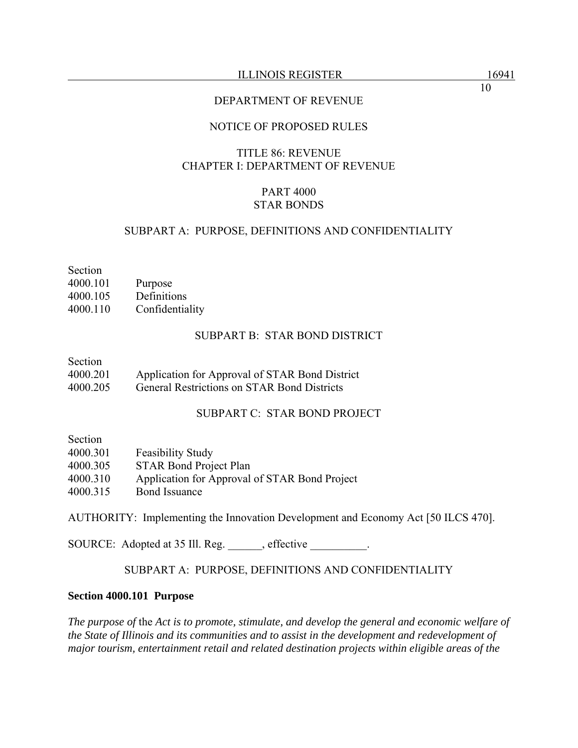#### ILLINOIS REGISTER 16941

10

## DEPARTMENT OF REVENUE

## NOTICE OF PROPOSED RULES

# TITLE 86: REVENUE CHAPTER I: DEPARTMENT OF REVENUE

## PART 4000 STAR BONDS

### SUBPART A: PURPOSE, DEFINITIONS AND CONFIDENTIALITY

Section 4000.101 Purpose 4000.105 Definitions 4000.110 Confidentiality

#### SUBPART B: STAR BOND DISTRICT

#### Section

4000.201 Application for Approval of STAR Bond District

4000.205 General Restrictions on STAR Bond Districts

### SUBPART C: STAR BOND PROJECT

Section

| 4000.301 | <b>Feasibility Study</b>                      |
|----------|-----------------------------------------------|
| 4000.305 | <b>STAR Bond Project Plan</b>                 |
| 4000.310 | Application for Approval of STAR Bond Project |
| 4000.315 | <b>Bond Issuance</b>                          |

AUTHORITY: Implementing the Innovation Development and Economy Act [50 ILCS 470].

SOURCE: Adopted at 35 Ill. Reg. \_\_\_\_\_, effective \_\_\_\_\_\_\_\_.

## SUBPART A: PURPOSE, DEFINITIONS AND CONFIDENTIALITY

#### **Section 4000.101 Purpose**

*The purpose of* the *Act is to promote, stimulate, and develop the general and economic welfare of the State of Illinois and its communities and to assist in the development and redevelopment of major tourism, entertainment retail and related destination projects within eligible areas of the*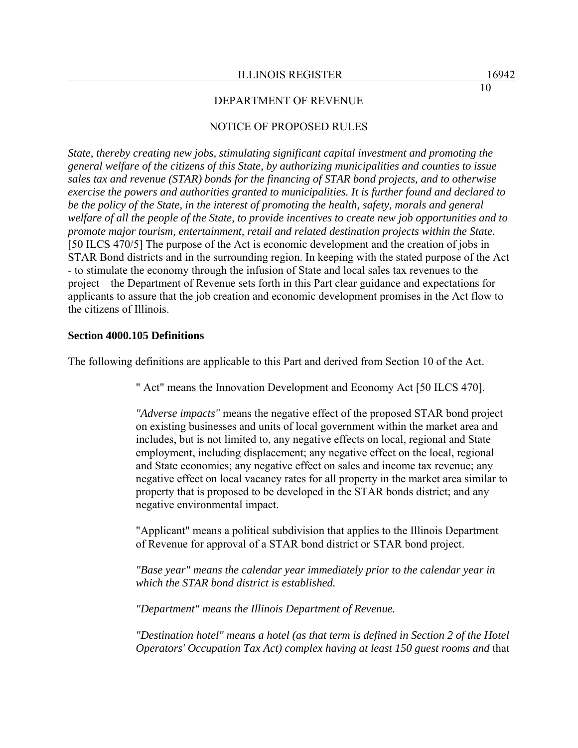## NOTICE OF PROPOSED RULES

*State, thereby creating new jobs, stimulating significant capital investment and promoting the general welfare of the citizens of this State, by authorizing municipalities and counties to issue sales tax and revenue (STAR) bonds for the financing of STAR bond projects, and to otherwise exercise the powers and authorities granted to municipalities. It is further found and declared to be the policy of the State, in the interest of promoting the health, safety, morals and general welfare of all the people of the State, to provide incentives to create new job opportunities and to promote major tourism, entertainment, retail and related destination projects within the State.* [50 ILCS 470/5] The purpose of the Act is economic development and the creation of jobs in STAR Bond districts and in the surrounding region. In keeping with the stated purpose of the Act - to stimulate the economy through the infusion of State and local sales tax revenues to the project – the Department of Revenue sets forth in this Part clear guidance and expectations for applicants to assure that the job creation and economic development promises in the Act flow to the citizens of Illinois.

#### **Section 4000.105 Definitions**

The following definitions are applicable to this Part and derived from Section 10 of the Act.

" Act" means the Innovation Development and Economy Act [50 ILCS 470].

*"Adverse impacts"* means the negative effect of the proposed STAR bond project on existing businesses and units of local government within the market area and includes, but is not limited to, any negative effects on local, regional and State employment, including displacement; any negative effect on the local, regional and State economies; any negative effect on sales and income tax revenue; any negative effect on local vacancy rates for all property in the market area similar to property that is proposed to be developed in the STAR bonds district; and any negative environmental impact.

"Applicant" means a political subdivision that applies to the Illinois Department of Revenue for approval of a STAR bond district or STAR bond project.

*"Base year" means the calendar year immediately prior to the calendar year in which the STAR bond district is established.*

*"Department" means the Illinois Department of Revenue.*

*"Destination hotel" means a hotel (as that term is defined in Section 2 of the Hotel Operators' Occupation Tax Act) complex having at least 150 guest rooms and* that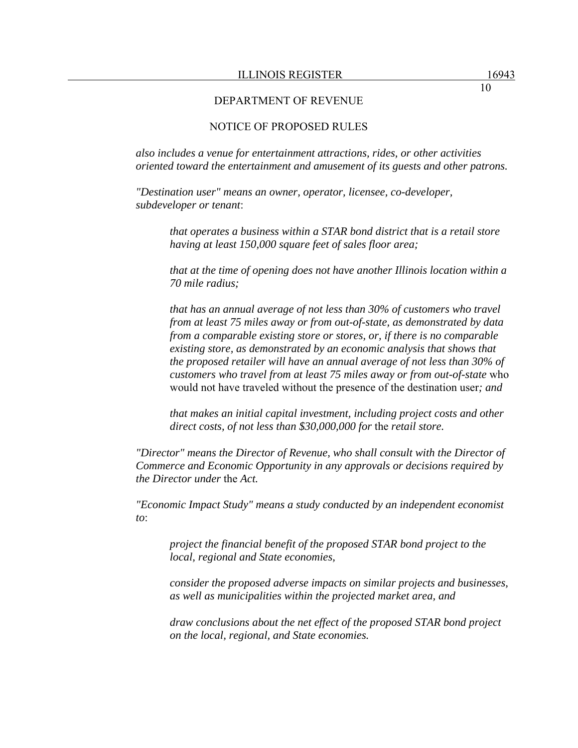## NOTICE OF PROPOSED RULES

*also includes a venue for entertainment attractions, rides, or other activities oriented toward the entertainment and amusement of its guests and other patrons.*

*"Destination user" means an owner, operator, licensee, co-developer, subdeveloper or tenant*:

> *that operates a business within a STAR bond district that is a retail store having at least 150,000 square feet of sales floor area;*

*that at the time of opening does not have another Illinois location within a 70 mile radius;* 

*that has an annual average of not less than 30% of customers who travel from at least 75 miles away or from out-of-state, as demonstrated by data from a comparable existing store or stores, or, if there is no comparable existing store, as demonstrated by an economic analysis that shows that the proposed retailer will have an annual average of not less than 30% of customers who travel from at least 75 miles away or from out-of-state* who would not have traveled without the presence of the destination user*; and* 

*that makes an initial capital investment, including project costs and other direct costs, of not less than \$30,000,000 for* the *retail store.* 

*"Director" means the Director of Revenue, who shall consult with the Director of Commerce and Economic Opportunity in any approvals or decisions required by the Director under* the *Act.* 

*"Economic Impact Study" means a study conducted by an independent economist to*:

*project the financial benefit of the proposed STAR bond project to the local, regional and State economies,* 

*consider the proposed adverse impacts on similar projects and businesses, as well as municipalities within the projected market area, and* 

*draw conclusions about the net effect of the proposed STAR bond project on the local, regional, and State economies.*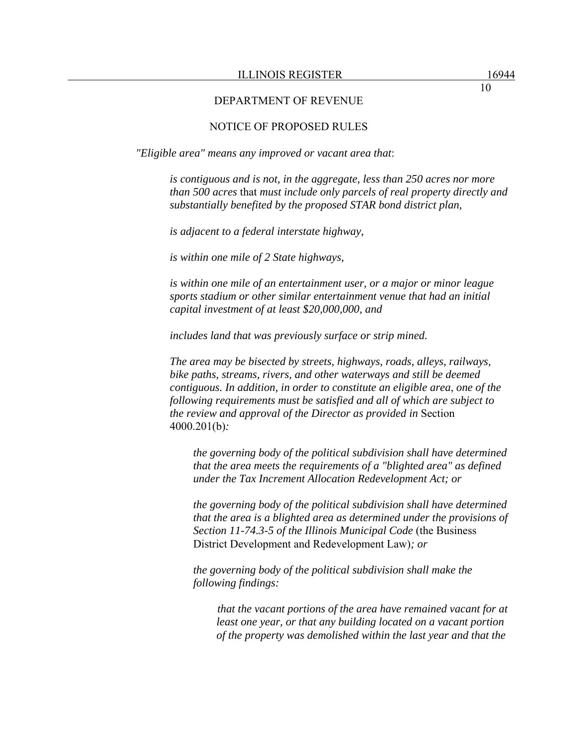### NOTICE OF PROPOSED RULES

*"Eligible area" means any improved or vacant area that*:

*is contiguous and is not, in the aggregate, less than 250 acres nor more than 500 acres* that *must include only parcels of real property directly and substantially benefited by the proposed STAR bond district plan,* 

*is adjacent to a federal interstate highway,* 

*is within one mile of 2 State highways,* 

*is within one mile of an entertainment user, or a major or minor league sports stadium or other similar entertainment venue that had an initial capital investment of at least \$20,000,000, and* 

*includes land that was previously surface or strip mined.* 

*The area may be bisected by streets, highways, roads, alleys, railways, bike paths, streams, rivers, and other waterways and still be deemed contiguous. In addition, in order to constitute an eligible area*, *one of the following requirements must be satisfied and all of which are subject to the review and approval of the Director as provided in* Section 4000.201(b)*:* 

*the governing body of the political subdivision shall have determined that the area meets the requirements of a "blighted area" as defined under the Tax Increment Allocation Redevelopment Act; or* 

*the governing body of the political subdivision shall have determined that the area is a blighted area as determined under the provisions of Section 11-74.3-5 of the Illinois Municipal Code* (the Business District Development and Redevelopment Law)*; or* 

*the governing body of the political subdivision shall make the following findings:* 

*that the vacant portions of the area have remained vacant for at least one year, or that any building located on a vacant portion of the property was demolished within the last year and that the*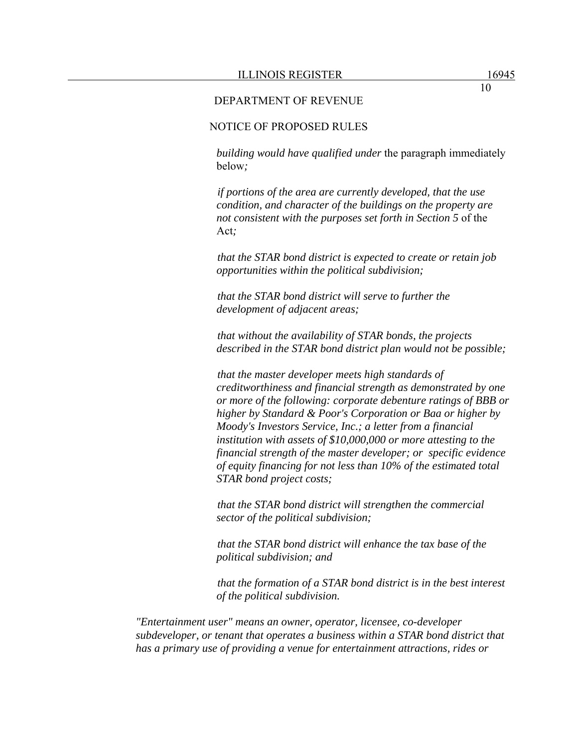10

#### DEPARTMENT OF REVENUE

## NOTICE OF PROPOSED RULES

*building would have qualified under* the paragraph immediately below*;* 

*if portions of the area are currently developed, that the use condition, and character of the buildings on the property are not consistent with the purposes set forth in Section 5* of the Act*;* 

*that the STAR bond district is expected to create or retain job opportunities within the political subdivision;* 

*that the STAR bond district will serve to further the development of adjacent areas;* 

*that without the availability of STAR bonds, the projects described in the STAR bond district plan would not be possible;* 

*that the master developer meets high standards of creditworthiness and financial strength as demonstrated by one or more of the following: corporate debenture ratings of BBB or higher by Standard & Poor's Corporation or Baa or higher by Moody's Investors Service, Inc.; a letter from a financial institution with assets of \$10,000,000 or more attesting to the financial strength of the master developer; or specific evidence of equity financing for not less than 10% of the estimated total STAR bond project costs;* 

*that the STAR bond district will strengthen the commercial sector of the political subdivision;* 

*that the STAR bond district will enhance the tax base of the political subdivision; and* 

*that the formation of a STAR bond district is in the best interest of the political subdivision.* 

*"Entertainment user" means an owner, operator, licensee, co-developer subdeveloper, or tenant that operates a business within a STAR bond district that has a primary use of providing a venue for entertainment attractions, rides or*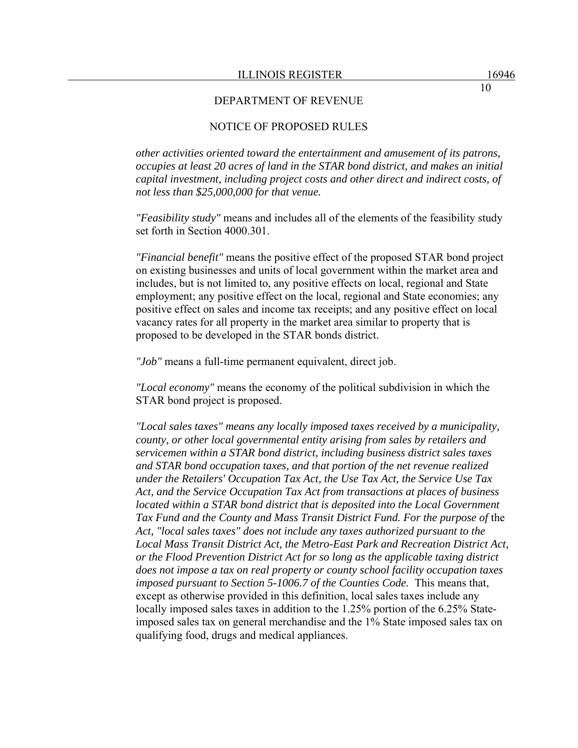## NOTICE OF PROPOSED RULES

*other activities oriented toward the entertainment and amusement of its patrons, occupies at least 20 acres of land in the STAR bond district, and makes an initial capital investment, including project costs and other direct and indirect costs, of not less than \$25,000,000 for that venue.* 

*"Feasibility study"* means and includes all of the elements of the feasibility study set forth in Section 4000.301.

*"Financial benefit"* means the positive effect of the proposed STAR bond project on existing businesses and units of local government within the market area and includes, but is not limited to, any positive effects on local, regional and State employment; any positive effect on the local, regional and State economies; any positive effect on sales and income tax receipts; and any positive effect on local vacancy rates for all property in the market area similar to property that is proposed to be developed in the STAR bonds district.

*"Job"* means a full-time permanent equivalent, direct job.

*"Local economy"* means the economy of the political subdivision in which the STAR bond project is proposed.

*"Local sales taxes" means any locally imposed taxes received by a municipality, county, or other local governmental entity arising from sales by retailers and servicemen within a STAR bond district, including business district sales taxes and STAR bond occupation taxes, and that portion of the net revenue realized under the Retailers' Occupation Tax Act, the Use Tax Act, the Service Use Tax Act, and the Service Occupation Tax Act from transactions at places of business located within a STAR bond district that is deposited into the Local Government*  Tax Fund and the County and Mass Transit District Fund. For the purpose of the *Act, "local sales taxes" does not include any taxes authorized pursuant to the Local Mass Transit District Act, the Metro-East Park and Recreation District Act, or the Flood Prevention District Act for so long as the applicable taxing district does not impose a tax on real property or county school facility occupation taxes imposed pursuant to Section 5-1006.7 of the Counties Code.* This means that, except as otherwise provided in this definition, local sales taxes include any locally imposed sales taxes in addition to the 1.25% portion of the 6.25% Stateimposed sales tax on general merchandise and the 1% State imposed sales tax on qualifying food, drugs and medical appliances.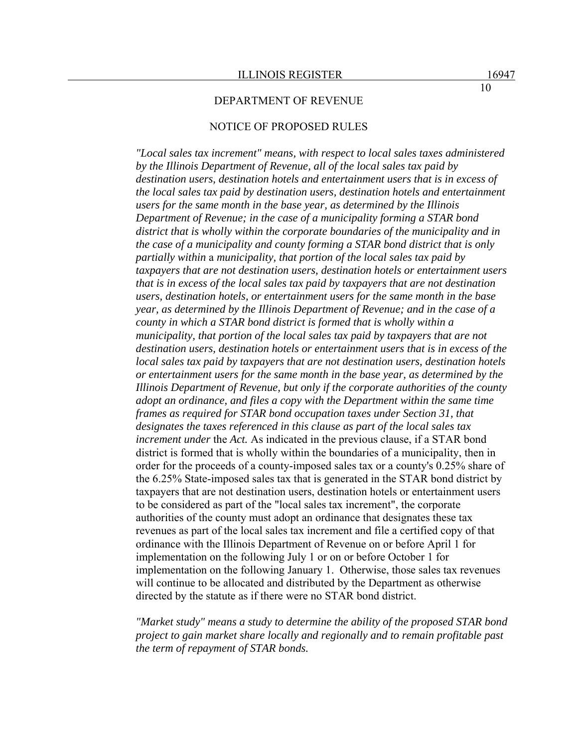### NOTICE OF PROPOSED RULES

*"Local sales tax increment" means, with respect to local sales taxes administered by the Illinois Department of Revenue, all of the local sales tax paid by destination users, destination hotels and entertainment users that is in excess of the local sales tax paid by destination users, destination hotels and entertainment users for the same month in the base year, as determined by the Illinois Department of Revenue; in the case of a municipality forming a STAR bond district that is wholly within the corporate boundaries of the municipality and in the case of a municipality and county forming a STAR bond district that is only partially within* a *municipality, that portion of the local sales tax paid by taxpayers that are not destination users, destination hotels or entertainment users that is in excess of the local sales tax paid by taxpayers that are not destination users, destination hotels, or entertainment users for the same month in the base year, as determined by the Illinois Department of Revenue; and in the case of a county in which a STAR bond district is formed that is wholly within a municipality, that portion of the local sales tax paid by taxpayers that are not destination users, destination hotels or entertainment users that is in excess of the local sales tax paid by taxpayers that are not destination users, destination hotels or entertainment users for the same month in the base year, as determined by the Illinois Department of Revenue, but only if the corporate authorities of the county adopt an ordinance, and files a copy with the Department within the same time frames as required for STAR bond occupation taxes under Section 31, that designates the taxes referenced in this clause as part of the local sales tax increment under* the *Act.* As indicated in the previous clause, if a STAR bond district is formed that is wholly within the boundaries of a municipality, then in order for the proceeds of a county-imposed sales tax or a county's 0.25% share of the 6.25% State-imposed sales tax that is generated in the STAR bond district by taxpayers that are not destination users, destination hotels or entertainment users to be considered as part of the "local sales tax increment", the corporate authorities of the county must adopt an ordinance that designates these tax revenues as part of the local sales tax increment and file a certified copy of that ordinance with the Illinois Department of Revenue on or before April 1 for implementation on the following July 1 or on or before October 1 for implementation on the following January 1. Otherwise, those sales tax revenues will continue to be allocated and distributed by the Department as otherwise directed by the statute as if there were no STAR bond district.

*"Market study" means a study to determine the ability of the proposed STAR bond project to gain market share locally and regionally and to remain profitable past the term of repayment of STAR bonds.*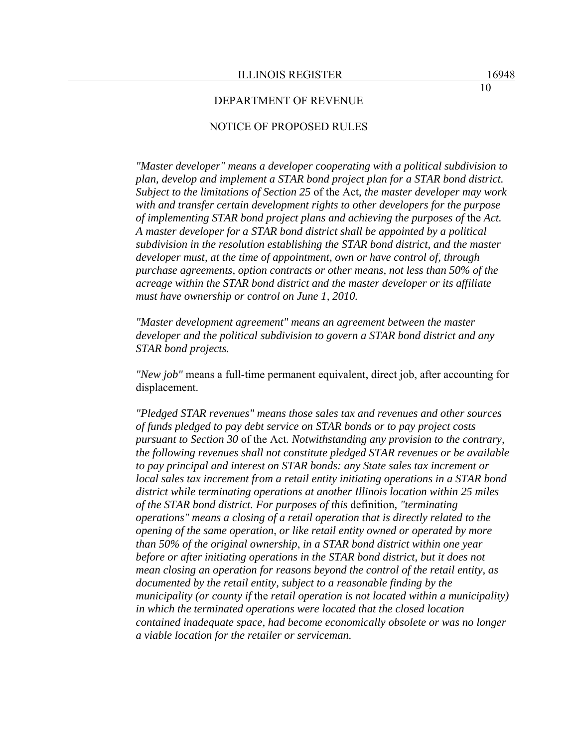## NOTICE OF PROPOSED RULES

*"Master developer" means a developer cooperating with a political subdivision to plan, develop and implement a STAR bond project plan for a STAR bond district. Subject to the limitations of Section 25* of the Act*, the master developer may work with and transfer certain development rights to other developers for the purpose of implementing STAR bond project plans and achieving the purposes of* the *Act. A master developer for a STAR bond district shall be appointed by a political subdivision in the resolution establishing the STAR bond district, and the master developer must, at the time of appointment, own or have control of, through purchase agreements, option contracts or other means, not less than 50% of the acreage within the STAR bond district and the master developer or its affiliate must have ownership or control on June 1, 2010.* 

*"Master development agreement" means an agreement between the master developer and the political subdivision to govern a STAR bond district and any STAR bond projects.* 

*"New job"* means a full-time permanent equivalent, direct job, after accounting for displacement.

*"Pledged STAR revenues" means those sales tax and revenues and other sources of funds pledged to pay debt service on STAR bonds or to pay project costs pursuant to Section 30* of the Act*. Notwithstanding any provision to the contrary, the following revenues shall not constitute pledged STAR revenues or be available to pay principal and interest on STAR bonds: any State sales tax increment or local sales tax increment from a retail entity initiating operations in a STAR bond district while terminating operations at another Illinois location within 25 miles of the STAR bond district. For purposes of this* definition*, "terminating operations" means a closing of a retail operation that is directly related to the opening of the same operation*, *or like retail entity owned or operated by more than 50% of the original ownership*, *in a STAR bond district within one year before or after initiating operations in the STAR bond district, but it does not mean closing an operation for reasons beyond the control of the retail entity, as documented by the retail entity, subject to a reasonable finding by the municipality (or county if* the *retail operation is not located within a municipality) in which the terminated operations were located that the closed location contained inadequate space, had become economically obsolete or was no longer a viable location for the retailer or serviceman.*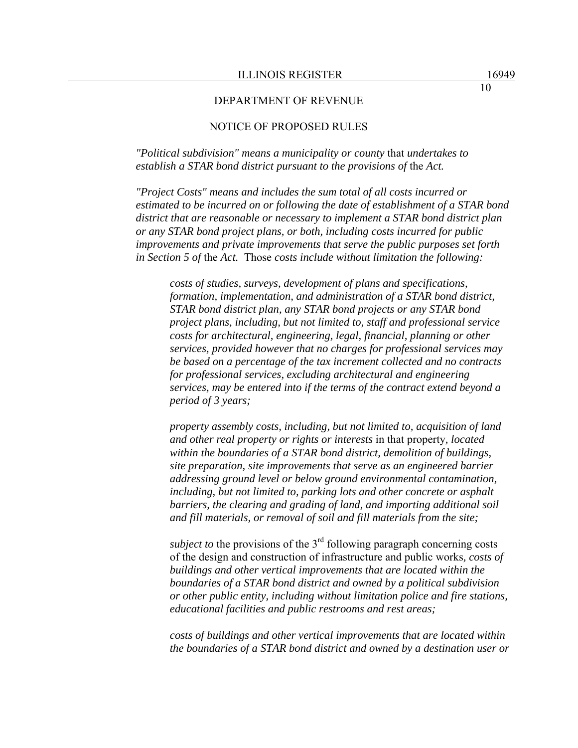## NOTICE OF PROPOSED RULES

*"Political subdivision" means a municipality or county* that *undertakes to establish a STAR bond district pursuant to the provisions of* the *Act.* 

*"Project Costs" means and includes the sum total of all costs incurred or estimated to be incurred on or following the date of establishment of a STAR bond district that are reasonable or necessary to implement a STAR bond district plan or any STAR bond project plans, or both, including costs incurred for public improvements and private improvements that serve the public purposes set forth in Section 5 of* the *Act.* Those *costs include without limitation the following:* 

*costs of studies, surveys, development of plans and specifications, formation, implementation, and administration of a STAR bond district, STAR bond district plan, any STAR bond projects or any STAR bond project plans, including, but not limited to, staff and professional service costs for architectural, engineering, legal, financial, planning or other services, provided however that no charges for professional services may be based on a percentage of the tax increment collected and no contracts for professional services, excluding architectural and engineering services, may be entered into if the terms of the contract extend beyond a period of 3 years;* 

*property assembly costs, including, but not limited to, acquisition of land and other real property or rights or interests* in that property*, located within the boundaries of a STAR bond district, demolition of buildings, site preparation, site improvements that serve as an engineered barrier addressing ground level or below ground environmental contamination, including, but not limited to, parking lots and other concrete or asphalt barriers, the clearing and grading of land, and importing additional soil and fill materials, or removal of soil and fill materials from the site;* 

*subject to the provisions of the*  $3<sup>rd</sup>$  following paragraph concerning costs of the design and construction of infrastructure and public works*, costs of buildings and other vertical improvements that are located within the boundaries of a STAR bond district and owned by a political subdivision or other public entity, including without limitation police and fire stations, educational facilities and public restrooms and rest areas;* 

*costs of buildings and other vertical improvements that are located within the boundaries of a STAR bond district and owned by a destination user or*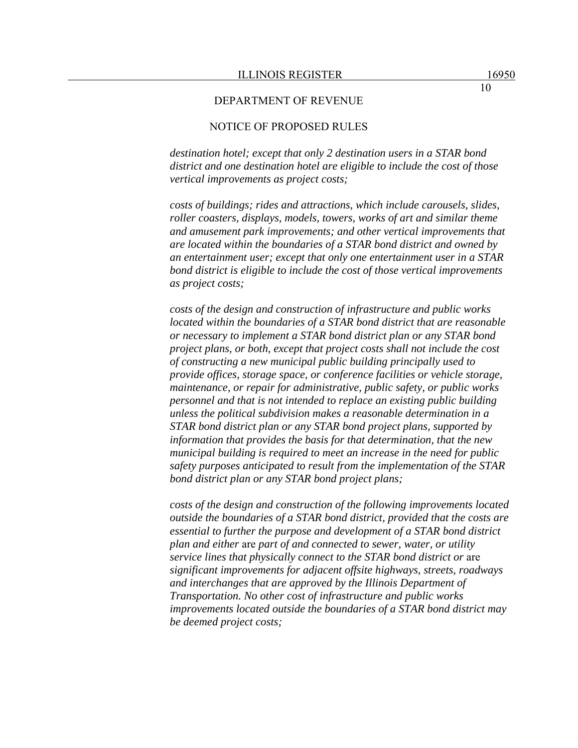## NOTICE OF PROPOSED RULES

*destination hotel; except that only 2 destination users in a STAR bond district and one destination hotel are eligible to include the cost of those vertical improvements as project costs;* 

*costs of buildings; rides and attractions, which include carousels, slides, roller coasters, displays, models, towers, works of art and similar theme and amusement park improvements; and other vertical improvements that are located within the boundaries of a STAR bond district and owned by an entertainment user; except that only one entertainment user in a STAR bond district is eligible to include the cost of those vertical improvements as project costs;* 

*costs of the design and construction of infrastructure and public works located within the boundaries of a STAR bond district that are reasonable or necessary to implement a STAR bond district plan or any STAR bond project plans, or both, except that project costs shall not include the cost of constructing a new municipal public building principally used to provide offices, storage space, or conference facilities or vehicle storage, maintenance, or repair for administrative, public safety, or public works personnel and that is not intended to replace an existing public building unless the political subdivision makes a reasonable determination in a STAR bond district plan or any STAR bond project plans, supported by information that provides the basis for that determination, that the new municipal building is required to meet an increase in the need for public safety purposes anticipated to result from the implementation of the STAR bond district plan or any STAR bond project plans;* 

*costs of the design and construction of the following improvements located outside the boundaries of a STAR bond district, provided that the costs are essential to further the purpose and development of a STAR bond district plan and either* are *part of and connected to sewer, water, or utility service lines that physically connect to the STAR bond district or* are *significant improvements for adjacent offsite highways, streets, roadways and interchanges that are approved by the Illinois Department of Transportation. No other cost of infrastructure and public works improvements located outside the boundaries of a STAR bond district may be deemed project costs;*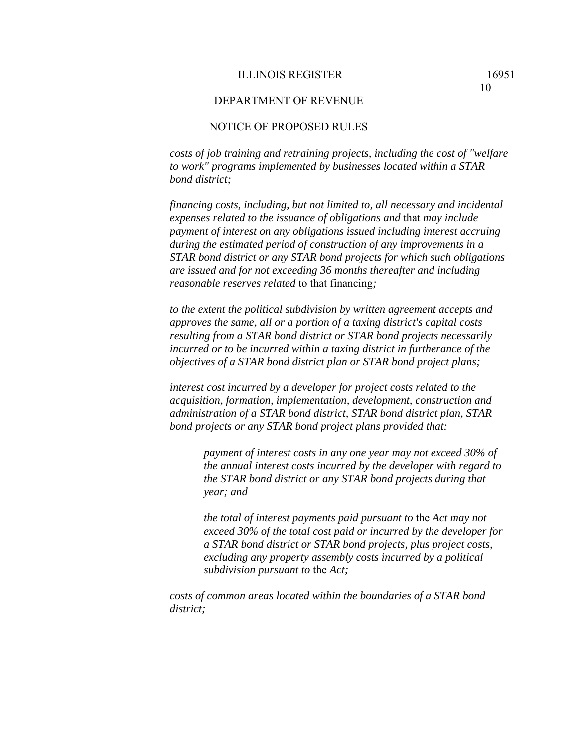## NOTICE OF PROPOSED RULES

*costs of job training and retraining projects, including the cost of "welfare to work" programs implemented by businesses located within a STAR bond district;* 

*financing costs, including, but not limited to, all necessary and incidental expenses related to the issuance of obligations and* that *may include payment of interest on any obligations issued including interest accruing during the estimated period of construction of any improvements in a STAR bond district or any STAR bond projects for which such obligations are issued and for not exceeding 36 months thereafter and including reasonable reserves related* to that financing*;* 

*to the extent the political subdivision by written agreement accepts and approves the same, all or a portion of a taxing district's capital costs resulting from a STAR bond district or STAR bond projects necessarily incurred or to be incurred within a taxing district in furtherance of the objectives of a STAR bond district plan or STAR bond project plans;* 

*interest cost incurred by a developer for project costs related to the acquisition, formation, implementation, development, construction and administration of a STAR bond district, STAR bond district plan, STAR bond projects or any STAR bond project plans provided that:* 

> *payment of interest costs in any one year may not exceed 30% of the annual interest costs incurred by the developer with regard to the STAR bond district or any STAR bond projects during that year; and*

> *the total of interest payments paid pursuant to* the *Act may not exceed 30% of the total cost paid or incurred by the developer for a STAR bond district or STAR bond projects, plus project costs, excluding any property assembly costs incurred by a political subdivision pursuant to* the *Act;*

*costs of common areas located within the boundaries of a STAR bond district;*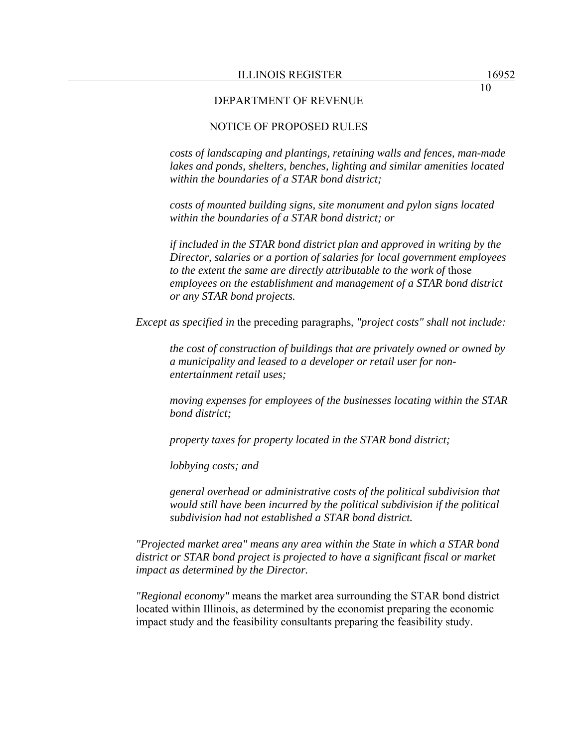## NOTICE OF PROPOSED RULES

*costs of landscaping and plantings, retaining walls and fences, man-made lakes and ponds, shelters, benches, lighting and similar amenities located within the boundaries of a STAR bond district;* 

*costs of mounted building signs, site monument and pylon signs located within the boundaries of a STAR bond district; or* 

*if included in the STAR bond district plan and approved in writing by the Director, salaries or a portion of salaries for local government employees to the extent the same are directly attributable to the work of* those *employees on the establishment and management of a STAR bond district or any STAR bond projects.* 

*Except as specified in* the preceding paragraphs, *"project costs" shall not include:* 

*the cost of construction of buildings that are privately owned or owned by a municipality and leased to a developer or retail user for nonentertainment retail uses;* 

*moving expenses for employees of the businesses locating within the STAR bond district;* 

*property taxes for property located in the STAR bond district;* 

*lobbying costs; and* 

*general overhead or administrative costs of the political subdivision that would still have been incurred by the political subdivision if the political subdivision had not established a STAR bond district.* 

*"Projected market area" means any area within the State in which a STAR bond district or STAR bond project is projected to have a significant fiscal or market impact as determined by the Director.* 

*"Regional economy"* means the market area surrounding the STAR bond district located within Illinois, as determined by the economist preparing the economic impact study and the feasibility consultants preparing the feasibility study.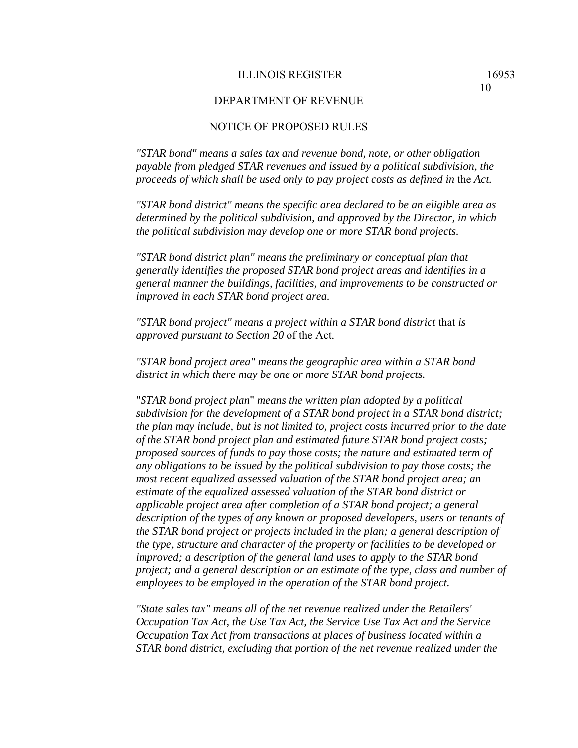## NOTICE OF PROPOSED RULES

*"STAR bond" means a sales tax and revenue bond, note, or other obligation payable from pledged STAR revenues and issued by a political subdivision, the proceeds of which shall be used only to pay project costs as defined in the Act.* 

*"STAR bond district" means the specific area declared to be an eligible area as determined by the political subdivision, and approved by the Director, in which the political subdivision may develop one or more STAR bond projects.* 

*"STAR bond district plan" means the preliminary or conceptual plan that generally identifies the proposed STAR bond project areas and identifies in a general manner the buildings, facilities, and improvements to be constructed or improved in each STAR bond project area.* 

*"STAR bond project" means a project within a STAR bond district* that *is approved pursuant to Section 20* of the Act*.* 

*"STAR bond project area" means the geographic area within a STAR bond district in which there may be one or more STAR bond projects.* 

"*STAR bond project plan*" *means the written plan adopted by a political subdivision for the development of a STAR bond project in a STAR bond district; the plan may include, but is not limited to, project costs incurred prior to the date of the STAR bond project plan and estimated future STAR bond project costs; proposed sources of funds to pay those costs; the nature and estimated term of any obligations to be issued by the political subdivision to pay those costs; the most recent equalized assessed valuation of the STAR bond project area; an estimate of the equalized assessed valuation of the STAR bond district or applicable project area after completion of a STAR bond project; a general description of the types of any known or proposed developers, users or tenants of the STAR bond project or projects included in the plan; a general description of the type, structure and character of the property or facilities to be developed or improved; a description of the general land uses to apply to the STAR bond project; and a general description or an estimate of the type, class and number of employees to be employed in the operation of the STAR bond project.* 

*"State sales tax" means all of the net revenue realized under the Retailers' Occupation Tax Act, the Use Tax Act, the Service Use Tax Act and the Service Occupation Tax Act from transactions at places of business located within a STAR bond district, excluding that portion of the net revenue realized under the*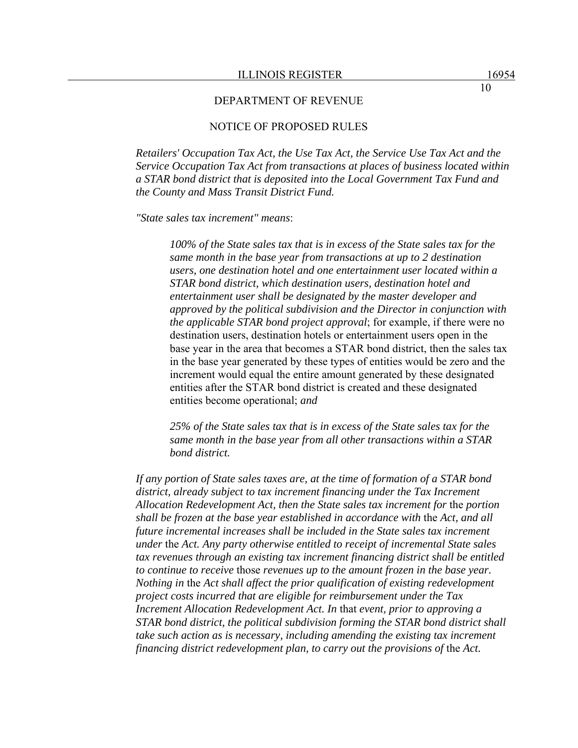## NOTICE OF PROPOSED RULES

*Retailers' Occupation Tax Act, the Use Tax Act, the Service Use Tax Act and the Service Occupation Tax Act from transactions at places of business located within a STAR bond district that is deposited into the Local Government Tax Fund and the County and Mass Transit District Fund.* 

*"State sales tax increment" means*:

*100% of the State sales tax that is in excess of the State sales tax for the same month in the base year from transactions at up to 2 destination users, one destination hotel and one entertainment user located within a STAR bond district, which destination users, destination hotel and entertainment user shall be designated by the master developer and approved by the political subdivision and the Director in conjunction with the applicable STAR bond project approval*; for example, if there were no destination users, destination hotels or entertainment users open in the base year in the area that becomes a STAR bond district, then the sales tax in the base year generated by these types of entities would be zero and the increment would equal the entire amount generated by these designated entities after the STAR bond district is created and these designated entities become operational; *and* 

*25% of the State sales tax that is in excess of the State sales tax for the same month in the base year from all other transactions within a STAR bond district.* 

*If any portion of State sales taxes are, at the time of formation of a STAR bond district, already subject to tax increment financing under the Tax Increment Allocation Redevelopment Act, then the State sales tax increment for* the *portion shall be frozen at the base year established in accordance with* the *Act, and all future incremental increases shall be included in the State sales tax increment under* the *Act. Any party otherwise entitled to receipt of incremental State sales tax revenues through an existing tax increment financing district shall be entitled to continue to receive* those *revenues up to the amount frozen in the base year. Nothing in* the *Act shall affect the prior qualification of existing redevelopment project costs incurred that are eligible for reimbursement under the Tax Increment Allocation Redevelopment Act. In* that *event, prior to approving a STAR bond district, the political subdivision forming the STAR bond district shall take such action as is necessary, including amending the existing tax increment financing district redevelopment plan, to carry out the provisions of the Act.*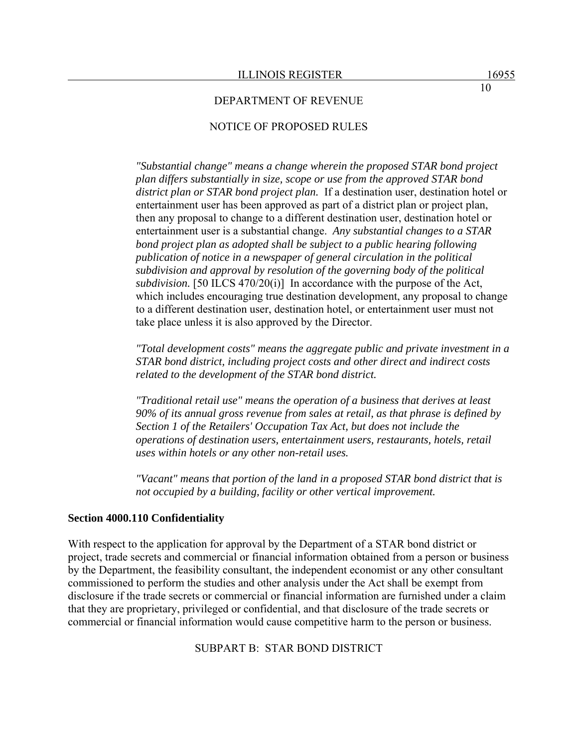### NOTICE OF PROPOSED RULES

*"Substantial change" means a change wherein the proposed STAR bond project plan differs substantially in size, scope or use from the approved STAR bond district plan or STAR bond project plan.* If a destination user, destination hotel or entertainment user has been approved as part of a district plan or project plan, then any proposal to change to a different destination user, destination hotel or entertainment user is a substantial change. *Any substantial changes to a STAR bond project plan as adopted shall be subject to a public hearing following publication of notice in a newspaper of general circulation in the political subdivision and approval by resolution of the governing body of the political subdivision.* [50 ILCS 470/20(i)] In accordance with the purpose of the Act, which includes encouraging true destination development, any proposal to change to a different destination user, destination hotel, or entertainment user must not take place unless it is also approved by the Director.

*"Total development costs" means the aggregate public and private investment in a STAR bond district, including project costs and other direct and indirect costs related to the development of the STAR bond district.* 

*"Traditional retail use" means the operation of a business that derives at least 90% of its annual gross revenue from sales at retail, as that phrase is defined by Section 1 of the Retailers' Occupation Tax Act, but does not include the operations of destination users, entertainment users, restaurants, hotels, retail uses within hotels or any other non-retail uses.* 

*"Vacant" means that portion of the land in a proposed STAR bond district that is not occupied by a building, facility or other vertical improvement.* 

#### **Section 4000.110 Confidentiality**

With respect to the application for approval by the Department of a STAR bond district or project, trade secrets and commercial or financial information obtained from a person or business by the Department, the feasibility consultant, the independent economist or any other consultant commissioned to perform the studies and other analysis under the Act shall be exempt from disclosure if the trade secrets or commercial or financial information are furnished under a claim that they are proprietary, privileged or confidential, and that disclosure of the trade secrets or commercial or financial information would cause competitive harm to the person or business.

SUBPART B: STAR BOND DISTRICT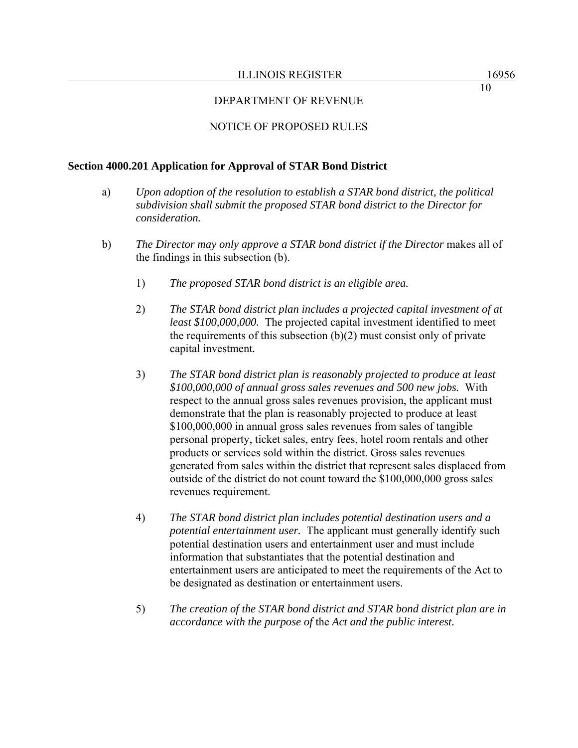## DEPARTMENT OF REVENUE

### NOTICE OF PROPOSED RULES

#### **Section 4000.201 Application for Approval of STAR Bond District**

- a) *Upon adoption of the resolution to establish a STAR bond district, the political subdivision shall submit the proposed STAR bond district to the Director for consideration.*
- b) The Director may only approve a STAR bond district if the Director makes all of the findings in this subsection (b).
	- 1) *The proposed STAR bond district is an eligible area.*
	- 2) *The STAR bond district plan includes a projected capital investment of at least \$100,000,000.* The projected capital investment identified to meet the requirements of this subsection  $(b)(2)$  must consist only of private capital investment*.*
	- 3) *The STAR bond district plan is reasonably projected to produce at least \$100,000,000 of annual gross sales revenues and 500 new jobs.* With respect to the annual gross sales revenues provision, the applicant must demonstrate that the plan is reasonably projected to produce at least \$100,000,000 in annual gross sales revenues from sales of tangible personal property, ticket sales, entry fees, hotel room rentals and other products or services sold within the district. Gross sales revenues generated from sales within the district that represent sales displaced from outside of the district do not count toward the \$100,000,000 gross sales revenues requirement.
	- 4) *The STAR bond district plan includes potential destination users and a potential entertainment user.* The applicant must generally identify such potential destination users and entertainment user and must include information that substantiates that the potential destination and entertainment users are anticipated to meet the requirements of the Act to be designated as destination or entertainment users.
	- 5) *The creation of the STAR bond district and STAR bond district plan are in accordance with the purpose of* the *Act and the public interest.*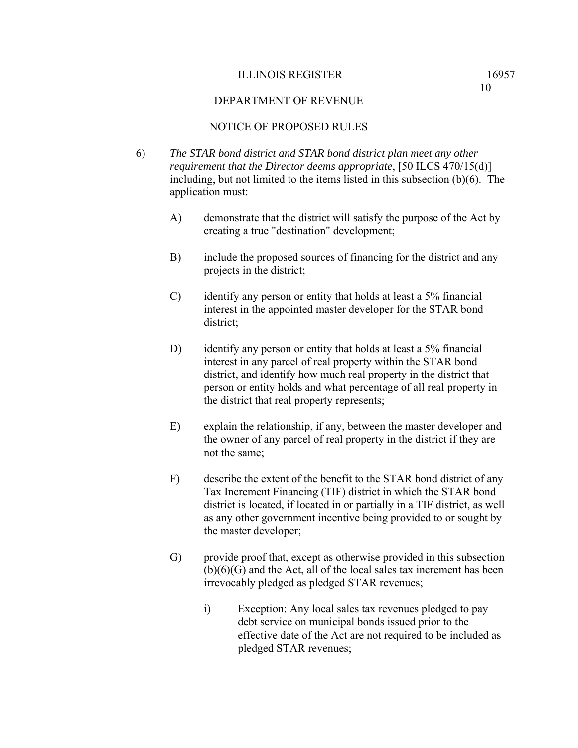#### ILLINOIS REGISTER 16957

### DEPARTMENT OF REVENUE

## NOTICE OF PROPOSED RULES

- 6) *The STAR bond district and STAR bond district plan meet any other requirement that the Director deems appropriate*, [50 ILCS 470/15(d)] including, but not limited to the items listed in this subsection (b)(6). The application must:
	- A) demonstrate that the district will satisfy the purpose of the Act by creating a true "destination" development;
	- B) include the proposed sources of financing for the district and any projects in the district;
	- C) identify any person or entity that holds at least a 5% financial interest in the appointed master developer for the STAR bond district;
	- D) identify any person or entity that holds at least a 5% financial interest in any parcel of real property within the STAR bond district, and identify how much real property in the district that person or entity holds and what percentage of all real property in the district that real property represents;
	- E) explain the relationship, if any, between the master developer and the owner of any parcel of real property in the district if they are not the same;
	- F) describe the extent of the benefit to the STAR bond district of any Tax Increment Financing (TIF) district in which the STAR bond district is located, if located in or partially in a TIF district, as well as any other government incentive being provided to or sought by the master developer;
	- G) provide proof that, except as otherwise provided in this subsection  $(b)(6)(G)$  and the Act, all of the local sales tax increment has been irrevocably pledged as pledged STAR revenues;
		- i) Exception: Any local sales tax revenues pledged to pay debt service on municipal bonds issued prior to the effective date of the Act are not required to be included as pledged STAR revenues;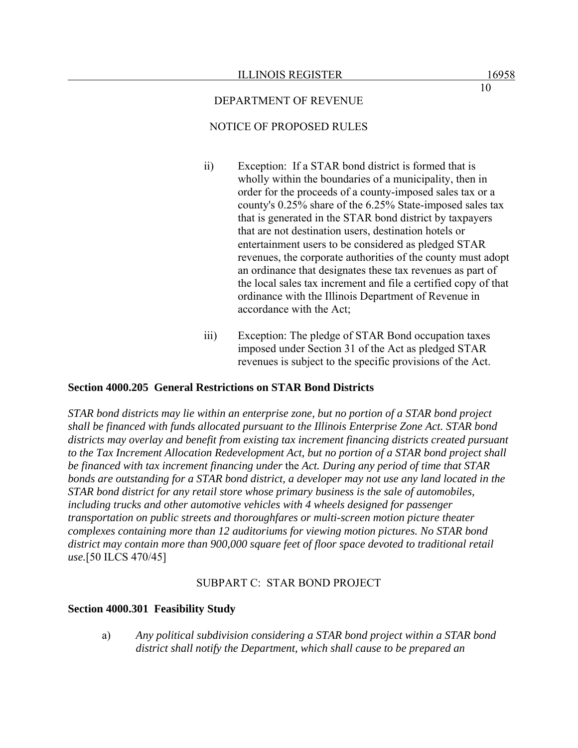## DEPARTMENT OF REVENUE

## NOTICE OF PROPOSED RULES

- ii) Exception: If a STAR bond district is formed that is wholly within the boundaries of a municipality, then in order for the proceeds of a county-imposed sales tax or a county's 0.25% share of the 6.25% State-imposed sales tax that is generated in the STAR bond district by taxpayers that are not destination users, destination hotels or entertainment users to be considered as pledged STAR revenues, the corporate authorities of the county must adopt an ordinance that designates these tax revenues as part of the local sales tax increment and file a certified copy of that ordinance with the Illinois Department of Revenue in accordance with the Act;
- iii) Exception: The pledge of STAR Bond occupation taxes imposed under Section 31 of the Act as pledged STAR revenues is subject to the specific provisions of the Act.

## **Section 4000.205 General Restrictions on STAR Bond Districts**

*STAR bond districts may lie within an enterprise zone, but no portion of a STAR bond project shall be financed with funds allocated pursuant to the Illinois Enterprise Zone Act. STAR bond districts may overlay and benefit from existing tax increment financing districts created pursuant to the Tax Increment Allocation Redevelopment Act, but no portion of a STAR bond project shall be financed with tax increment financing under* the *Act. During any period of time that STAR bonds are outstanding for a STAR bond district, a developer may not use any land located in the STAR bond district for any retail store whose primary business is the sale of automobiles, including trucks and other automotive vehicles with 4 wheels designed for passenger transportation on public streets and thoroughfares or multi-screen motion picture theater complexes containing more than 12 auditoriums for viewing motion pictures. No STAR bond district may contain more than 900,000 square feet of floor space devoted to traditional retail use.*[50 ILCS 470/45]

## SUBPART C: STAR BOND PROJECT

#### **Section 4000.301 Feasibility Study**

a) *Any political subdivision considering a STAR bond project within a STAR bond district shall notify the Department, which shall cause to be prepared an*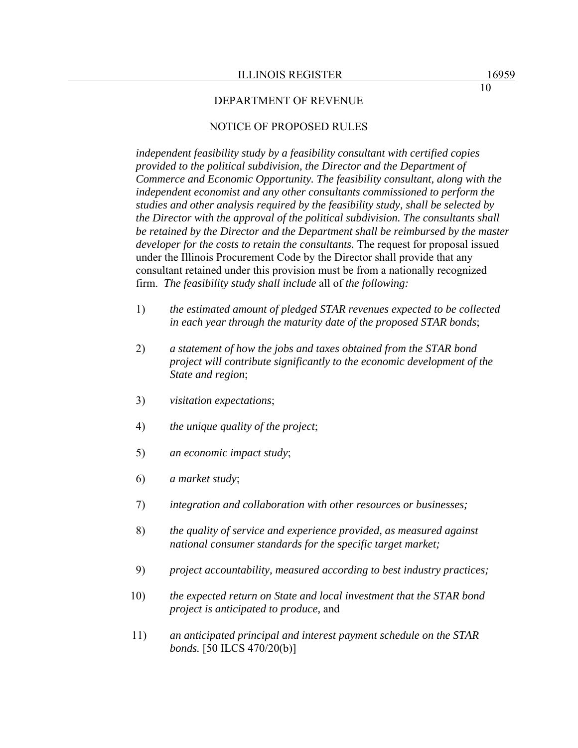#### DEPARTMENT OF REVENUE

## NOTICE OF PROPOSED RULES

*independent feasibility study by a feasibility consultant with certified copies provided to the political subdivision, the Director and the Department of Commerce and Economic Opportunity. The feasibility consultant, along with the independent economist and any other consultants commissioned to perform the studies and other analysis required by the feasibility study, shall be selected by the Director with the approval of the political subdivision. The consultants shall be retained by the Director and the Department shall be reimbursed by the master developer for the costs to retain the consultants.* The request for proposal issued under the Illinois Procurement Code by the Director shall provide that any consultant retained under this provision must be from a nationally recognized firm. *The feasibility study shall include* all of *the following:*

- 1) *the estimated amount of pledged STAR revenues expected to be collected in each year through the maturity date of the proposed STAR bonds*;
- 2) *a statement of how the jobs and taxes obtained from the STAR bond project will contribute significantly to the economic development of the State and region*;
- 3) *visitation expectations*;
- 4) *the unique quality of the project*;
- 5) *an economic impact study*;
- 6) *a market study*;
- 7) *integration and collaboration with other resources or businesses;*
- 8) *the quality of service and experience provided, as measured against national consumer standards for the specific target market;*
- 9) *project accountability, measured according to best industry practices;*
- 10) *the expected return on State and local investment that the STAR bond project is anticipated to produce,* and
- 11) *an anticipated principal and interest payment schedule on the STAR bonds.* [50 ILCS 470/20(b)]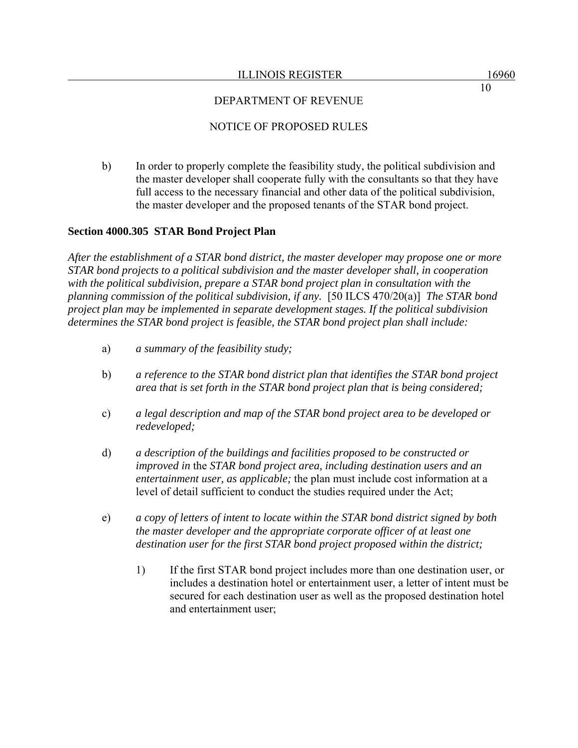### ILLINOIS REGISTER 16960

## DEPARTMENT OF REVENUE

## NOTICE OF PROPOSED RULES

b) In order to properly complete the feasibility study, the political subdivision and the master developer shall cooperate fully with the consultants so that they have full access to the necessary financial and other data of the political subdivision, the master developer and the proposed tenants of the STAR bond project.

## **Section 4000.305 STAR Bond Project Plan**

*After the establishment of a STAR bond district, the master developer may propose one or more STAR bond projects to a political subdivision and the master developer shall, in cooperation with the political subdivision, prepare a STAR bond project plan in consultation with the planning commission of the political subdivision, if any.* [50 ILCS 470/20(a)] *The STAR bond project plan may be implemented in separate development stages. If the political subdivision determines the STAR bond project is feasible, the STAR bond project plan shall include:*

- a) *a summary of the feasibility study;*
- b) *a reference to the STAR bond district plan that identifies the STAR bond project area that is set forth in the STAR bond project plan that is being considered;*
- c) *a legal description and map of the STAR bond project area to be developed or redeveloped;*
- d) *a description of the buildings and facilities proposed to be constructed or improved in* the *STAR bond project area, including destination users and an entertainment user, as applicable;* the plan must include cost information at a level of detail sufficient to conduct the studies required under the Act;
- e) *a copy of letters of intent to locate within the STAR bond district signed by both the master developer and the appropriate corporate officer of at least one destination user for the first STAR bond project proposed within the district;* 
	- 1) If the first STAR bond project includes more than one destination user, or includes a destination hotel or entertainment user, a letter of intent must be secured for each destination user as well as the proposed destination hotel and entertainment user;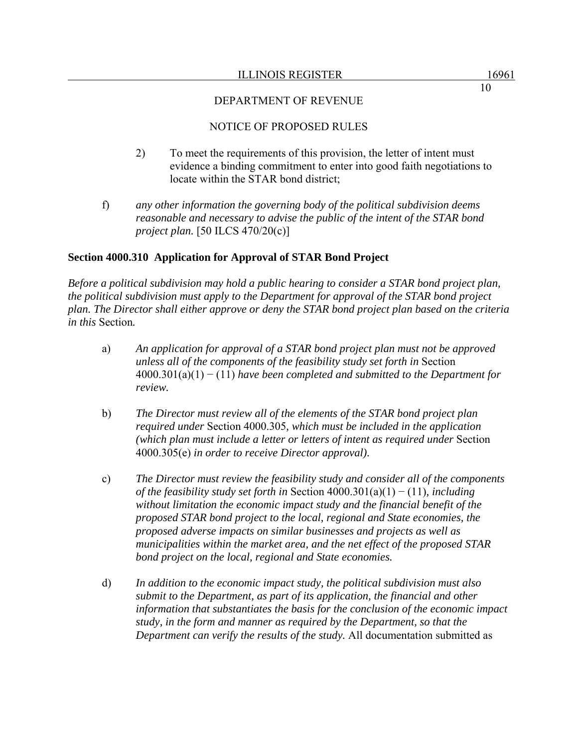# DEPARTMENT OF REVENUE

## NOTICE OF PROPOSED RULES

- 2) To meet the requirements of this provision, the letter of intent must evidence a binding commitment to enter into good faith negotiations to locate within the STAR bond district;
- f) *any other information the governing body of the political subdivision deems reasonable and necessary to advise the public of the intent of the STAR bond project plan.* [50 ILCS 470/20(c)]

# **Section 4000.310 Application for Approval of STAR Bond Project**

*Before a political subdivision may hold a public hearing to consider a STAR bond project plan, the political subdivision must apply to the Department for approval of the STAR bond project plan. The Director shall either approve or deny the STAR bond project plan based on the criteria in this* Section*.*

- a) *An application for approval of a STAR bond project plan must not be approved unless all of the components of the feasibility study set forth in* Section 4000.301(a)(1) − (11) *have been completed and submitted to the Department for review.*
- b) *The Director must review all of the elements of the STAR bond project plan required under* Section 4000.305*, which must be included in the application (which plan must include a letter or letters of intent as required under* Section 4000.305(e) *in order to receive Director approval).*
- c) *The Director must review the feasibility study and consider all of the components of the feasibility study set forth in* Section 4000.301(a)(1) − (11)*, including without limitation the economic impact study and the financial benefit of the proposed STAR bond project to the local, regional and State economies, the proposed adverse impacts on similar businesses and projects as well as municipalities within the market area, and the net effect of the proposed STAR bond project on the local, regional and State economies.*
- d) *In addition to the economic impact study, the political subdivision must also submit to the Department, as part of its application, the financial and other information that substantiates the basis for the conclusion of the economic impact study, in the form and manner as required by the Department, so that the Department can verify the results of the study.* All documentation submitted as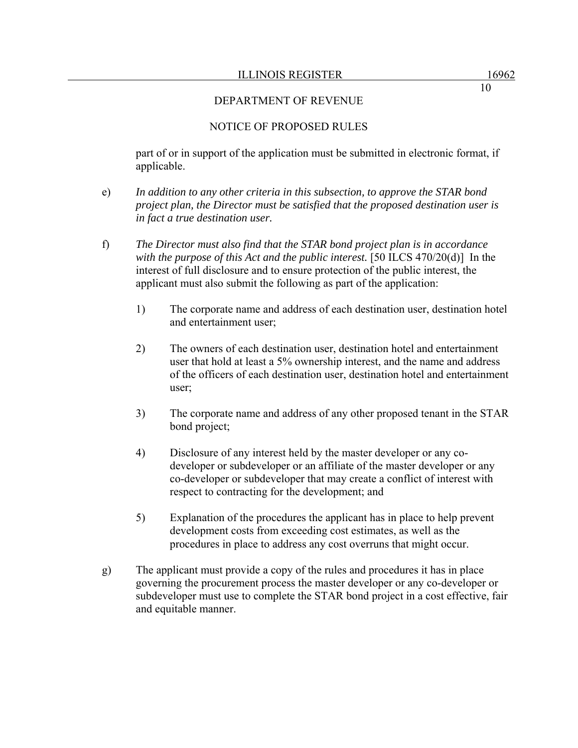10

### DEPARTMENT OF REVENUE

### NOTICE OF PROPOSED RULES

part of or in support of the application must be submitted in electronic format, if applicable.

- e) *In addition to any other criteria in this subsection, to approve the STAR bond project plan, the Director must be satisfied that the proposed destination user is in fact a true destination user.*
- f) *The Director must also find that the STAR bond project plan is in accordance with the purpose of this Act and the public interest.* [50 ILCS 470/20(d)] In the interest of full disclosure and to ensure protection of the public interest, the applicant must also submit the following as part of the application:
	- 1) The corporate name and address of each destination user, destination hotel and entertainment user;
	- 2) The owners of each destination user, destination hotel and entertainment user that hold at least a 5% ownership interest, and the name and address of the officers of each destination user, destination hotel and entertainment user;
	- 3) The corporate name and address of any other proposed tenant in the STAR bond project;
	- 4) Disclosure of any interest held by the master developer or any codeveloper or subdeveloper or an affiliate of the master developer or any co-developer or subdeveloper that may create a conflict of interest with respect to contracting for the development; and
	- 5) Explanation of the procedures the applicant has in place to help prevent development costs from exceeding cost estimates, as well as the procedures in place to address any cost overruns that might occur.
- g) The applicant must provide a copy of the rules and procedures it has in place governing the procurement process the master developer or any co-developer or subdeveloper must use to complete the STAR bond project in a cost effective, fair and equitable manner.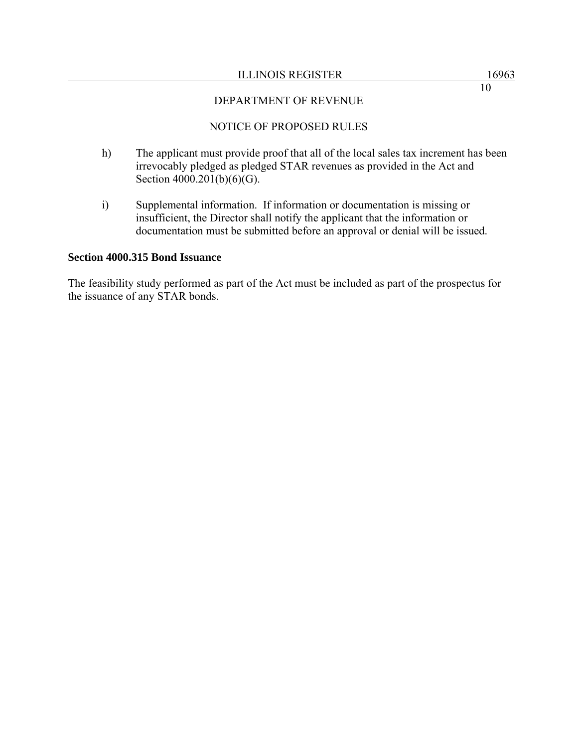### ILLINOIS REGISTER 16963

10

## DEPARTMENT OF REVENUE

## NOTICE OF PROPOSED RULES

- h) The applicant must provide proof that all of the local sales tax increment has been irrevocably pledged as pledged STAR revenues as provided in the Act and Section 4000.201(b)(6)(G).
- i) Supplemental information. If information or documentation is missing or insufficient, the Director shall notify the applicant that the information or documentation must be submitted before an approval or denial will be issued.

### **Section 4000.315 Bond Issuance**

The feasibility study performed as part of the Act must be included as part of the prospectus for the issuance of any STAR bonds.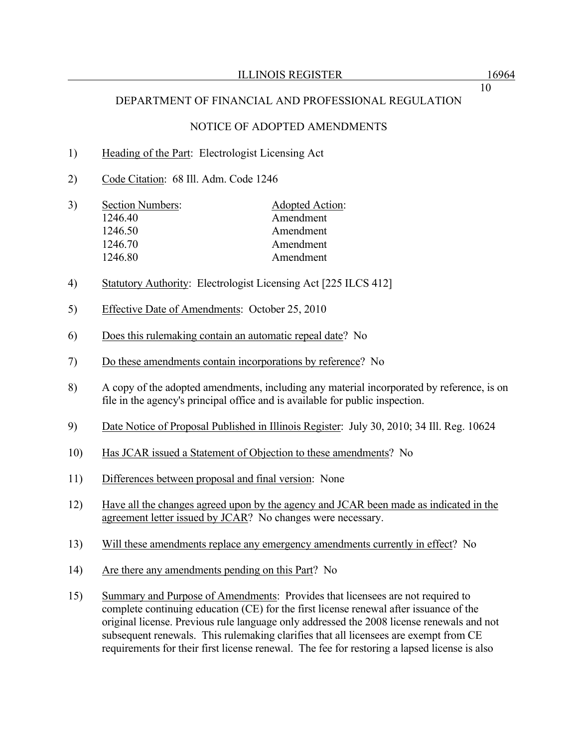# NOTICE OF ADOPTED AMENDMENTS

# 1) Heading of the Part: Electrologist Licensing Act

- 2) Code Citation: 68 Ill. Adm. Code 1246
- 3) Section Numbers: Adopted Action: 1246.40 Amendment 1246.50 Amendment 1246.70 Amendment 1246.80 Amendment
- 4) Statutory Authority: Electrologist Licensing Act [225 ILCS 412]
- 5) Effective Date of Amendments: October 25, 2010
- 6) Does this rulemaking contain an automatic repeal date? No
- 7) Do these amendments contain incorporations by reference? No
- 8) A copy of the adopted amendments, including any material incorporated by reference, is on file in the agency's principal office and is available for public inspection.
- 9) Date Notice of Proposal Published in Illinois Register: July 30, 2010; 34 Ill. Reg. 10624
- 10) Has JCAR issued a Statement of Objection to these amendments? No
- 11) Differences between proposal and final version: None
- 12) Have all the changes agreed upon by the agency and JCAR been made as indicated in the agreement letter issued by JCAR? No changes were necessary.
- 13) Will these amendments replace any emergency amendments currently in effect? No
- 14) Are there any amendments pending on this Part? No
- 15) Summary and Purpose of Amendments: Provides that licensees are not required to complete continuing education (CE) for the first license renewal after issuance of the original license. Previous rule language only addressed the 2008 license renewals and not subsequent renewals. This rulemaking clarifies that all licensees are exempt from CE requirements for their first license renewal. The fee for restoring a lapsed license is also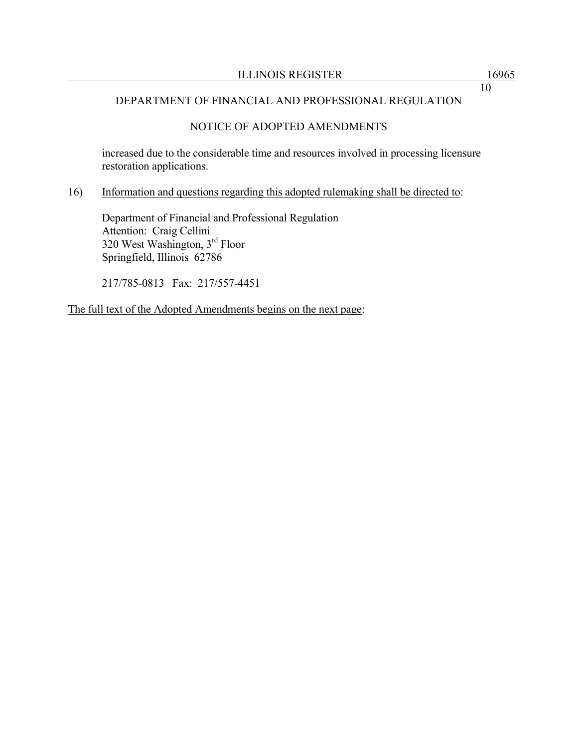## NOTICE OF ADOPTED AMENDMENTS

increased due to the considerable time and resources involved in processing licensure restoration applications.

## 16) Information and questions regarding this adopted rulemaking shall be directed to:

 Department of Financial and Professional Regulation Attention: Craig Cellini 320 West Washington, 3rd Floor Springfield, Illinois 62786

217/785-0813 Fax: 217/557-4451

The full text of the Adopted Amendments begins on the next page: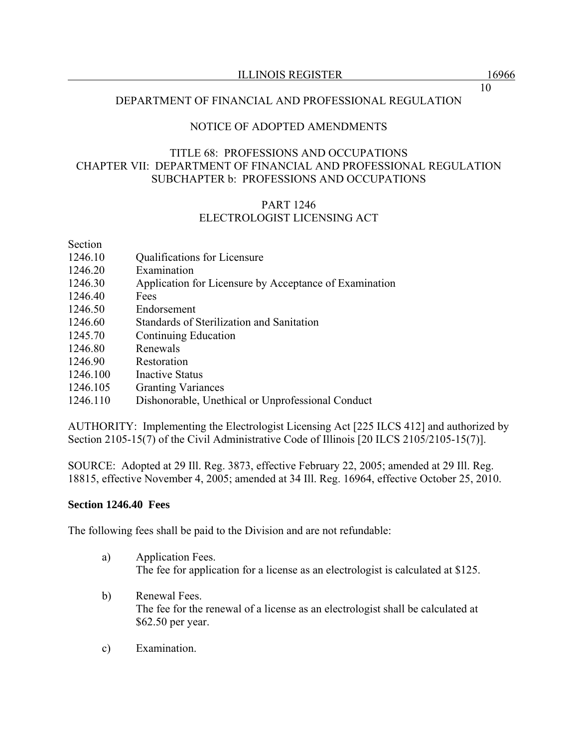## NOTICE OF ADOPTED AMENDMENTS

## TITLE 68: PROFESSIONS AND OCCUPATIONS CHAPTER VII: DEPARTMENT OF FINANCIAL AND PROFESSIONAL REGULATION SUBCHAPTER b: PROFESSIONS AND OCCUPATIONS

## PART 1246 ELECTROLOGIST LICENSING ACT

## Section

- 1246.10 **Qualifications for Licensure**
- 1246.20 Examination
- 1246.30 Application for Licensure by Acceptance of Examination
- 1246.40 Fees
- 1246.50 Endorsement
- 1246.60 Standards of Sterilization and Sanitation
- 1245.70 Continuing Education
- 1246.80 Renewals
- 1246.90 Restoration
- 1246.100 Inactive Status
- 1246.105 Granting Variances
- 1246.110 Dishonorable, Unethical or Unprofessional Conduct

AUTHORITY: Implementing the Electrologist Licensing Act [225 ILCS 412] and authorized by Section 2105-15(7) of the Civil Administrative Code of Illinois [20 ILCS 2105/2105-15(7)].

SOURCE: Adopted at 29 Ill. Reg. 3873, effective February 22, 2005; amended at 29 Ill. Reg. 18815, effective November 4, 2005; amended at 34 Ill. Reg. 16964, effective October 25, 2010.

## **Section 1246.40 Fees**

The following fees shall be paid to the Division and are not refundable:

- a) Application Fees. The fee for application for a license as an electrologist is calculated at \$125.
- b) Renewal Fees. The fee for the renewal of a license as an electrologist shall be calculated at \$62.50 per year.
- c) Examination.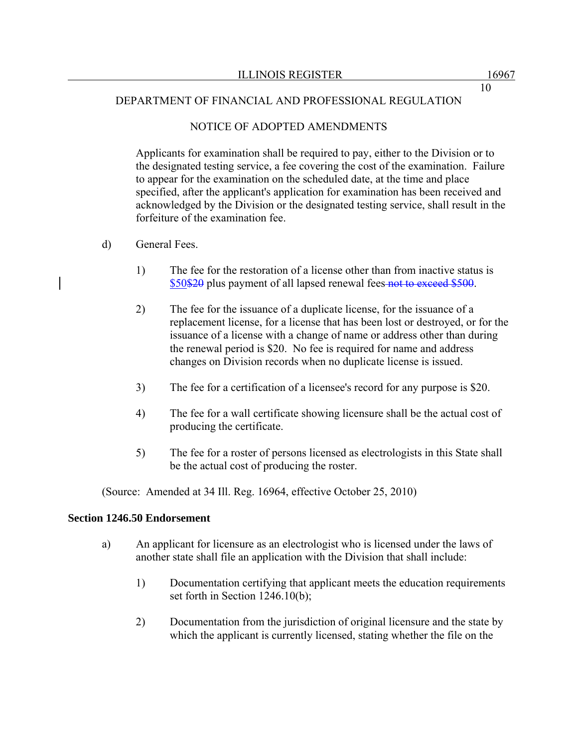## NOTICE OF ADOPTED AMENDMENTS

Applicants for examination shall be required to pay, either to the Division or to the designated testing service, a fee covering the cost of the examination. Failure to appear for the examination on the scheduled date, at the time and place specified, after the applicant's application for examination has been received and acknowledged by the Division or the designated testing service, shall result in the forfeiture of the examination fee.

- d) General Fees.
	- 1) The fee for the restoration of a license other than from inactive status is \$50\$20 plus payment of all lapsed renewal fees not to exceed \$500.
	- 2) The fee for the issuance of a duplicate license, for the issuance of a replacement license, for a license that has been lost or destroyed, or for the issuance of a license with a change of name or address other than during the renewal period is \$20. No fee is required for name and address changes on Division records when no duplicate license is issued.
	- 3) The fee for a certification of a licensee's record for any purpose is \$20.
	- 4) The fee for a wall certificate showing licensure shall be the actual cost of producing the certificate.
	- 5) The fee for a roster of persons licensed as electrologists in this State shall be the actual cost of producing the roster.

(Source: Amended at 34 Ill. Reg. 16964, effective October 25, 2010)

## **Section 1246.50 Endorsement**

- a) An applicant for licensure as an electrologist who is licensed under the laws of another state shall file an application with the Division that shall include:
	- 1) Documentation certifying that applicant meets the education requirements set forth in Section 1246.10(b);
	- 2) Documentation from the jurisdiction of original licensure and the state by which the applicant is currently licensed, stating whether the file on the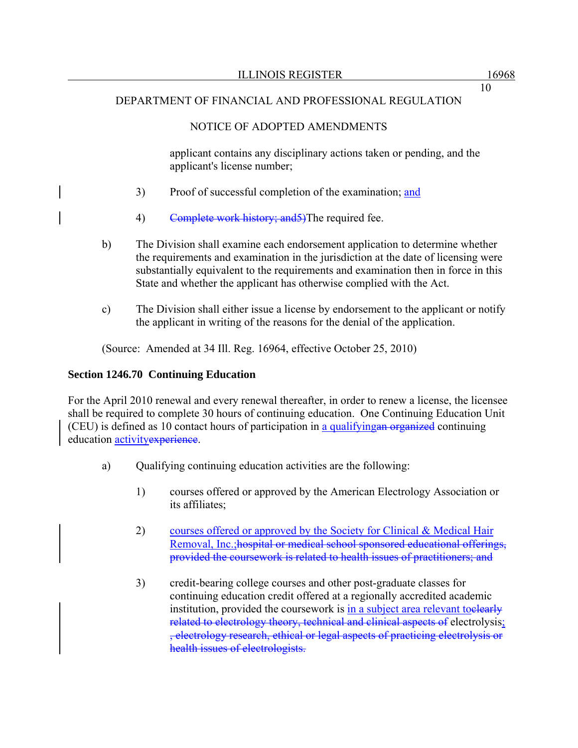# NOTICE OF ADOPTED AMENDMENTS

applicant contains any disciplinary actions taken or pending, and the applicant's license number;

- 3) Proof of successful completion of the examination; and
- 4) Complete work history; and 5) The required fee.
- b) The Division shall examine each endorsement application to determine whether the requirements and examination in the jurisdiction at the date of licensing were substantially equivalent to the requirements and examination then in force in this State and whether the applicant has otherwise complied with the Act.
- c) The Division shall either issue a license by endorsement to the applicant or notify the applicant in writing of the reasons for the denial of the application.

(Source: Amended at 34 Ill. Reg. 16964, effective October 25, 2010)

# **Section 1246.70 Continuing Education**

For the April 2010 renewal and every renewal thereafter, in order to renew a license, the licensee shall be required to complete 30 hours of continuing education. One Continuing Education Unit (CEU) is defined as 10 contact hours of participation in a qualifyingan organized continuing education activity experience.

- a) Qualifying continuing education activities are the following:
	- 1) courses offered or approved by the American Electrology Association or its affiliates;
	- 2) courses offered or approved by the Society for Clinical & Medical Hair Removal, Inc.;hospital or medical school sponsored educational offerings, provided the coursework is related to health issues of practitioners; and
	- 3) credit-bearing college courses and other post-graduate classes for continuing education credit offered at a regionally accredited academic institution, provided the coursework is in a subject area relevant to elearly related to electrology theory, technical and clinical aspects of electrolysis; , electrology research, ethical or legal aspects of practicing electrolysis or health issues of electrologists.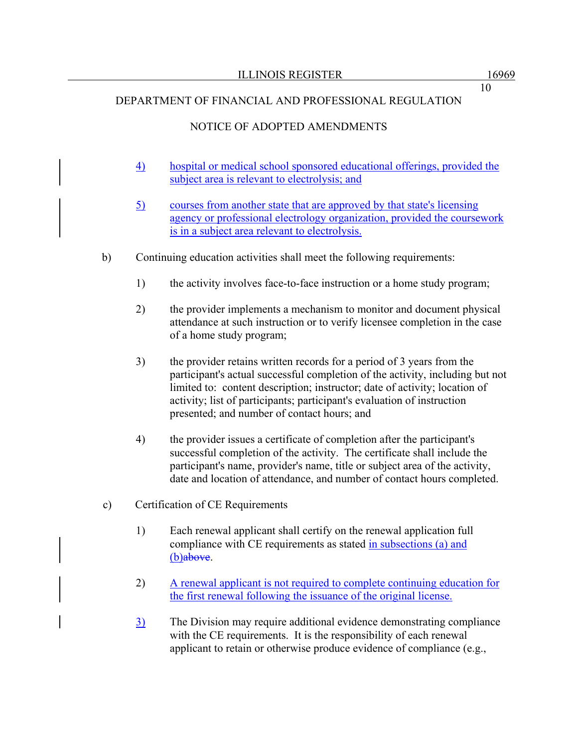# NOTICE OF ADOPTED AMENDMENTS

- 4) hospital or medical school sponsored educational offerings, provided the subject area is relevant to electrolysis; and
- 5) courses from another state that are approved by that state's licensing agency or professional electrology organization, provided the coursework is in a subject area relevant to electrolysis.
- b) Continuing education activities shall meet the following requirements:
	- 1) the activity involves face-to-face instruction or a home study program;
	- 2) the provider implements a mechanism to monitor and document physical attendance at such instruction or to verify licensee completion in the case of a home study program;
	- 3) the provider retains written records for a period of 3 years from the participant's actual successful completion of the activity, including but not limited to: content description; instructor; date of activity; location of activity; list of participants; participant's evaluation of instruction presented; and number of contact hours; and
	- 4) the provider issues a certificate of completion after the participant's successful completion of the activity. The certificate shall include the participant's name, provider's name, title or subject area of the activity, date and location of attendance, and number of contact hours completed.
- c) Certification of CE Requirements
	- 1) Each renewal applicant shall certify on the renewal application full compliance with CE requirements as stated in subsections (a) and (b)above.
	- 2) A renewal applicant is not required to complete continuing education for the first renewal following the issuance of the original license.
	- 3) The Division may require additional evidence demonstrating compliance with the CE requirements. It is the responsibility of each renewal applicant to retain or otherwise produce evidence of compliance (e.g.,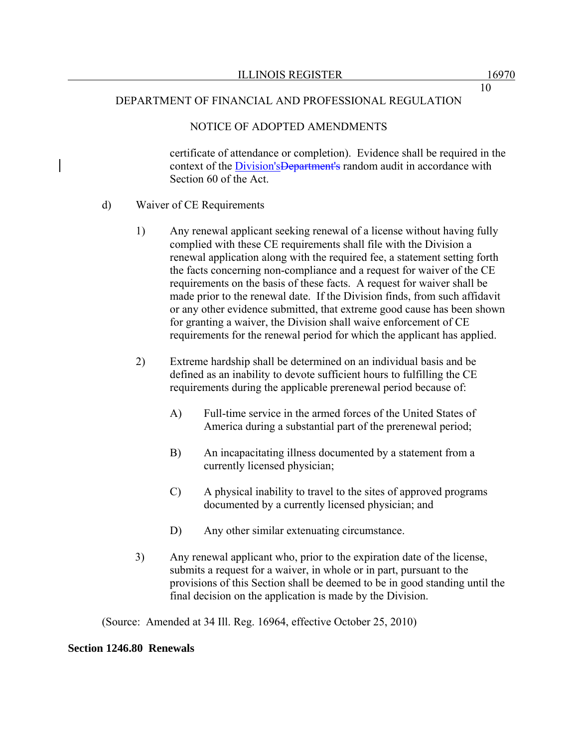## NOTICE OF ADOPTED AMENDMENTS

certificate of attendance or completion). Evidence shall be required in the context of the Division's Department's random audit in accordance with Section 60 of the Act.

## d) Waiver of CE Requirements

- 1) Any renewal applicant seeking renewal of a license without having fully complied with these CE requirements shall file with the Division a renewal application along with the required fee, a statement setting forth the facts concerning non-compliance and a request for waiver of the CE requirements on the basis of these facts. A request for waiver shall be made prior to the renewal date. If the Division finds, from such affidavit or any other evidence submitted, that extreme good cause has been shown for granting a waiver, the Division shall waive enforcement of CE requirements for the renewal period for which the applicant has applied.
- 2) Extreme hardship shall be determined on an individual basis and be defined as an inability to devote sufficient hours to fulfilling the CE requirements during the applicable prerenewal period because of:
	- A) Full-time service in the armed forces of the United States of America during a substantial part of the prerenewal period;
	- B) An incapacitating illness documented by a statement from a currently licensed physician;
	- C) A physical inability to travel to the sites of approved programs documented by a currently licensed physician; and
	- D) Any other similar extenuating circumstance.
- 3) Any renewal applicant who, prior to the expiration date of the license, submits a request for a waiver, in whole or in part, pursuant to the provisions of this Section shall be deemed to be in good standing until the final decision on the application is made by the Division.

(Source: Amended at 34 Ill. Reg. 16964, effective October 25, 2010)

## **Section 1246.80 Renewals**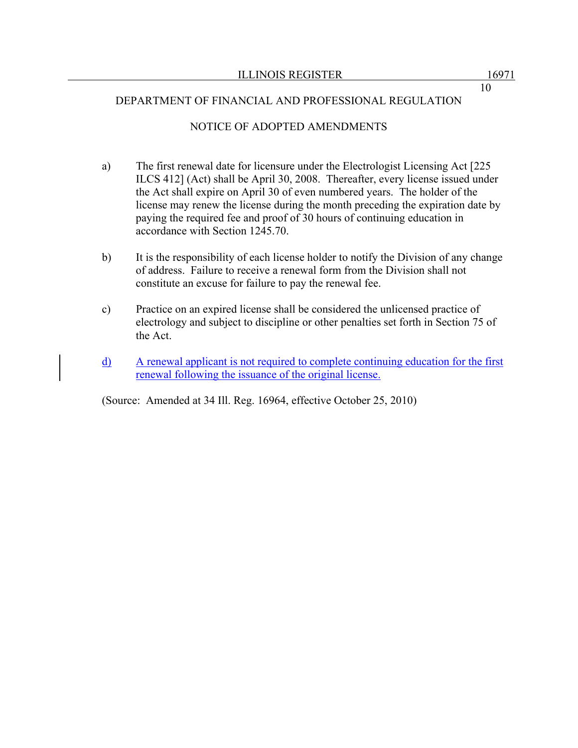## NOTICE OF ADOPTED AMENDMENTS

- a) The first renewal date for licensure under the Electrologist Licensing Act [225 ILCS 412] (Act) shall be April 30, 2008. Thereafter, every license issued under the Act shall expire on April 30 of even numbered years. The holder of the license may renew the license during the month preceding the expiration date by paying the required fee and proof of 30 hours of continuing education in accordance with Section 1245.70.
- b) It is the responsibility of each license holder to notify the Division of any change of address. Failure to receive a renewal form from the Division shall not constitute an excuse for failure to pay the renewal fee.
- c) Practice on an expired license shall be considered the unlicensed practice of electrology and subject to discipline or other penalties set forth in Section 75 of the Act.
- d) A renewal applicant is not required to complete continuing education for the first renewal following the issuance of the original license.

(Source: Amended at 34 Ill. Reg. 16964, effective October 25, 2010)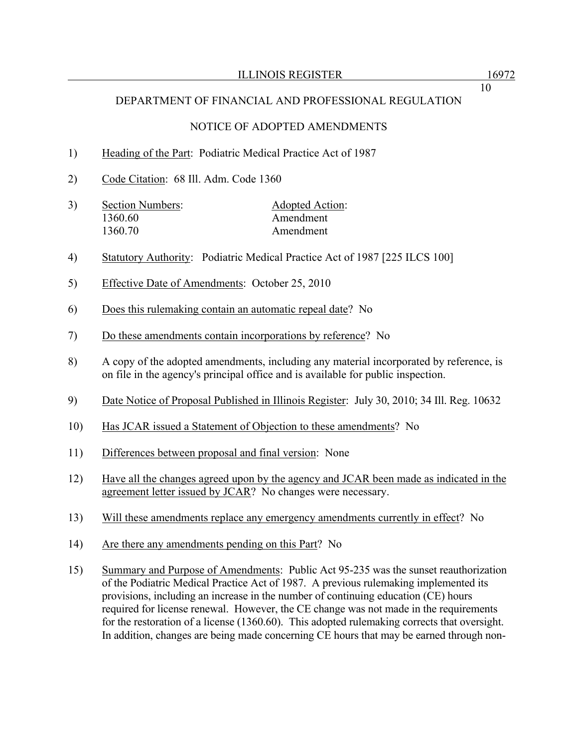### NOTICE OF ADOPTED AMENDMENTS

### 1) Heading of the Part: Podiatric Medical Practice Act of 1987

2) Code Citation: 68 Ill. Adm. Code 1360

| 3) | Section Numbers: | Adopted Action: |  |
|----|------------------|-----------------|--|
|    | 1360.60          | Amendment       |  |
|    | 1360.70          | Amendment       |  |

- 4) Statutory Authority: Podiatric Medical Practice Act of 1987 [225 ILCS 100]
- 5) Effective Date of Amendments: October 25, 2010
- 6) Does this rulemaking contain an automatic repeal date? No
- 7) Do these amendments contain incorporations by reference? No
- 8) A copy of the adopted amendments, including any material incorporated by reference, is on file in the agency's principal office and is available for public inspection.
- 9) Date Notice of Proposal Published in Illinois Register: July 30, 2010; 34 Ill. Reg. 10632
- 10) Has JCAR issued a Statement of Objection to these amendments? No
- 11) Differences between proposal and final version: None
- 12) Have all the changes agreed upon by the agency and JCAR been made as indicated in the agreement letter issued by JCAR? No changes were necessary.
- 13) Will these amendments replace any emergency amendments currently in effect? No
- 14) Are there any amendments pending on this Part? No
- 15) Summary and Purpose of Amendments: Public Act 95-235 was the sunset reauthorization of the Podiatric Medical Practice Act of 1987. A previous rulemaking implemented its provisions, including an increase in the number of continuing education (CE) hours required for license renewal. However, the CE change was not made in the requirements for the restoration of a license (1360.60). This adopted rulemaking corrects that oversight. In addition, changes are being made concerning CE hours that may be earned through non-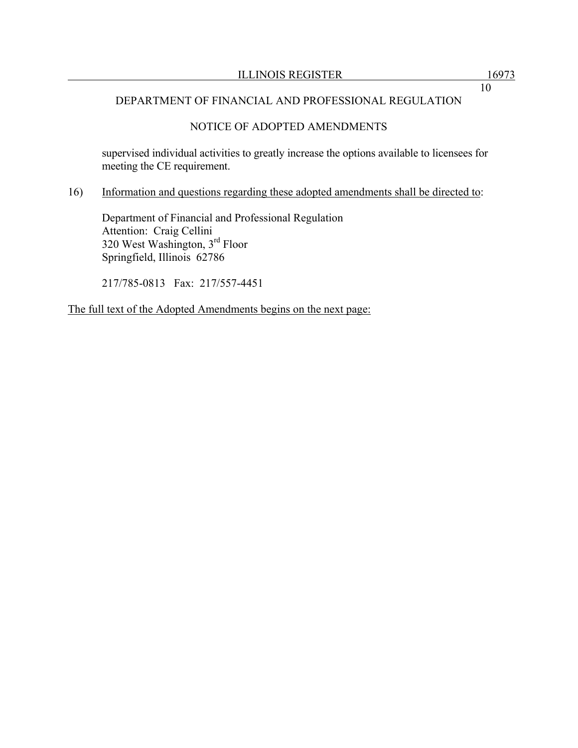# NOTICE OF ADOPTED AMENDMENTS

supervised individual activities to greatly increase the options available to licensees for meeting the CE requirement.

## 16) Information and questions regarding these adopted amendments shall be directed to:

 Department of Financial and Professional Regulation Attention: Craig Cellini 320 West Washington, 3rd Floor Springfield, Illinois 62786

217/785-0813 Fax: 217/557-4451

The full text of the Adopted Amendments begins on the next page: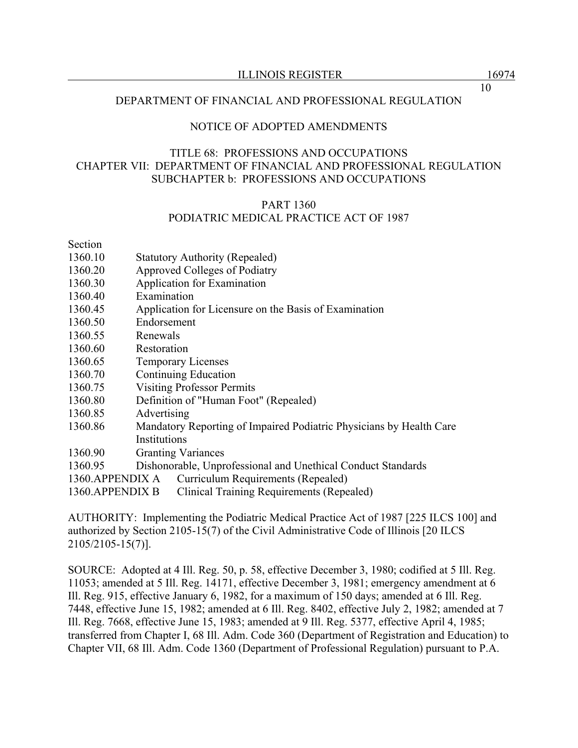#### NOTICE OF ADOPTED AMENDMENTS

## TITLE 68: PROFESSIONS AND OCCUPATIONS CHAPTER VII: DEPARTMENT OF FINANCIAL AND PROFESSIONAL REGULATION SUBCHAPTER b: PROFESSIONS AND OCCUPATIONS

## PART 1360 PODIATRIC MEDICAL PRACTICE ACT OF 1987

Section

- 1360.10 Statutory Authority (Repealed)
- 1360.20 Approved Colleges of Podiatry
- 1360.30 Application for Examination
- 1360.40 Examination
- 1360.45 Application for Licensure on the Basis of Examination
- 1360.50 Endorsement
- 1360.55 Renewals
- 1360.60 Restoration
- 1360.65 Temporary Licenses
- 1360.70 Continuing Education
- 1360.75 Visiting Professor Permits
- 1360.80 Definition of "Human Foot" (Repealed)
- 1360.85 Advertising
- 1360.86 Mandatory Reporting of Impaired Podiatric Physicians by Health Care Institutions
- 1360.90 Granting Variances
- 1360.95 Dishonorable, Unprofessional and Unethical Conduct Standards
- 1360.APPENDIX A Curriculum Requirements (Repealed)

1360.APPENDIX B Clinical Training Requirements (Repealed)

AUTHORITY: Implementing the Podiatric Medical Practice Act of 1987 [225 ILCS 100] and authorized by Section 2105-15(7) of the Civil Administrative Code of Illinois [20 ILCS 2105/2105-15(7)].

SOURCE: Adopted at 4 Ill. Reg. 50, p. 58, effective December 3, 1980; codified at 5 Ill. Reg. 11053; amended at 5 Ill. Reg. 14171, effective December 3, 1981; emergency amendment at 6 Ill. Reg. 915, effective January 6, 1982, for a maximum of 150 days; amended at 6 Ill. Reg. 7448, effective June 15, 1982; amended at 6 Ill. Reg. 8402, effective July 2, 1982; amended at 7 Ill. Reg. 7668, effective June 15, 1983; amended at 9 Ill. Reg. 5377, effective April 4, 1985; transferred from Chapter I, 68 Ill. Adm. Code 360 (Department of Registration and Education) to Chapter VII, 68 Ill. Adm. Code 1360 (Department of Professional Regulation) pursuant to P.A.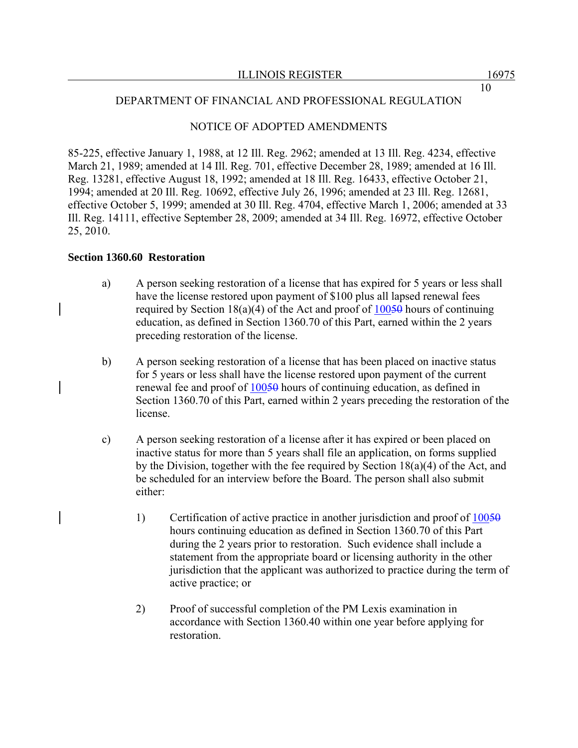## NOTICE OF ADOPTED AMENDMENTS

85-225, effective January 1, 1988, at 12 Ill. Reg. 2962; amended at 13 Ill. Reg. 4234, effective March 21, 1989; amended at 14 Ill. Reg. 701, effective December 28, 1989; amended at 16 Ill. Reg. 13281, effective August 18, 1992; amended at 18 Ill. Reg. 16433, effective October 21, 1994; amended at 20 Ill. Reg. 10692, effective July 26, 1996; amended at 23 Ill. Reg. 12681, effective October 5, 1999; amended at 30 Ill. Reg. 4704, effective March 1, 2006; amended at 33 Ill. Reg. 14111, effective September 28, 2009; amended at 34 Ill. Reg. 16972, effective October 25, 2010.

## **Section 1360.60 Restoration**

- a) A person seeking restoration of a license that has expired for 5 years or less shall have the license restored upon payment of \$100 plus all lapsed renewal fees required by Section 18(a)(4) of the Act and proof of  $100\overline{50}$  hours of continuing education, as defined in Section 1360.70 of this Part, earned within the 2 years preceding restoration of the license.
- b) A person seeking restoration of a license that has been placed on inactive status for 5 years or less shall have the license restored upon payment of the current renewal fee and proof of 10050 hours of continuing education, as defined in Section 1360.70 of this Part, earned within 2 years preceding the restoration of the license.
- c) A person seeking restoration of a license after it has expired or been placed on inactive status for more than 5 years shall file an application, on forms supplied by the Division, together with the fee required by Section 18(a)(4) of the Act, and be scheduled for an interview before the Board. The person shall also submit either:
	- 1) Certification of active practice in another jurisdiction and proof of 10050 hours continuing education as defined in Section 1360.70 of this Part during the 2 years prior to restoration. Such evidence shall include a statement from the appropriate board or licensing authority in the other jurisdiction that the applicant was authorized to practice during the term of active practice; or
	- 2) Proof of successful completion of the PM Lexis examination in accordance with Section 1360.40 within one year before applying for restoration.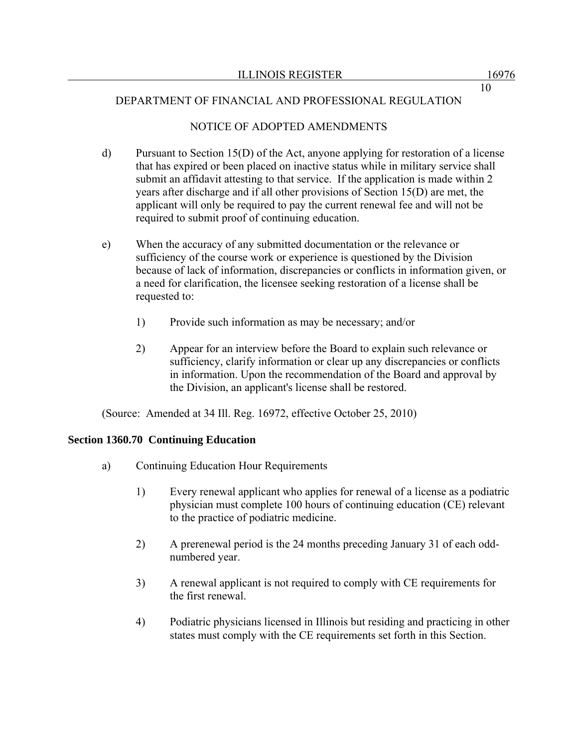## NOTICE OF ADOPTED AMENDMENTS

- d) Pursuant to Section 15(D) of the Act, anyone applying for restoration of a license that has expired or been placed on inactive status while in military service shall submit an affidavit attesting to that service. If the application is made within 2 years after discharge and if all other provisions of Section 15(D) are met, the applicant will only be required to pay the current renewal fee and will not be required to submit proof of continuing education.
- e) When the accuracy of any submitted documentation or the relevance or sufficiency of the course work or experience is questioned by the Division because of lack of information, discrepancies or conflicts in information given, or a need for clarification, the licensee seeking restoration of a license shall be requested to:
	- 1) Provide such information as may be necessary; and/or
	- 2) Appear for an interview before the Board to explain such relevance or sufficiency, clarify information or clear up any discrepancies or conflicts in information. Upon the recommendation of the Board and approval by the Division, an applicant's license shall be restored.

(Source: Amended at 34 Ill. Reg. 16972, effective October 25, 2010)

## **Section 1360.70 Continuing Education**

- a) Continuing Education Hour Requirements
	- 1) Every renewal applicant who applies for renewal of a license as a podiatric physician must complete 100 hours of continuing education (CE) relevant to the practice of podiatric medicine.
	- 2) A prerenewal period is the 24 months preceding January 31 of each oddnumbered year.
	- 3) A renewal applicant is not required to comply with CE requirements for the first renewal.
	- 4) Podiatric physicians licensed in Illinois but residing and practicing in other states must comply with the CE requirements set forth in this Section.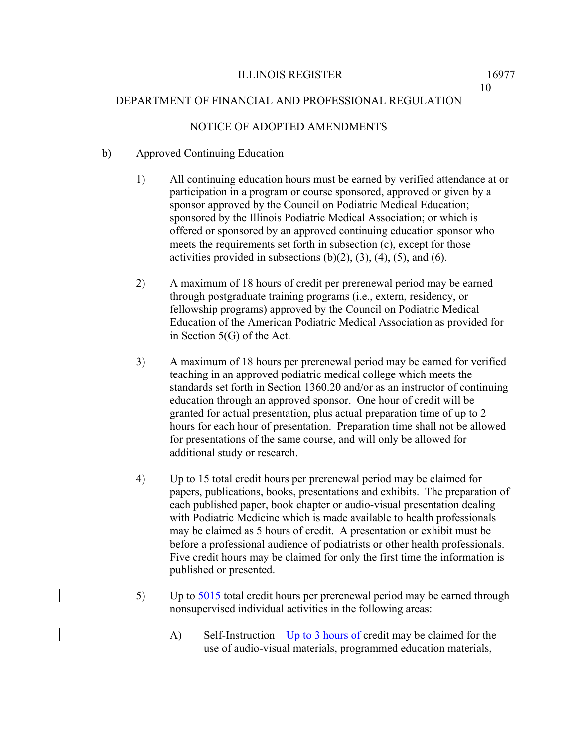# NOTICE OF ADOPTED AMENDMENTS

# b) Approved Continuing Education

- 1) All continuing education hours must be earned by verified attendance at or participation in a program or course sponsored, approved or given by a sponsor approved by the Council on Podiatric Medical Education; sponsored by the Illinois Podiatric Medical Association; or which is offered or sponsored by an approved continuing education sponsor who meets the requirements set forth in subsection (c), except for those activities provided in subsections  $(b)(2)$ ,  $(3)$ ,  $(4)$ ,  $(5)$ , and  $(6)$ .
- 2) A maximum of 18 hours of credit per prerenewal period may be earned through postgraduate training programs (i.e., extern, residency, or fellowship programs) approved by the Council on Podiatric Medical Education of the American Podiatric Medical Association as provided for in Section 5(G) of the Act.
- 3) A maximum of 18 hours per prerenewal period may be earned for verified teaching in an approved podiatric medical college which meets the standards set forth in Section 1360.20 and/or as an instructor of continuing education through an approved sponsor. One hour of credit will be granted for actual presentation, plus actual preparation time of up to 2 hours for each hour of presentation. Preparation time shall not be allowed for presentations of the same course, and will only be allowed for additional study or research.
- 4) Up to 15 total credit hours per prerenewal period may be claimed for papers, publications, books, presentations and exhibits. The preparation of each published paper, book chapter or audio-visual presentation dealing with Podiatric Medicine which is made available to health professionals may be claimed as 5 hours of credit. A presentation or exhibit must be before a professional audience of podiatrists or other health professionals. Five credit hours may be claimed for only the first time the information is published or presented.
- 5) Up to  $\frac{5045}{5045}$  total credit hours per prerenewal period may be earned through nonsupervised individual activities in the following areas:
	- A) Self-Instruction  $\overline{Up}$  to 3 hours of credit may be claimed for the use of audio-visual materials, programmed education materials,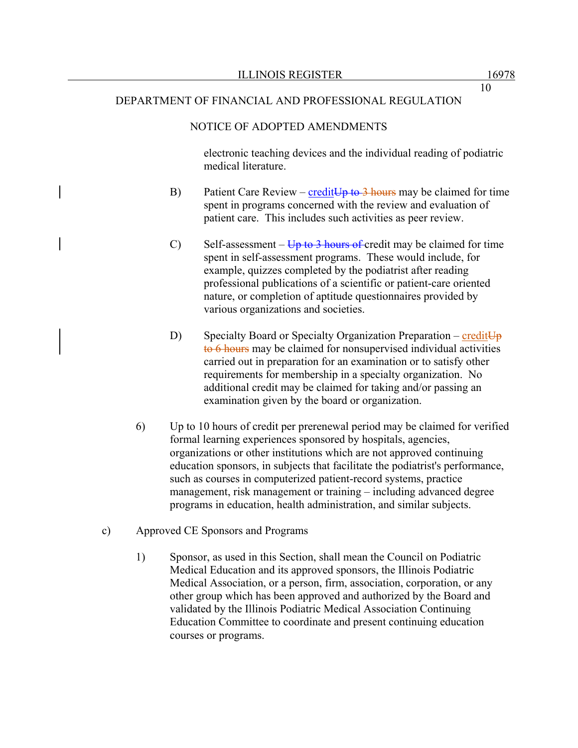## NOTICE OF ADOPTED AMENDMENTS

electronic teaching devices and the individual reading of podiatric medical literature.

- B) Patient Care Review credit  $Up$  to 3 hours may be claimed for time spent in programs concerned with the review and evaluation of patient care. This includes such activities as peer review.
- C) Self-assessment  $\overline{Up}$  to 3 hours of credit may be claimed for time spent in self-assessment programs. These would include, for example, quizzes completed by the podiatrist after reading professional publications of a scientific or patient-care oriented nature, or completion of aptitude questionnaires provided by various organizations and societies.
- D) Specialty Board or Specialty Organization Preparation credit  $\overline{U}_{p}$ to 6 hours may be claimed for nonsupervised individual activities carried out in preparation for an examination or to satisfy other requirements for membership in a specialty organization. No additional credit may be claimed for taking and/or passing an examination given by the board or organization.
- 6) Up to 10 hours of credit per prerenewal period may be claimed for verified formal learning experiences sponsored by hospitals, agencies, organizations or other institutions which are not approved continuing education sponsors, in subjects that facilitate the podiatrist's performance, such as courses in computerized patient-record systems, practice management, risk management or training – including advanced degree programs in education, health administration, and similar subjects.
- c) Approved CE Sponsors and Programs
	- 1) Sponsor, as used in this Section, shall mean the Council on Podiatric Medical Education and its approved sponsors, the Illinois Podiatric Medical Association, or a person, firm, association, corporation, or any other group which has been approved and authorized by the Board and validated by the Illinois Podiatric Medical Association Continuing Education Committee to coordinate and present continuing education courses or programs.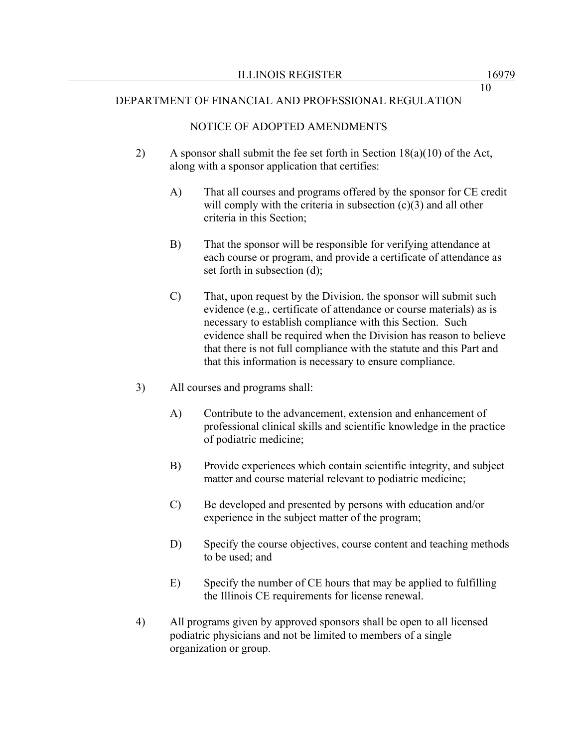## NOTICE OF ADOPTED AMENDMENTS

- 2) A sponsor shall submit the fee set forth in Section 18(a)(10) of the Act, along with a sponsor application that certifies:
	- A) That all courses and programs offered by the sponsor for CE credit will comply with the criteria in subsection (c)(3) and all other criteria in this Section;
	- B) That the sponsor will be responsible for verifying attendance at each course or program, and provide a certificate of attendance as set forth in subsection (d);
	- C) That, upon request by the Division, the sponsor will submit such evidence (e.g., certificate of attendance or course materials) as is necessary to establish compliance with this Section. Such evidence shall be required when the Division has reason to believe that there is not full compliance with the statute and this Part and that this information is necessary to ensure compliance.
- 3) All courses and programs shall:
	- A) Contribute to the advancement, extension and enhancement of professional clinical skills and scientific knowledge in the practice of podiatric medicine;
	- B) Provide experiences which contain scientific integrity, and subject matter and course material relevant to podiatric medicine;
	- C) Be developed and presented by persons with education and/or experience in the subject matter of the program;
	- D) Specify the course objectives, course content and teaching methods to be used; and
	- E) Specify the number of CE hours that may be applied to fulfilling the Illinois CE requirements for license renewal.
- 4) All programs given by approved sponsors shall be open to all licensed podiatric physicians and not be limited to members of a single organization or group.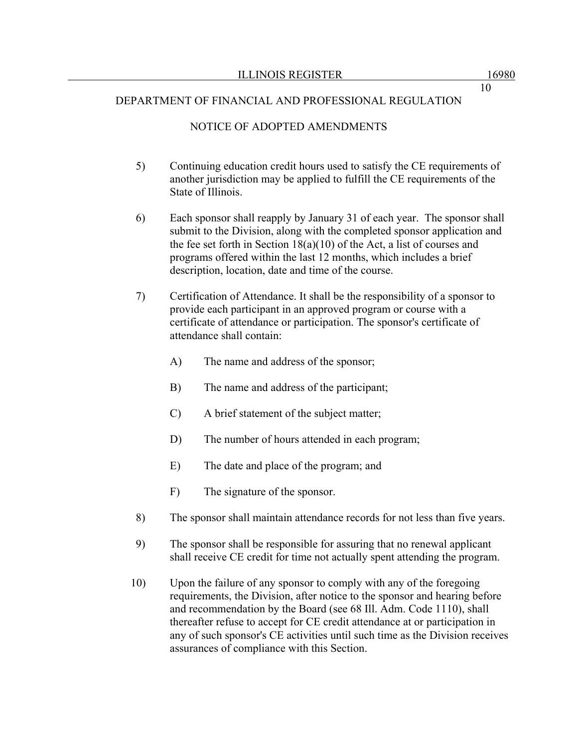## NOTICE OF ADOPTED AMENDMENTS

- 5) Continuing education credit hours used to satisfy the CE requirements of another jurisdiction may be applied to fulfill the CE requirements of the State of Illinois.
- 6) Each sponsor shall reapply by January 31 of each year. The sponsor shall submit to the Division, along with the completed sponsor application and the fee set forth in Section 18(a)(10) of the Act, a list of courses and programs offered within the last 12 months, which includes a brief description, location, date and time of the course.
- 7) Certification of Attendance. It shall be the responsibility of a sponsor to provide each participant in an approved program or course with a certificate of attendance or participation. The sponsor's certificate of attendance shall contain:
	- A) The name and address of the sponsor;
	- B) The name and address of the participant;
	- C) A brief statement of the subject matter;
	- D) The number of hours attended in each program;
	- E) The date and place of the program; and
	- F) The signature of the sponsor.
- 8) The sponsor shall maintain attendance records for not less than five years.
- 9) The sponsor shall be responsible for assuring that no renewal applicant shall receive CE credit for time not actually spent attending the program.
- 10) Upon the failure of any sponsor to comply with any of the foregoing requirements, the Division, after notice to the sponsor and hearing before and recommendation by the Board (see 68 Ill. Adm. Code 1110), shall thereafter refuse to accept for CE credit attendance at or participation in any of such sponsor's CE activities until such time as the Division receives assurances of compliance with this Section.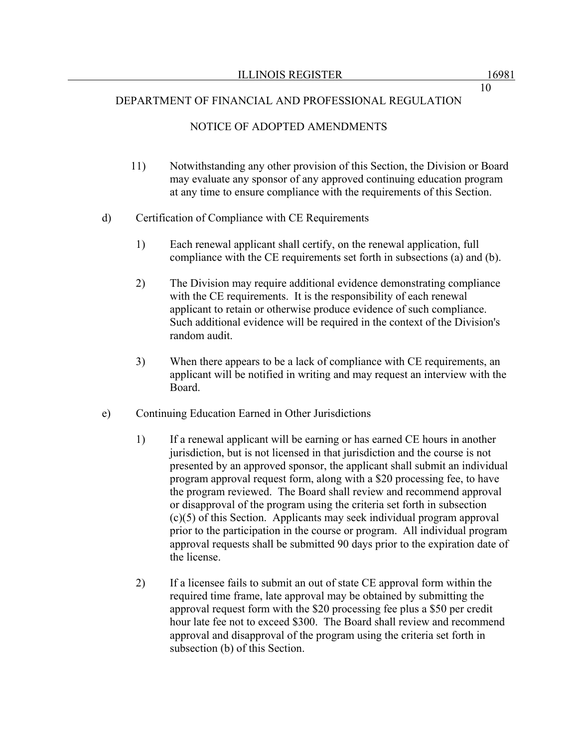## NOTICE OF ADOPTED AMENDMENTS

- 11) Notwithstanding any other provision of this Section, the Division or Board may evaluate any sponsor of any approved continuing education program at any time to ensure compliance with the requirements of this Section.
- d) Certification of Compliance with CE Requirements
	- 1) Each renewal applicant shall certify, on the renewal application, full compliance with the CE requirements set forth in subsections (a) and (b).
	- 2) The Division may require additional evidence demonstrating compliance with the CE requirements. It is the responsibility of each renewal applicant to retain or otherwise produce evidence of such compliance. Such additional evidence will be required in the context of the Division's random audit.
	- 3) When there appears to be a lack of compliance with CE requirements, an applicant will be notified in writing and may request an interview with the Board.
- e) Continuing Education Earned in Other Jurisdictions
	- 1) If a renewal applicant will be earning or has earned CE hours in another jurisdiction, but is not licensed in that jurisdiction and the course is not presented by an approved sponsor, the applicant shall submit an individual program approval request form, along with a \$20 processing fee, to have the program reviewed. The Board shall review and recommend approval or disapproval of the program using the criteria set forth in subsection (c)(5) of this Section. Applicants may seek individual program approval prior to the participation in the course or program. All individual program approval requests shall be submitted 90 days prior to the expiration date of the license.
	- 2) If a licensee fails to submit an out of state CE approval form within the required time frame, late approval may be obtained by submitting the approval request form with the \$20 processing fee plus a \$50 per credit hour late fee not to exceed \$300. The Board shall review and recommend approval and disapproval of the program using the criteria set forth in subsection (b) of this Section.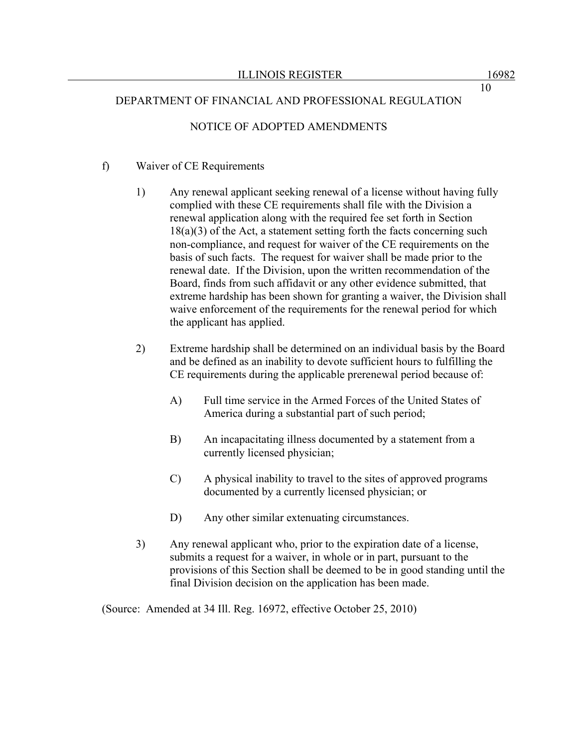# NOTICE OF ADOPTED AMENDMENTS

## f) Waiver of CE Requirements

- 1) Any renewal applicant seeking renewal of a license without having fully complied with these CE requirements shall file with the Division a renewal application along with the required fee set forth in Section  $18(a)(3)$  of the Act, a statement setting forth the facts concerning such non-compliance, and request for waiver of the CE requirements on the basis of such facts. The request for waiver shall be made prior to the renewal date. If the Division, upon the written recommendation of the Board, finds from such affidavit or any other evidence submitted, that extreme hardship has been shown for granting a waiver, the Division shall waive enforcement of the requirements for the renewal period for which the applicant has applied.
- 2) Extreme hardship shall be determined on an individual basis by the Board and be defined as an inability to devote sufficient hours to fulfilling the CE requirements during the applicable prerenewal period because of:
	- A) Full time service in the Armed Forces of the United States of America during a substantial part of such period;
	- B) An incapacitating illness documented by a statement from a currently licensed physician;
	- C) A physical inability to travel to the sites of approved programs documented by a currently licensed physician; or
	- D) Any other similar extenuating circumstances.
- 3) Any renewal applicant who, prior to the expiration date of a license, submits a request for a waiver, in whole or in part, pursuant to the provisions of this Section shall be deemed to be in good standing until the final Division decision on the application has been made.

(Source: Amended at 34 Ill. Reg. 16972, effective October 25, 2010)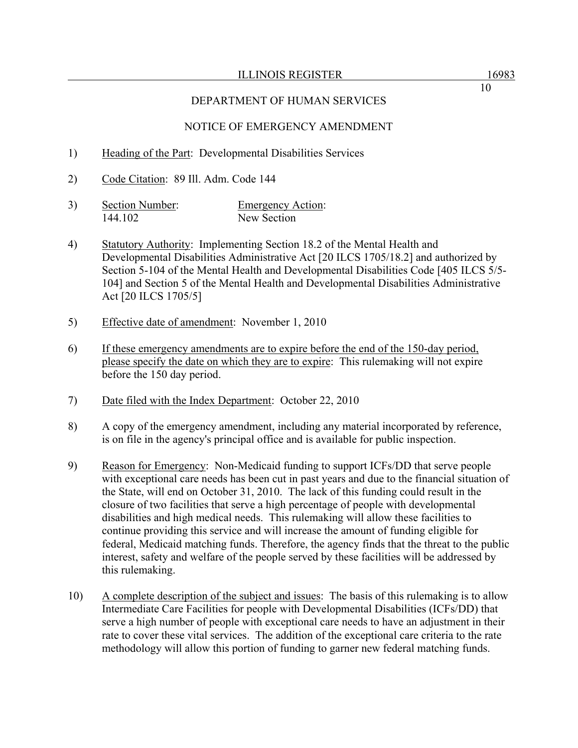# NOTICE OF EMERGENCY AMENDMENT

- 1) Heading of the Part: Developmental Disabilities Services
- 2) Code Citation: 89 Ill. Adm. Code 144
- 3) Section Number: Emergency Action: 144.102 New Section
- 4) Statutory Authority: Implementing Section 18.2 of the Mental Health and Developmental Disabilities Administrative Act [20 ILCS 1705/18.2] and authorized by Section 5-104 of the Mental Health and Developmental Disabilities Code [405 ILCS 5/5- 104] and Section 5 of the Mental Health and Developmental Disabilities Administrative Act [20 ILCS 1705/5]
- 5) Effective date of amendment: November 1, 2010
- 6) If these emergency amendments are to expire before the end of the 150-day period, please specify the date on which they are to expire: This rulemaking will not expire before the 150 day period.
- 7) Date filed with the Index Department: October 22, 2010
- 8) A copy of the emergency amendment, including any material incorporated by reference, is on file in the agency's principal office and is available for public inspection.
- 9) Reason for Emergency: Non-Medicaid funding to support ICFs/DD that serve people with exceptional care needs has been cut in past years and due to the financial situation of the State, will end on October 31, 2010. The lack of this funding could result in the closure of two facilities that serve a high percentage of people with developmental disabilities and high medical needs. This rulemaking will allow these facilities to continue providing this service and will increase the amount of funding eligible for federal, Medicaid matching funds. Therefore, the agency finds that the threat to the public interest, safety and welfare of the people served by these facilities will be addressed by this rulemaking.
- 10) A complete description of the subject and issues: The basis of this rulemaking is to allow Intermediate Care Facilities for people with Developmental Disabilities (ICFs/DD) that serve a high number of people with exceptional care needs to have an adjustment in their rate to cover these vital services. The addition of the exceptional care criteria to the rate methodology will allow this portion of funding to garner new federal matching funds.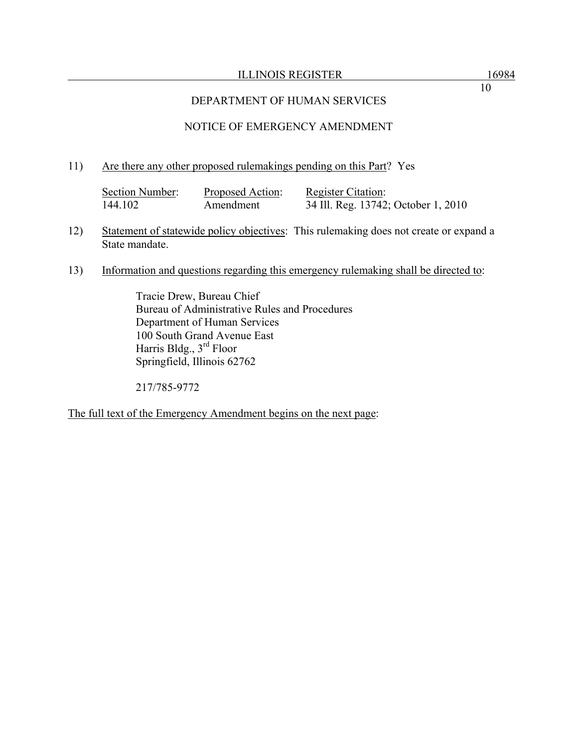### ILLINOIS REGISTER 16984

10

## DEPARTMENT OF HUMAN SERVICES

# NOTICE OF EMERGENCY AMENDMENT

### 11) Are there any other proposed rulemakings pending on this Part? Yes

| Section Number: | Proposed Action: | <b>Register Citation:</b>           |
|-----------------|------------------|-------------------------------------|
| 144.102         | Amendment        | 34 Ill. Reg. 13742; October 1, 2010 |

- 12) Statement of statewide policy objectives: This rulemaking does not create or expand a State mandate.
- 13) Information and questions regarding this emergency rulemaking shall be directed to:

 Tracie Drew, Bureau Chief Bureau of Administrative Rules and Procedures Department of Human Services 100 South Grand Avenue East Harris Bldg., 3rd Floor Springfield, Illinois 62762

217/785-9772

The full text of the Emergency Amendment begins on the next page: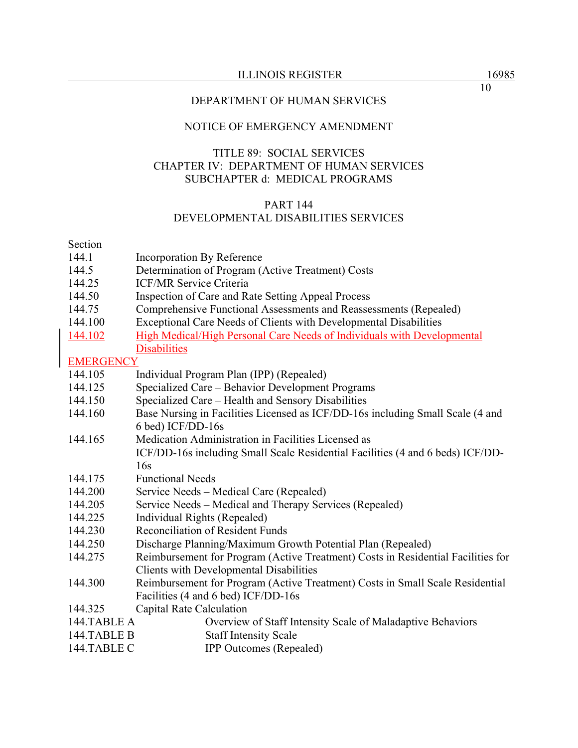## NOTICE OF EMERGENCY AMENDMENT

## TITLE 89: SOCIAL SERVICES CHAPTER IV: DEPARTMENT OF HUMAN SERVICES SUBCHAPTER d: MEDICAL PROGRAMS

### PART 144

## DEVELOPMENTAL DISABILITIES SERVICES

#### Section

- 144.1 Incorporation By Reference
- 144.5 Determination of Program (Active Treatment) Costs
- 144.25 ICF/MR Service Criteria
- 144.50 Inspection of Care and Rate Setting Appeal Process
- 144.75 Comprehensive Functional Assessments and Reassessments (Repealed)
- 144.100 Exceptional Care Needs of Clients with Developmental Disabilities
- 144.102 High Medical/High Personal Care Needs of Individuals with Developmental **Disabilities**

## **EMERGENCY**

- 144.105 Individual Program Plan (IPP) (Repealed)
- 144.125 Specialized Care Behavior Development Programs
- 144.150 Specialized Care Health and Sensory Disabilities
- 144.160 Base Nursing in Facilities Licensed as ICF/DD-16s including Small Scale (4 and 6 bed) ICF/DD-16s
- 144.165 Medication Administration in Facilities Licensed as ICF/DD-16s including Small Scale Residential Facilities (4 and 6 beds) ICF/DD-16s
- 144.175 Functional Needs
- 144.200 Service Needs Medical Care (Repealed)
- 144.205 Service Needs Medical and Therapy Services (Repealed)
- 144.225 Individual Rights (Repealed)
- 144.230 Reconciliation of Resident Funds
- 144.250 Discharge Planning/Maximum Growth Potential Plan (Repealed)
- 144.275 Reimbursement for Program (Active Treatment) Costs in Residential Facilities for Clients with Developmental Disabilities
- 144.300 Reimbursement for Program (Active Treatment) Costs in Small Scale Residential Facilities (4 and 6 bed) ICF/DD-16s
- 144.325 Capital Rate Calculation
- 144.TABLE A Overview of Staff Intensity Scale of Maladaptive Behaviors
- 144.TABLE B Staff Intensity Scale
- 144.TABLE C **IPP Outcomes (Repealed)**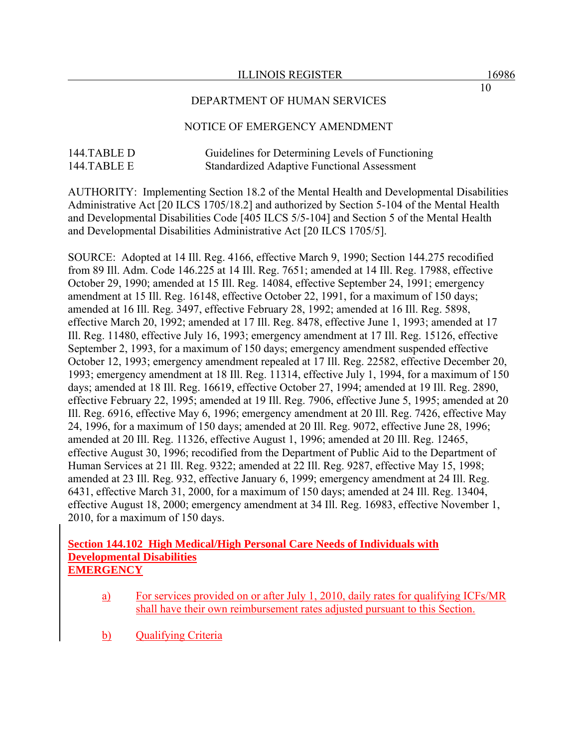## DEPARTMENT OF HUMAN SERVICES

## NOTICE OF EMERGENCY AMENDMENT

# 144.TABLE D Guidelines for Determining Levels of Functioning 144.TABLE E Standardized Adaptive Functional Assessment

AUTHORITY: Implementing Section 18.2 of the Mental Health and Developmental Disabilities Administrative Act [20 ILCS 1705/18.2] and authorized by Section 5-104 of the Mental Health and Developmental Disabilities Code [405 ILCS 5/5-104] and Section 5 of the Mental Health and Developmental Disabilities Administrative Act [20 ILCS 1705/5].

SOURCE: Adopted at 14 Ill. Reg. 4166, effective March 9, 1990; Section 144.275 recodified from 89 Ill. Adm. Code 146.225 at 14 Ill. Reg. 7651; amended at 14 Ill. Reg. 17988, effective October 29, 1990; amended at 15 Ill. Reg. 14084, effective September 24, 1991; emergency amendment at 15 Ill. Reg. 16148, effective October 22, 1991, for a maximum of 150 days; amended at 16 Ill. Reg. 3497, effective February 28, 1992; amended at 16 Ill. Reg. 5898, effective March 20, 1992; amended at 17 Ill. Reg. 8478, effective June 1, 1993; amended at 17 Ill. Reg. 11480, effective July 16, 1993; emergency amendment at 17 Ill. Reg. 15126, effective September 2, 1993, for a maximum of 150 days; emergency amendment suspended effective October 12, 1993; emergency amendment repealed at 17 Ill. Reg. 22582, effective December 20, 1993; emergency amendment at 18 Ill. Reg. 11314, effective July 1, 1994, for a maximum of 150 days; amended at 18 Ill. Reg. 16619, effective October 27, 1994; amended at 19 Ill. Reg. 2890, effective February 22, 1995; amended at 19 Ill. Reg. 7906, effective June 5, 1995; amended at 20 Ill. Reg. 6916, effective May 6, 1996; emergency amendment at 20 Ill. Reg. 7426, effective May 24, 1996, for a maximum of 150 days; amended at 20 Ill. Reg. 9072, effective June 28, 1996; amended at 20 Ill. Reg. 11326, effective August 1, 1996; amended at 20 Ill. Reg. 12465, effective August 30, 1996; recodified from the Department of Public Aid to the Department of Human Services at 21 Ill. Reg. 9322; amended at 22 Ill. Reg. 9287, effective May 15, 1998; amended at 23 Ill. Reg. 932, effective January 6, 1999; emergency amendment at 24 Ill. Reg. 6431, effective March 31, 2000, for a maximum of 150 days; amended at 24 Ill. Reg. 13404, effective August 18, 2000; emergency amendment at 34 Ill. Reg. 16983, effective November 1, 2010, for a maximum of 150 days.

## **Section 144.102 High Medical/High Personal Care Needs of Individuals with Developmental Disabilities EMERGENCY**

- a) For services provided on or after July 1, 2010, daily rates for qualifying ICFs/MR shall have their own reimbursement rates adjusted pursuant to this Section.
- b) Qualifying Criteria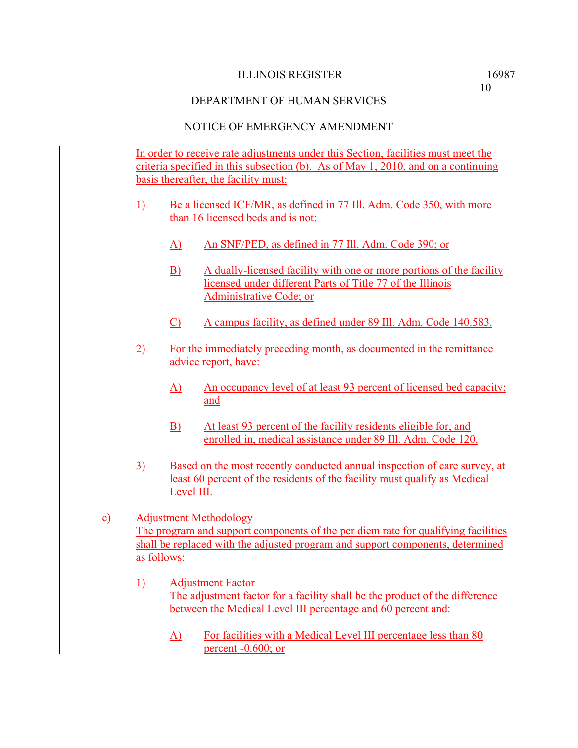# NOTICE OF EMERGENCY AMENDMENT

In order to receive rate adjustments under this Section, facilities must meet the criteria specified in this subsection (b). As of May 1, 2010, and on a continuing basis thereafter, the facility must:

- 1) Be a licensed ICF/MR, as defined in 77 Ill. Adm. Code 350, with more than 16 licensed beds and is not:
	- A) An SNF/PED, as defined in 77 Ill. Adm. Code 390; or
	- B) A dually-licensed facility with one or more portions of the facility licensed under different Parts of Title 77 of the Illinois Administrative Code; or
	- C) A campus facility, as defined under 89 Ill. Adm. Code 140.583.
- 2) For the immediately preceding month, as documented in the remittance advice report, have:
	- A) An occupancy level of at least 93 percent of licensed bed capacity; and
	- B) At least 93 percent of the facility residents eligible for, and enrolled in, medical assistance under 89 Ill. Adm. Code 120.
- 3) Based on the most recently conducted annual inspection of care survey, at least 60 percent of the residents of the facility must qualify as Medical Level III.
- c) Adjustment Methodology The program and support components of the per diem rate for qualifying facilities shall be replaced with the adjusted program and support components, determined as follows:
	- 1) Adjustment Factor The adjustment factor for a facility shall be the product of the difference between the Medical Level III percentage and 60 percent and:
		- A) For facilities with a Medical Level III percentage less than 80 percent -0.600; or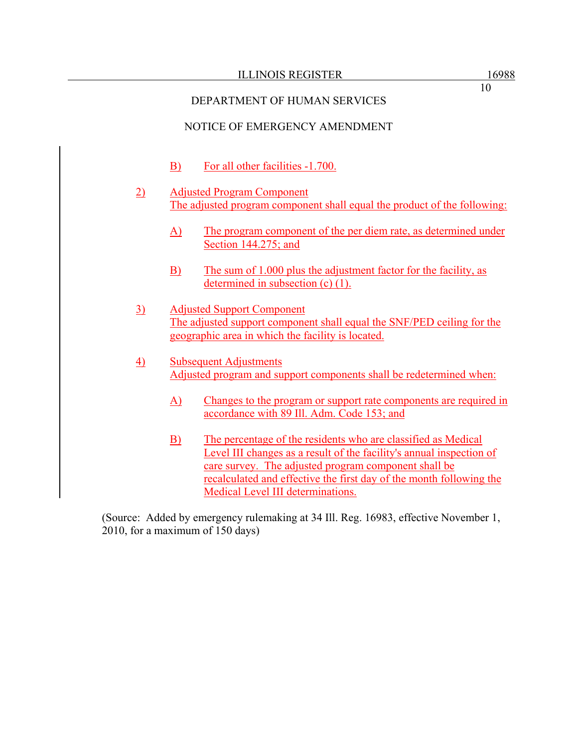10

# DEPARTMENT OF HUMAN SERVICES

# NOTICE OF EMERGENCY AMENDMENT

- B) For all other facilities -1.700.
- 2) Adjusted Program Component The adjusted program component shall equal the product of the following:
	- A) The program component of the per diem rate, as determined under Section 144.275; and
	- B) The sum of 1.000 plus the adjustment factor for the facility, as determined in subsection (c) (1).
- 3) Adjusted Support Component The adjusted support component shall equal the SNF/PED ceiling for the geographic area in which the facility is located.
- 4) Subsequent Adjustments Adjusted program and support components shall be redetermined when:
	- A) Changes to the program or support rate components are required in accordance with 89 Ill. Adm. Code 153; and
	- B) The percentage of the residents who are classified as Medical Level III changes as a result of the facility's annual inspection of care survey. The adjusted program component shall be recalculated and effective the first day of the month following the Medical Level III determinations.

(Source: Added by emergency rulemaking at 34 Ill. Reg. 16983, effective November 1, 2010, for a maximum of 150 days)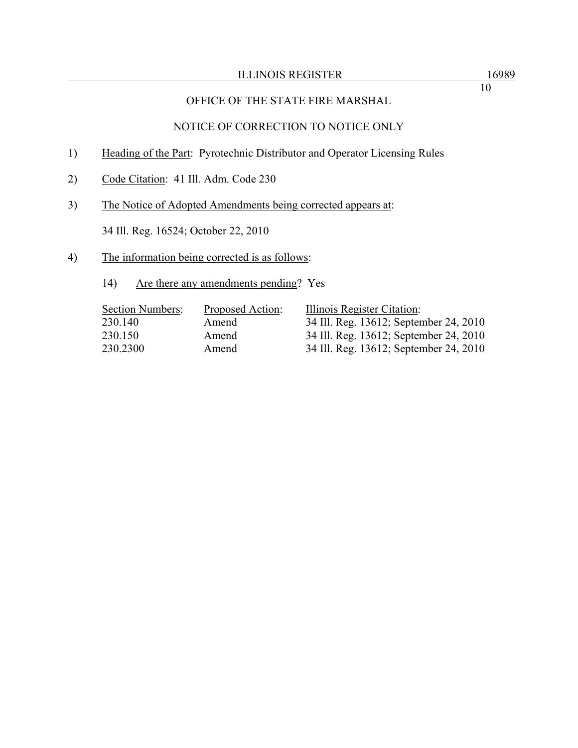# OFFICE OF THE STATE FIRE MARSHAL

# NOTICE OF CORRECTION TO NOTICE ONLY

- 1) Heading of the Part: Pyrotechnic Distributor and Operator Licensing Rules
- 2) Code Citation: 41 Ill. Adm. Code 230
- 3) The Notice of Adopted Amendments being corrected appears at:

34 Ill. Reg. 16524; October 22, 2010

# 4) The information being corrected is as follows:

14) Are there any amendments pending? Yes

| <b>Section Numbers:</b> | Proposed Action: | Illinois Register Citation:            |
|-------------------------|------------------|----------------------------------------|
| 230.140                 | Amend            | 34 Ill. Reg. 13612; September 24, 2010 |
| 230.150                 | Amend            | 34 Ill. Reg. 13612; September 24, 2010 |
| 230.2300                | Amend            | 34 Ill. Reg. 13612; September 24, 2010 |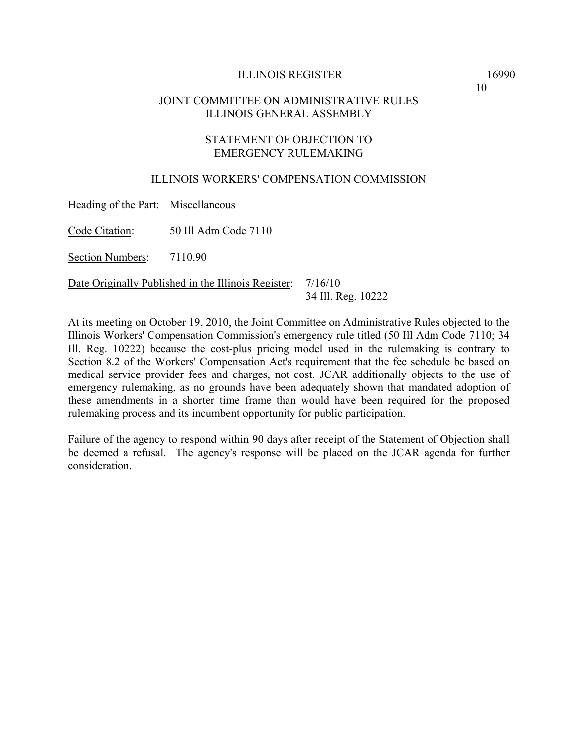## JOINT COMMITTEE ON ADMINISTRATIVE RULES ILLINOIS GENERAL ASSEMBLY

### STATEMENT OF OBJECTION TO EMERGENCY RULEMAKING

## ILLINOIS WORKERS' COMPENSATION COMMISSION

Heading of the Part: Miscellaneous

Code Citation: 50 Ill Adm Code 7110

Section Numbers: 7110.90

Date Originally Published in the Illinois Register: 7/16/10

34 Ill. Reg. 10222

At its meeting on October 19, 2010, the Joint Committee on Administrative Rules objected to the Illinois Workers' Compensation Commission's emergency rule titled (50 Ill Adm Code 7110; 34 Ill. Reg. 10222) because the cost-plus pricing model used in the rulemaking is contrary to Section 8.2 of the Workers' Compensation Act's requirement that the fee schedule be based on medical service provider fees and charges, not cost. JCAR additionally objects to the use of emergency rulemaking, as no grounds have been adequately shown that mandated adoption of these amendments in a shorter time frame than would have been required for the proposed rulemaking process and its incumbent opportunity for public participation.

Failure of the agency to respond within 90 days after receipt of the Statement of Objection shall be deemed a refusal. The agency's response will be placed on the JCAR agenda for further consideration.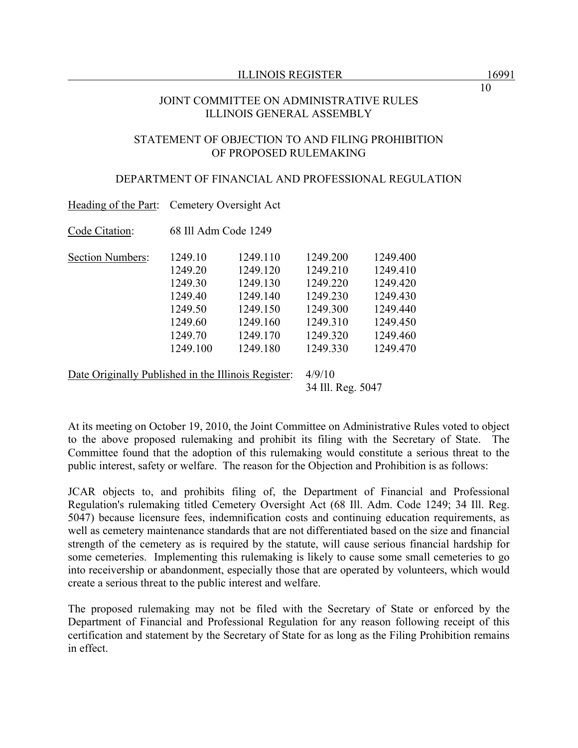## JOINT COMMITTEE ON ADMINISTRATIVE RULES ILLINOIS GENERAL ASSEMBLY

### STATEMENT OF OBJECTION TO AND FILING PROHIBITION OF PROPOSED RULEMAKING

### DEPARTMENT OF FINANCIAL AND PROFESSIONAL REGULATION

|                                                     | Heading of the Part: Cemetery Oversight Act                                           |                                                                                              |                                                                                              |                                                                                              |  |  |
|-----------------------------------------------------|---------------------------------------------------------------------------------------|----------------------------------------------------------------------------------------------|----------------------------------------------------------------------------------------------|----------------------------------------------------------------------------------------------|--|--|
| Code Citation:                                      | 68 Ill Adm Code 1249                                                                  |                                                                                              |                                                                                              |                                                                                              |  |  |
| Section Numbers:                                    | 1249.10<br>1249.20<br>1249.30<br>1249.40<br>1249.50<br>1249.60<br>1249.70<br>1249.100 | 1249.110<br>1249.120<br>1249.130<br>1249.140<br>1249.150<br>1249.160<br>1249.170<br>1249.180 | 1249.200<br>1249.210<br>1249.220<br>1249.230<br>1249.300<br>1249.310<br>1249.320<br>1249.330 | 1249.400<br>1249.410<br>1249.420<br>1249.430<br>1249.440<br>1249.450<br>1249.460<br>1249.470 |  |  |
| Date Originally Published in the Illinois Register: |                                                                                       |                                                                                              | 4/9/10                                                                                       |                                                                                              |  |  |

At its meeting on October 19, 2010, the Joint Committee on Administrative Rules voted to object to the above proposed rulemaking and prohibit its filing with the Secretary of State. The Committee found that the adoption of this rulemaking would constitute a serious threat to the public interest, safety or welfare. The reason for the Objection and Prohibition is as follows:

34 Ill. Reg. 5047

JCAR objects to, and prohibits filing of, the Department of Financial and Professional Regulation's rulemaking titled Cemetery Oversight Act (68 Ill. Adm. Code 1249; 34 Ill. Reg. 5047) because licensure fees, indemnification costs and continuing education requirements, as well as cemetery maintenance standards that are not differentiated based on the size and financial strength of the cemetery as is required by the statute, will cause serious financial hardship for some cemeteries. Implementing this rulemaking is likely to cause some small cemeteries to go into receivership or abandonment, especially those that are operated by volunteers, which would create a serious threat to the public interest and welfare.

The proposed rulemaking may not be filed with the Secretary of State or enforced by the Department of Financial and Professional Regulation for any reason following receipt of this certification and statement by the Secretary of State for as long as the Filing Prohibition remains in effect.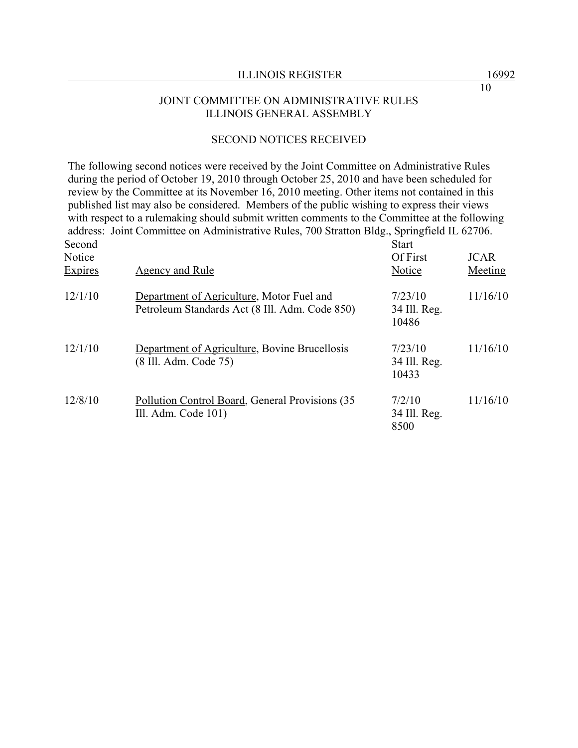#### JOINT COMMITTEE ON ADMINISTRATIVE RULES ILLINOIS GENERAL ASSEMBLY

# SECOND NOTICES RECEIVED

The following second notices were received by the Joint Committee on Administrative Rules during the period of October 19, 2010 through October 25, 2010 and have been scheduled for review by the Committee at its November 16, 2010 meeting. Other items not contained in this published list may also be considered. Members of the public wishing to express their views with respect to a rulemaking should submit written comments to the Committee at the following address: Joint Committee on Administrative Rules, 700 Stratton Bldg., Springfield IL 62706. Second Start

| ovvona<br>Notice<br>Expires | Agency and Rule                                                                             | ∟ດເ⊥ະ<br>Of First<br>Notice      | <b>JCAR</b><br>Meeting |
|-----------------------------|---------------------------------------------------------------------------------------------|----------------------------------|------------------------|
| 12/1/10                     | Department of Agriculture, Motor Fuel and<br>Petroleum Standards Act (8 Ill. Adm. Code 850) | 7/23/10<br>34 Ill. Reg.<br>10486 | 11/16/10               |
| 12/1/10                     | Department of Agriculture, Bovine Brucellosis<br>(8 Ill. Adm. Code 75)                      | 7/23/10<br>34 Ill. Reg.<br>10433 | 11/16/10               |
| 12/8/10                     | Pollution Control Board, General Provisions (35)<br>Ill. Adm. Code $101$ )                  | 7/2/10<br>34 Ill. Reg.<br>8500   | 11/16/10               |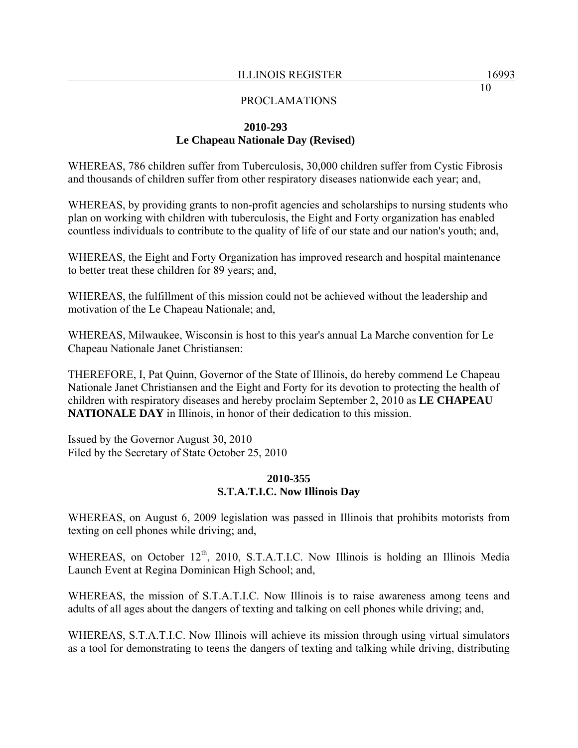# **2010-293 Le Chapeau Nationale Day (Revised)**

WHEREAS, 786 children suffer from Tuberculosis, 30,000 children suffer from Cystic Fibrosis and thousands of children suffer from other respiratory diseases nationwide each year; and,

WHEREAS, by providing grants to non-profit agencies and scholarships to nursing students who plan on working with children with tuberculosis, the Eight and Forty organization has enabled countless individuals to contribute to the quality of life of our state and our nation's youth; and,

WHEREAS, the Eight and Forty Organization has improved research and hospital maintenance to better treat these children for 89 years; and,

WHEREAS, the fulfillment of this mission could not be achieved without the leadership and motivation of the Le Chapeau Nationale; and,

WHEREAS, Milwaukee, Wisconsin is host to this year's annual La Marche convention for Le Chapeau Nationale Janet Christiansen:

THEREFORE, I, Pat Quinn, Governor of the State of Illinois, do hereby commend Le Chapeau Nationale Janet Christiansen and the Eight and Forty for its devotion to protecting the health of children with respiratory diseases and hereby proclaim September 2, 2010 as **LE CHAPEAU NATIONALE DAY** in Illinois, in honor of their dedication to this mission.

Issued by the Governor August 30, 2010 Filed by the Secretary of State October 25, 2010

## **2010-355 S.T.A.T.I.C. Now Illinois Day**

WHEREAS, on August 6, 2009 legislation was passed in Illinois that prohibits motorists from texting on cell phones while driving; and,

WHEREAS, on October  $12<sup>th</sup>$ , 2010, S.T.A.T.I.C. Now Illinois is holding an Illinois Media Launch Event at Regina Dominican High School; and,

WHEREAS, the mission of S.T.A.T.I.C. Now Illinois is to raise awareness among teens and adults of all ages about the dangers of texting and talking on cell phones while driving; and,

WHEREAS, S.T.A.T.I.C. Now Illinois will achieve its mission through using virtual simulators as a tool for demonstrating to teens the dangers of texting and talking while driving, distributing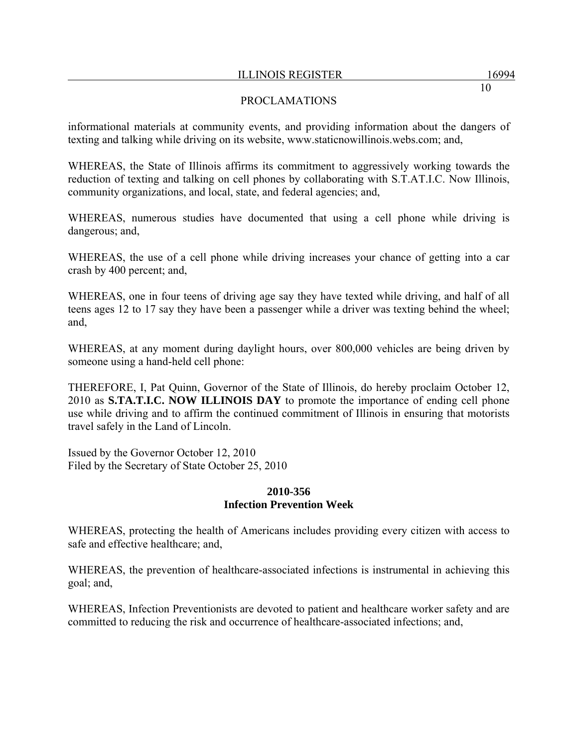# PROCLAMATIONS

informational materials at community events, and providing information about the dangers of texting and talking while driving on its website, www.staticnowillinois.webs.com; and,

WHEREAS, the State of Illinois affirms its commitment to aggressively working towards the reduction of texting and talking on cell phones by collaborating with S.T.AT.I.C. Now Illinois, community organizations, and local, state, and federal agencies; and,

WHEREAS, numerous studies have documented that using a cell phone while driving is dangerous; and,

WHEREAS, the use of a cell phone while driving increases your chance of getting into a car crash by 400 percent; and,

WHEREAS, one in four teens of driving age say they have texted while driving, and half of all teens ages 12 to 17 say they have been a passenger while a driver was texting behind the wheel; and,

WHEREAS, at any moment during daylight hours, over 800,000 vehicles are being driven by someone using a hand-held cell phone:

THEREFORE, I, Pat Quinn, Governor of the State of Illinois, do hereby proclaim October 12, 2010 as **S.TA.T.I.C. NOW ILLINOIS DAY** to promote the importance of ending cell phone use while driving and to affirm the continued commitment of Illinois in ensuring that motorists travel safely in the Land of Lincoln.

Issued by the Governor October 12, 2010 Filed by the Secretary of State October 25, 2010

## **2010-356 Infection Prevention Week**

WHEREAS, protecting the health of Americans includes providing every citizen with access to safe and effective healthcare; and,

WHEREAS, the prevention of healthcare-associated infections is instrumental in achieving this goal; and,

WHEREAS, Infection Preventionists are devoted to patient and healthcare worker safety and are committed to reducing the risk and occurrence of healthcare-associated infections; and,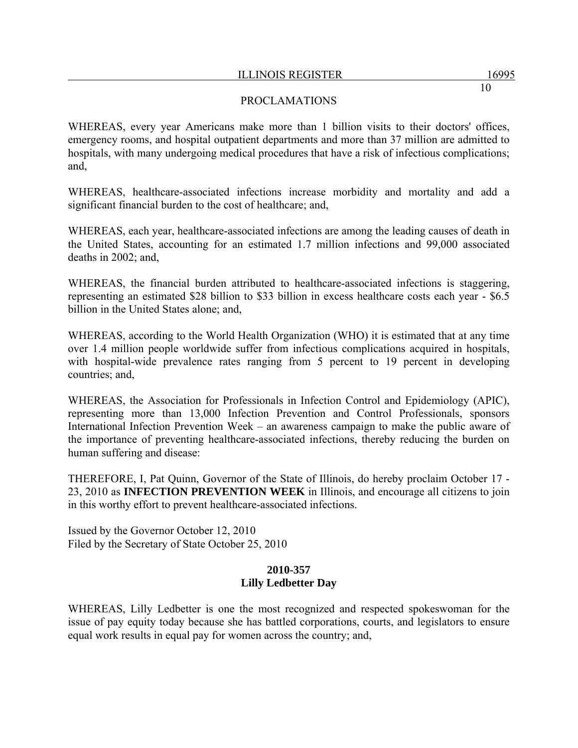# PROCLAMATIONS

WHEREAS, every year Americans make more than 1 billion visits to their doctors' offices, emergency rooms, and hospital outpatient departments and more than 37 million are admitted to hospitals, with many undergoing medical procedures that have a risk of infectious complications; and,

WHEREAS, healthcare-associated infections increase morbidity and mortality and add a significant financial burden to the cost of healthcare; and,

WHEREAS, each year, healthcare-associated infections are among the leading causes of death in the United States, accounting for an estimated 1.7 million infections and 99,000 associated deaths in 2002; and,

WHEREAS, the financial burden attributed to healthcare-associated infections is staggering, representing an estimated \$28 billion to \$33 billion in excess healthcare costs each year - \$6.5 billion in the United States alone; and,

WHEREAS, according to the World Health Organization (WHO) it is estimated that at any time over 1.4 million people worldwide suffer from infectious complications acquired in hospitals, with hospital-wide prevalence rates ranging from 5 percent to 19 percent in developing countries; and,

WHEREAS, the Association for Professionals in Infection Control and Epidemiology (APIC), representing more than 13,000 Infection Prevention and Control Professionals, sponsors International Infection Prevention Week – an awareness campaign to make the public aware of the importance of preventing healthcare-associated infections, thereby reducing the burden on human suffering and disease:

THEREFORE, I, Pat Quinn, Governor of the State of Illinois, do hereby proclaim October 17 - 23, 2010 as **INFECTION PREVENTION WEEK** in Illinois, and encourage all citizens to join in this worthy effort to prevent healthcare-associated infections.

Issued by the Governor October 12, 2010 Filed by the Secretary of State October 25, 2010

# **2010-357 Lilly Ledbetter Day**

WHEREAS, Lilly Ledbetter is one the most recognized and respected spokeswoman for the issue of pay equity today because she has battled corporations, courts, and legislators to ensure equal work results in equal pay for women across the country; and,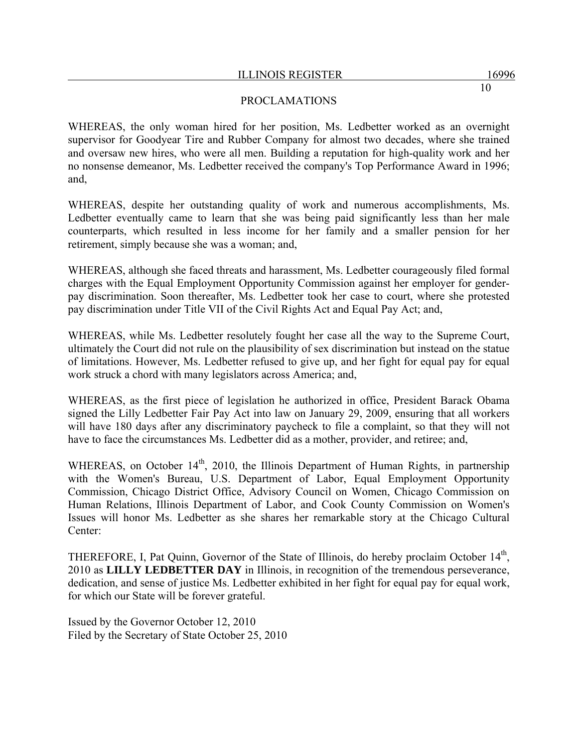## PROCLAMATIONS

WHEREAS, the only woman hired for her position, Ms. Ledbetter worked as an overnight supervisor for Goodyear Tire and Rubber Company for almost two decades, where she trained and oversaw new hires, who were all men. Building a reputation for high-quality work and her no nonsense demeanor, Ms. Ledbetter received the company's Top Performance Award in 1996; and,

WHEREAS, despite her outstanding quality of work and numerous accomplishments, Ms. Ledbetter eventually came to learn that she was being paid significantly less than her male counterparts, which resulted in less income for her family and a smaller pension for her retirement, simply because she was a woman; and,

WHEREAS, although she faced threats and harassment, Ms. Ledbetter courageously filed formal charges with the Equal Employment Opportunity Commission against her employer for genderpay discrimination. Soon thereafter, Ms. Ledbetter took her case to court, where she protested pay discrimination under Title VII of the Civil Rights Act and Equal Pay Act; and,

WHEREAS, while Ms. Ledbetter resolutely fought her case all the way to the Supreme Court, ultimately the Court did not rule on the plausibility of sex discrimination but instead on the statue of limitations. However, Ms. Ledbetter refused to give up, and her fight for equal pay for equal work struck a chord with many legislators across America; and,

WHEREAS, as the first piece of legislation he authorized in office, President Barack Obama signed the Lilly Ledbetter Fair Pay Act into law on January 29, 2009, ensuring that all workers will have 180 days after any discriminatory paycheck to file a complaint, so that they will not have to face the circumstances Ms. Ledbetter did as a mother, provider, and retiree; and,

WHEREAS, on October 14<sup>th</sup>, 2010, the Illinois Department of Human Rights, in partnership with the Women's Bureau, U.S. Department of Labor, Equal Employment Opportunity Commission, Chicago District Office, Advisory Council on Women, Chicago Commission on Human Relations, Illinois Department of Labor, and Cook County Commission on Women's Issues will honor Ms. Ledbetter as she shares her remarkable story at the Chicago Cultural Center:

THEREFORE, I, Pat Quinn, Governor of the State of Illinois, do hereby proclaim October 14<sup>th</sup>, 2010 as **LILLY LEDBETTER DAY** in Illinois, in recognition of the tremendous perseverance, dedication, and sense of justice Ms. Ledbetter exhibited in her fight for equal pay for equal work, for which our State will be forever grateful.

Issued by the Governor October 12, 2010 Filed by the Secretary of State October 25, 2010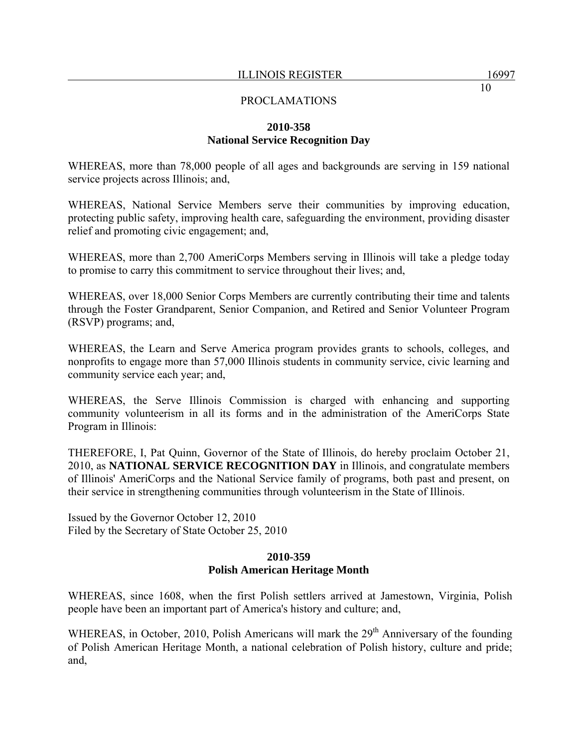## **2010-358 National Service Recognition Day**

WHEREAS, more than 78,000 people of all ages and backgrounds are serving in 159 national service projects across Illinois; and,

WHEREAS, National Service Members serve their communities by improving education, protecting public safety, improving health care, safeguarding the environment, providing disaster relief and promoting civic engagement; and,

WHEREAS, more than 2,700 AmeriCorps Members serving in Illinois will take a pledge today to promise to carry this commitment to service throughout their lives; and,

WHEREAS, over 18,000 Senior Corps Members are currently contributing their time and talents through the Foster Grandparent, Senior Companion, and Retired and Senior Volunteer Program (RSVP) programs; and,

WHEREAS, the Learn and Serve America program provides grants to schools, colleges, and nonprofits to engage more than 57,000 Illinois students in community service, civic learning and community service each year; and,

WHEREAS, the Serve Illinois Commission is charged with enhancing and supporting community volunteerism in all its forms and in the administration of the AmeriCorps State Program in Illinois:

THEREFORE, I, Pat Quinn, Governor of the State of Illinois, do hereby proclaim October 21, 2010, as **NATIONAL SERVICE RECOGNITION DAY** in Illinois, and congratulate members of Illinois' AmeriCorps and the National Service family of programs, both past and present, on their service in strengthening communities through volunteerism in the State of Illinois.

Issued by the Governor October 12, 2010 Filed by the Secretary of State October 25, 2010

# **2010-359 Polish American Heritage Month**

WHEREAS, since 1608, when the first Polish settlers arrived at Jamestown, Virginia, Polish people have been an important part of America's history and culture; and,

WHEREAS, in October, 2010, Polish Americans will mark the  $29<sup>th</sup>$  Anniversary of the founding of Polish American Heritage Month, a national celebration of Polish history, culture and pride; and,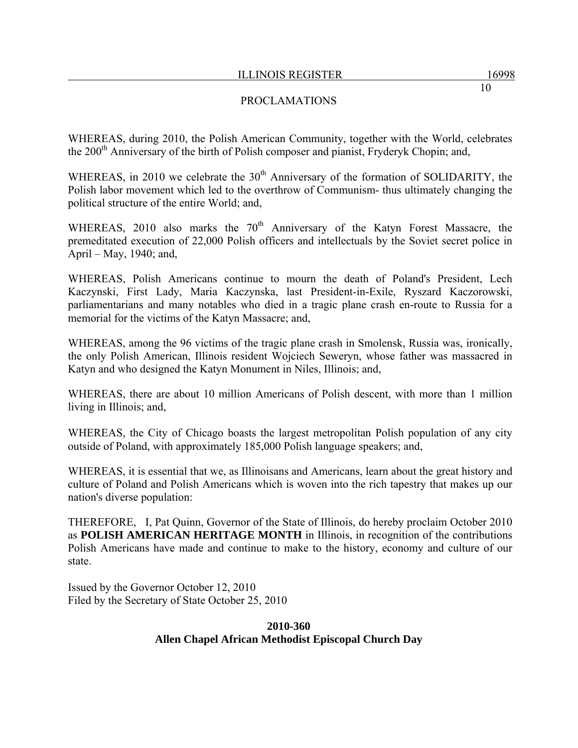# PROCLAMATIONS

WHEREAS, during 2010, the Polish American Community, together with the World, celebrates the 200<sup>th</sup> Anniversary of the birth of Polish composer and pianist, Fryderyk Chopin; and,

WHEREAS, in 2010 we celebrate the  $30<sup>th</sup>$  Anniversary of the formation of SOLIDARITY, the Polish labor movement which led to the overthrow of Communism- thus ultimately changing the political structure of the entire World; and,

WHEREAS, 2010 also marks the  $70<sup>th</sup>$  Anniversary of the Katyn Forest Massacre, the premeditated execution of 22,000 Polish officers and intellectuals by the Soviet secret police in April – May, 1940; and,

WHEREAS, Polish Americans continue to mourn the death of Poland's President, Lech Kaczynski, First Lady, Maria Kaczynska, last President-in-Exile, Ryszard Kaczorowski, parliamentarians and many notables who died in a tragic plane crash en-route to Russia for a memorial for the victims of the Katyn Massacre; and,

WHEREAS, among the 96 victims of the tragic plane crash in Smolensk, Russia was, ironically, the only Polish American, Illinois resident Wojciech Seweryn, whose father was massacred in Katyn and who designed the Katyn Monument in Niles, Illinois; and,

WHEREAS, there are about 10 million Americans of Polish descent, with more than 1 million living in Illinois; and,

WHEREAS, the City of Chicago boasts the largest metropolitan Polish population of any city outside of Poland, with approximately 185,000 Polish language speakers; and,

WHEREAS, it is essential that we, as Illinoisans and Americans, learn about the great history and culture of Poland and Polish Americans which is woven into the rich tapestry that makes up our nation's diverse population:

THEREFORE, I, Pat Quinn, Governor of the State of Illinois, do hereby proclaim October 2010 as **POLISH AMERICAN HERITAGE MONTH** in Illinois, in recognition of the contributions Polish Americans have made and continue to make to the history, economy and culture of our state.

Issued by the Governor October 12, 2010 Filed by the Secretary of State October 25, 2010

## **2010-360 Allen Chapel African Methodist Episcopal Church Day**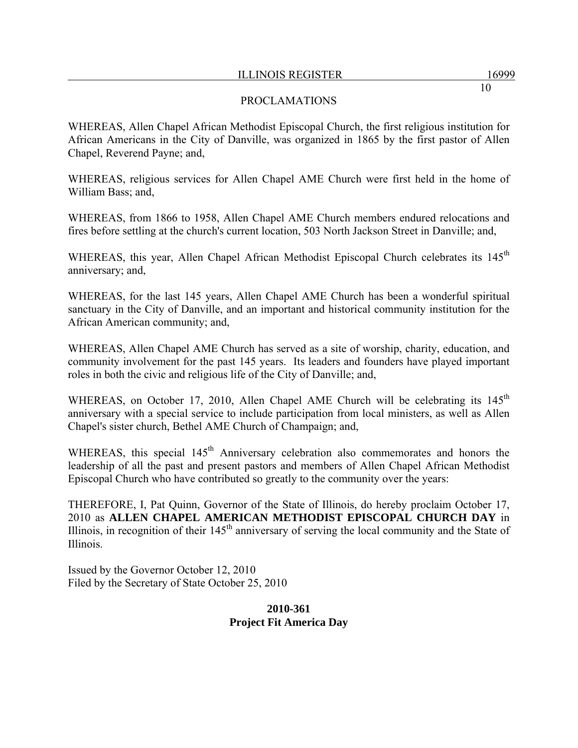## PROCLAMATIONS

WHEREAS, Allen Chapel African Methodist Episcopal Church, the first religious institution for African Americans in the City of Danville, was organized in 1865 by the first pastor of Allen Chapel, Reverend Payne; and,

WHEREAS, religious services for Allen Chapel AME Church were first held in the home of William Bass; and,

WHEREAS, from 1866 to 1958, Allen Chapel AME Church members endured relocations and fires before settling at the church's current location, 503 North Jackson Street in Danville; and,

WHEREAS, this year, Allen Chapel African Methodist Episcopal Church celebrates its 145<sup>th</sup> anniversary; and,

WHEREAS, for the last 145 years, Allen Chapel AME Church has been a wonderful spiritual sanctuary in the City of Danville, and an important and historical community institution for the African American community; and,

WHEREAS, Allen Chapel AME Church has served as a site of worship, charity, education, and community involvement for the past 145 years. Its leaders and founders have played important roles in both the civic and religious life of the City of Danville; and,

WHEREAS, on October 17, 2010, Allen Chapel AME Church will be celebrating its 145<sup>th</sup> anniversary with a special service to include participation from local ministers, as well as Allen Chapel's sister church, Bethel AME Church of Champaign; and,

WHEREAS, this special 145<sup>th</sup> Anniversary celebration also commemorates and honors the leadership of all the past and present pastors and members of Allen Chapel African Methodist Episcopal Church who have contributed so greatly to the community over the years:

THEREFORE, I, Pat Quinn, Governor of the State of Illinois, do hereby proclaim October 17, 2010 as **ALLEN CHAPEL AMERICAN METHODIST EPISCOPAL CHURCH DAY** in Illinois, in recognition of their  $145<sup>th</sup>$  anniversary of serving the local community and the State of Illinois.

Issued by the Governor October 12, 2010 Filed by the Secretary of State October 25, 2010

# **2010-361 Project Fit America Day**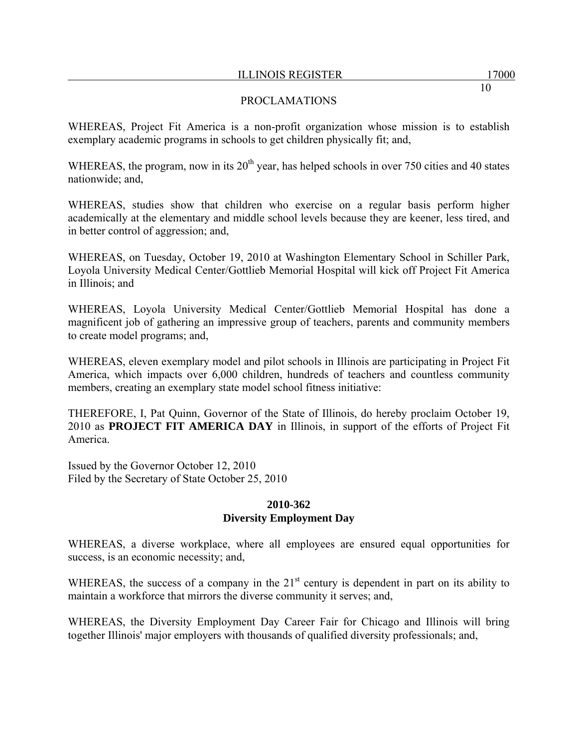## PROCLAMATIONS

WHEREAS, Project Fit America is a non-profit organization whose mission is to establish exemplary academic programs in schools to get children physically fit; and,

WHEREAS, the program, now in its  $20<sup>th</sup>$  year, has helped schools in over 750 cities and 40 states nationwide; and,

WHEREAS, studies show that children who exercise on a regular basis perform higher academically at the elementary and middle school levels because they are keener, less tired, and in better control of aggression; and,

WHEREAS, on Tuesday, October 19, 2010 at Washington Elementary School in Schiller Park, Loyola University Medical Center/Gottlieb Memorial Hospital will kick off Project Fit America in Illinois; and

WHEREAS, Loyola University Medical Center/Gottlieb Memorial Hospital has done a magnificent job of gathering an impressive group of teachers, parents and community members to create model programs; and,

WHEREAS, eleven exemplary model and pilot schools in Illinois are participating in Project Fit America, which impacts over 6,000 children, hundreds of teachers and countless community members, creating an exemplary state model school fitness initiative:

THEREFORE, I, Pat Quinn, Governor of the State of Illinois, do hereby proclaim October 19, 2010 as **PROJECT FIT AMERICA DAY** in Illinois, in support of the efforts of Project Fit America.

Issued by the Governor October 12, 2010 Filed by the Secretary of State October 25, 2010

#### **2010-362 Diversity Employment Day**

WHEREAS, a diverse workplace, where all employees are ensured equal opportunities for success, is an economic necessity; and,

WHEREAS, the success of a company in the 21<sup>st</sup> century is dependent in part on its ability to maintain a workforce that mirrors the diverse community it serves; and,

WHEREAS, the Diversity Employment Day Career Fair for Chicago and Illinois will bring together Illinois' major employers with thousands of qualified diversity professionals; and,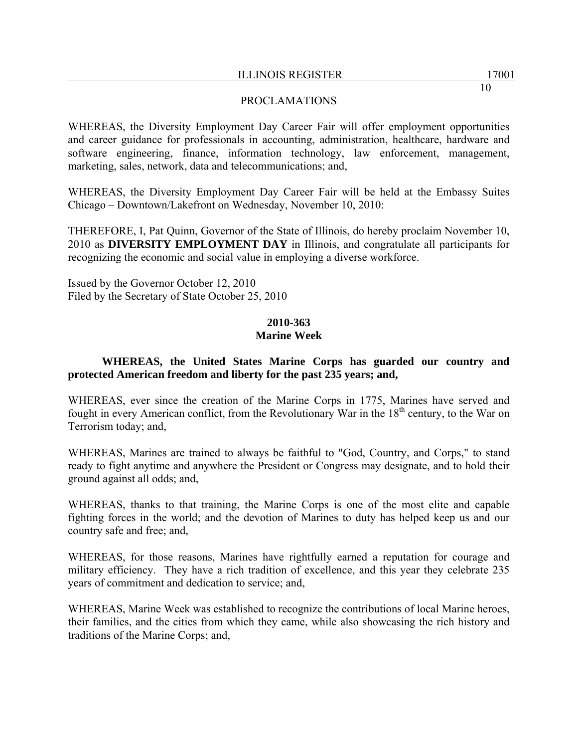## PROCLAMATIONS

WHEREAS, the Diversity Employment Day Career Fair will offer employment opportunities and career guidance for professionals in accounting, administration, healthcare, hardware and software engineering, finance, information technology, law enforcement, management, marketing, sales, network, data and telecommunications; and,

WHEREAS, the Diversity Employment Day Career Fair will be held at the Embassy Suites Chicago – Downtown/Lakefront on Wednesday, November 10, 2010:

THEREFORE, I, Pat Quinn, Governor of the State of Illinois, do hereby proclaim November 10, 2010 as **DIVERSITY EMPLOYMENT DAY** in Illinois, and congratulate all participants for recognizing the economic and social value in employing a diverse workforce.

Issued by the Governor October 12, 2010 Filed by the Secretary of State October 25, 2010

# **2010-363**

# **Marine Week**

# **WHEREAS, the United States Marine Corps has guarded our country and protected American freedom and liberty for the past 235 years; and,**

WHEREAS, ever since the creation of the Marine Corps in 1775, Marines have served and fought in every American conflict, from the Revolutionary War in the  $18<sup>th</sup>$  century, to the War on Terrorism today; and,

WHEREAS, Marines are trained to always be faithful to "God, Country, and Corps," to stand ready to fight anytime and anywhere the President or Congress may designate, and to hold their ground against all odds; and,

WHEREAS, thanks to that training, the Marine Corps is one of the most elite and capable fighting forces in the world; and the devotion of Marines to duty has helped keep us and our country safe and free; and,

WHEREAS, for those reasons, Marines have rightfully earned a reputation for courage and military efficiency. They have a rich tradition of excellence, and this year they celebrate 235 years of commitment and dedication to service; and,

WHEREAS, Marine Week was established to recognize the contributions of local Marine heroes, their families, and the cities from which they came, while also showcasing the rich history and traditions of the Marine Corps; and,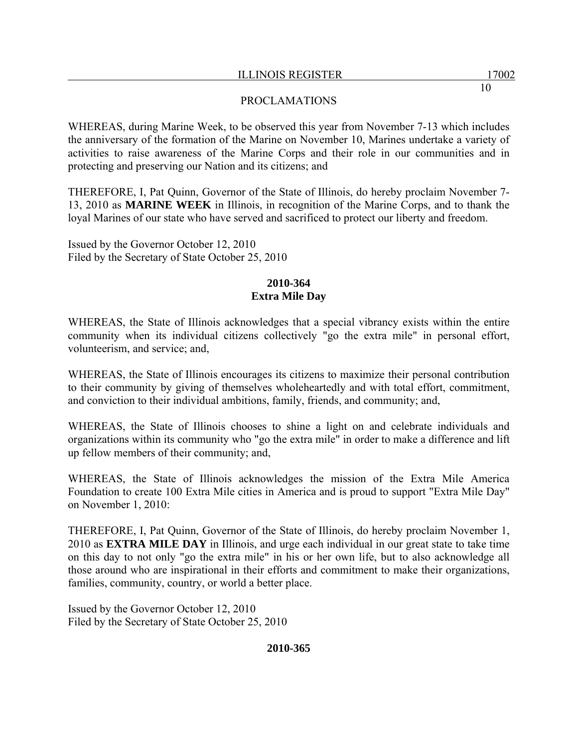WHEREAS, during Marine Week, to be observed this year from November 7-13 which includes the anniversary of the formation of the Marine on November 10, Marines undertake a variety of activities to raise awareness of the Marine Corps and their role in our communities and in protecting and preserving our Nation and its citizens; and

THEREFORE, I, Pat Quinn, Governor of the State of Illinois, do hereby proclaim November 7- 13, 2010 as **MARINE WEEK** in Illinois, in recognition of the Marine Corps, and to thank the loyal Marines of our state who have served and sacrificed to protect our liberty and freedom.

Issued by the Governor October 12, 2010 Filed by the Secretary of State October 25, 2010

# **2010-364 Extra Mile Day**

WHEREAS, the State of Illinois acknowledges that a special vibrancy exists within the entire community when its individual citizens collectively "go the extra mile" in personal effort, volunteerism, and service; and,

WHEREAS, the State of Illinois encourages its citizens to maximize their personal contribution to their community by giving of themselves wholeheartedly and with total effort, commitment, and conviction to their individual ambitions, family, friends, and community; and,

WHEREAS, the State of Illinois chooses to shine a light on and celebrate individuals and organizations within its community who "go the extra mile" in order to make a difference and lift up fellow members of their community; and,

WHEREAS, the State of Illinois acknowledges the mission of the Extra Mile America Foundation to create 100 Extra Mile cities in America and is proud to support "Extra Mile Day" on November 1, 2010:

THEREFORE, I, Pat Quinn, Governor of the State of Illinois, do hereby proclaim November 1, 2010 as **EXTRA MILE DAY** in Illinois, and urge each individual in our great state to take time on this day to not only "go the extra mile" in his or her own life, but to also acknowledge all those around who are inspirational in their efforts and commitment to make their organizations, families, community, country, or world a better place.

Issued by the Governor October 12, 2010 Filed by the Secretary of State October 25, 2010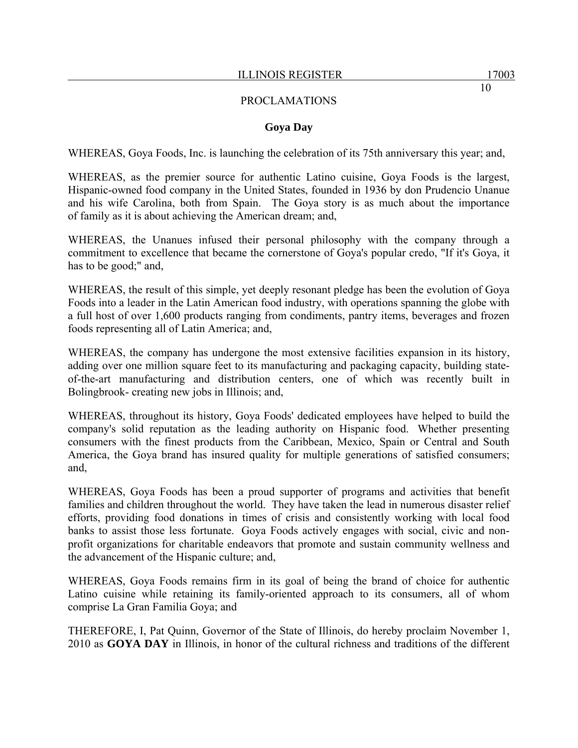#### **Goya Day**

WHEREAS, Goya Foods, Inc. is launching the celebration of its 75th anniversary this year; and,

WHEREAS, as the premier source for authentic Latino cuisine, Goya Foods is the largest, Hispanic-owned food company in the United States, founded in 1936 by don Prudencio Unanue and his wife Carolina, both from Spain. The Goya story is as much about the importance of family as it is about achieving the American dream; and,

WHEREAS, the Unanues infused their personal philosophy with the company through a commitment to excellence that became the cornerstone of Goya's popular credo, "If it's Goya, it has to be good;" and,

WHEREAS, the result of this simple, yet deeply resonant pledge has been the evolution of Goya Foods into a leader in the Latin American food industry, with operations spanning the globe with a full host of over 1,600 products ranging from condiments, pantry items, beverages and frozen foods representing all of Latin America; and,

WHEREAS, the company has undergone the most extensive facilities expansion in its history, adding over one million square feet to its manufacturing and packaging capacity, building stateof-the-art manufacturing and distribution centers, one of which was recently built in Bolingbrook- creating new jobs in Illinois; and,

WHEREAS, throughout its history, Goya Foods' dedicated employees have helped to build the company's solid reputation as the leading authority on Hispanic food. Whether presenting consumers with the finest products from the Caribbean, Mexico, Spain or Central and South America, the Goya brand has insured quality for multiple generations of satisfied consumers; and,

WHEREAS, Goya Foods has been a proud supporter of programs and activities that benefit families and children throughout the world. They have taken the lead in numerous disaster relief efforts, providing food donations in times of crisis and consistently working with local food banks to assist those less fortunate. Goya Foods actively engages with social, civic and nonprofit organizations for charitable endeavors that promote and sustain community wellness and the advancement of the Hispanic culture; and,

WHEREAS, Goya Foods remains firm in its goal of being the brand of choice for authentic Latino cuisine while retaining its family-oriented approach to its consumers, all of whom comprise La Gran Familia Goya; and

THEREFORE, I, Pat Quinn, Governor of the State of Illinois, do hereby proclaim November 1, 2010 as **GOYA DAY** in Illinois, in honor of the cultural richness and traditions of the different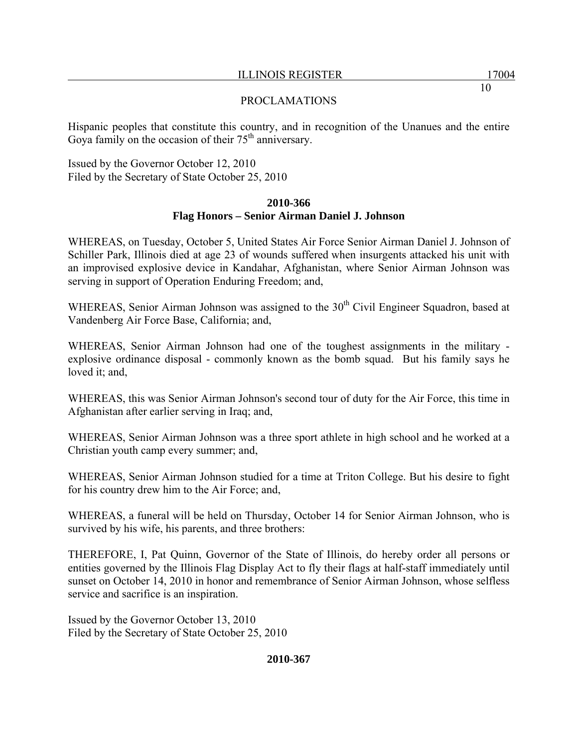Hispanic peoples that constitute this country, and in recognition of the Unanues and the entire Goya family on the occasion of their  $75<sup>th</sup>$  anniversary.

Issued by the Governor October 12, 2010 Filed by the Secretary of State October 25, 2010

# **2010-366 Flag Honors – Senior Airman Daniel J. Johnson**

WHEREAS, on Tuesday, October 5, United States Air Force Senior Airman Daniel J. Johnson of Schiller Park, Illinois died at age 23 of wounds suffered when insurgents attacked his unit with an improvised explosive device in Kandahar, Afghanistan, where Senior Airman Johnson was serving in support of Operation Enduring Freedom; and,

WHEREAS, Senior Airman Johnson was assigned to the  $30<sup>th</sup>$  Civil Engineer Squadron, based at Vandenberg Air Force Base, California; and,

WHEREAS, Senior Airman Johnson had one of the toughest assignments in the military explosive ordinance disposal - commonly known as the bomb squad. But his family says he loved it; and,

WHEREAS, this was Senior Airman Johnson's second tour of duty for the Air Force, this time in Afghanistan after earlier serving in Iraq; and,

WHEREAS, Senior Airman Johnson was a three sport athlete in high school and he worked at a Christian youth camp every summer; and,

WHEREAS, Senior Airman Johnson studied for a time at Triton College. But his desire to fight for his country drew him to the Air Force; and,

WHEREAS, a funeral will be held on Thursday, October 14 for Senior Airman Johnson, who is survived by his wife, his parents, and three brothers:

THEREFORE, I, Pat Quinn, Governor of the State of Illinois, do hereby order all persons or entities governed by the Illinois Flag Display Act to fly their flags at half-staff immediately until sunset on October 14, 2010 in honor and remembrance of Senior Airman Johnson, whose selfless service and sacrifice is an inspiration.

Issued by the Governor October 13, 2010 Filed by the Secretary of State October 25, 2010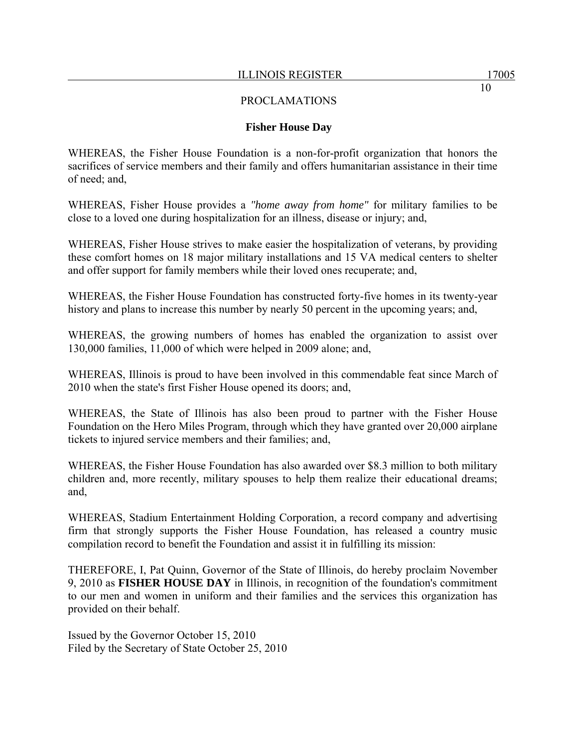#### **Fisher House Day**

WHEREAS, the Fisher House Foundation is a non-for-profit organization that honors the sacrifices of service members and their family and offers humanitarian assistance in their time of need; and,

WHEREAS, Fisher House provides a *"home away from home"* for military families to be close to a loved one during hospitalization for an illness, disease or injury; and,

WHEREAS, Fisher House strives to make easier the hospitalization of veterans, by providing these comfort homes on 18 major military installations and 15 VA medical centers to shelter and offer support for family members while their loved ones recuperate; and,

WHEREAS, the Fisher House Foundation has constructed forty-five homes in its twenty-year history and plans to increase this number by nearly 50 percent in the upcoming years; and,

WHEREAS, the growing numbers of homes has enabled the organization to assist over 130,000 families, 11,000 of which were helped in 2009 alone; and,

WHEREAS, Illinois is proud to have been involved in this commendable feat since March of 2010 when the state's first Fisher House opened its doors; and,

WHEREAS, the State of Illinois has also been proud to partner with the Fisher House Foundation on the Hero Miles Program, through which they have granted over 20,000 airplane tickets to injured service members and their families; and,

WHEREAS, the Fisher House Foundation has also awarded over \$8.3 million to both military children and, more recently, military spouses to help them realize their educational dreams; and,

WHEREAS, Stadium Entertainment Holding Corporation, a record company and advertising firm that strongly supports the Fisher House Foundation, has released a country music compilation record to benefit the Foundation and assist it in fulfilling its mission:

THEREFORE, I, Pat Quinn, Governor of the State of Illinois, do hereby proclaim November 9, 2010 as **FISHER HOUSE DAY** in Illinois, in recognition of the foundation's commitment to our men and women in uniform and their families and the services this organization has provided on their behalf.

Issued by the Governor October 15, 2010 Filed by the Secretary of State October 25, 2010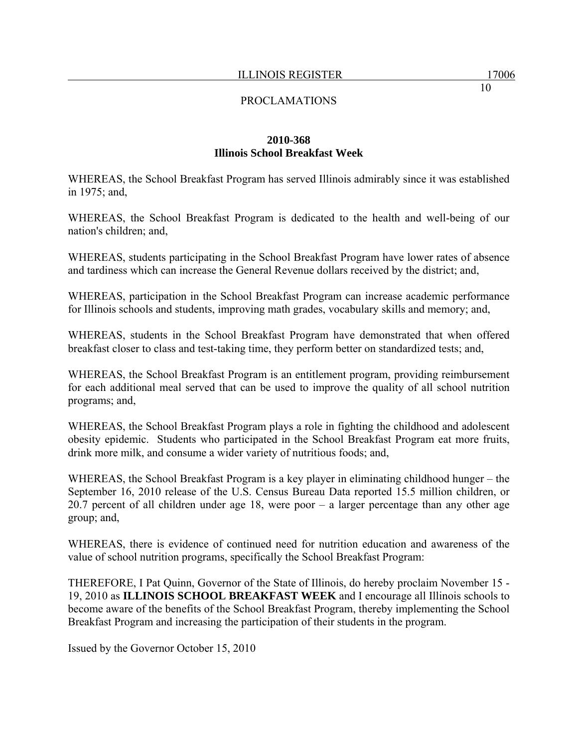## **2010-368 Illinois School Breakfast Week**

WHEREAS, the School Breakfast Program has served Illinois admirably since it was established in 1975; and,

WHEREAS, the School Breakfast Program is dedicated to the health and well-being of our nation's children; and,

WHEREAS, students participating in the School Breakfast Program have lower rates of absence and tardiness which can increase the General Revenue dollars received by the district; and,

WHEREAS, participation in the School Breakfast Program can increase academic performance for Illinois schools and students, improving math grades, vocabulary skills and memory; and,

WHEREAS, students in the School Breakfast Program have demonstrated that when offered breakfast closer to class and test-taking time, they perform better on standardized tests; and,

WHEREAS, the School Breakfast Program is an entitlement program, providing reimbursement for each additional meal served that can be used to improve the quality of all school nutrition programs; and,

WHEREAS, the School Breakfast Program plays a role in fighting the childhood and adolescent obesity epidemic. Students who participated in the School Breakfast Program eat more fruits, drink more milk, and consume a wider variety of nutritious foods; and,

WHEREAS, the School Breakfast Program is a key player in eliminating childhood hunger – the September 16, 2010 release of the U.S. Census Bureau Data reported 15.5 million children, or 20.7 percent of all children under age 18, were poor – a larger percentage than any other age group; and,

WHEREAS, there is evidence of continued need for nutrition education and awareness of the value of school nutrition programs, specifically the School Breakfast Program:

THEREFORE, I Pat Quinn, Governor of the State of Illinois, do hereby proclaim November 15 - 19, 2010 as **ILLINOIS SCHOOL BREAKFAST WEEK** and I encourage all Illinois schools to become aware of the benefits of the School Breakfast Program, thereby implementing the School Breakfast Program and increasing the participation of their students in the program.

Issued by the Governor October 15, 2010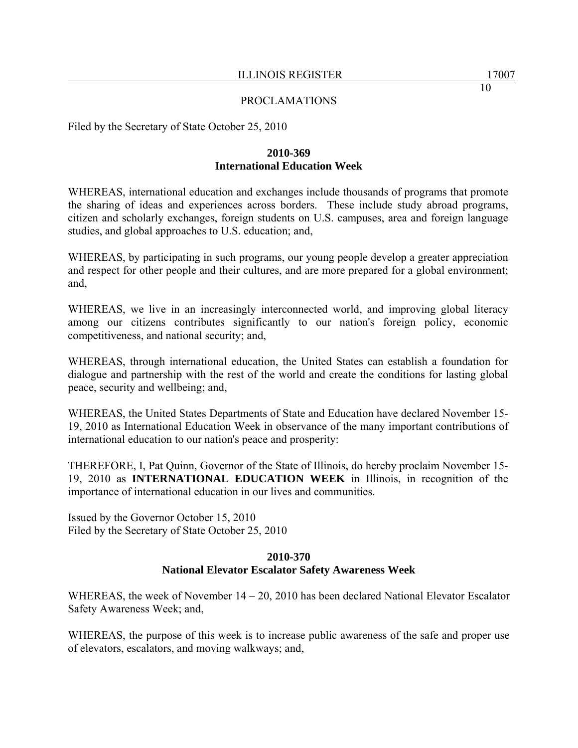Filed by the Secretary of State October 25, 2010

# **2010-369 International Education Week**

WHEREAS, international education and exchanges include thousands of programs that promote the sharing of ideas and experiences across borders. These include study abroad programs, citizen and scholarly exchanges, foreign students on U.S. campuses, area and foreign language studies, and global approaches to U.S. education; and,

WHEREAS, by participating in such programs, our young people develop a greater appreciation and respect for other people and their cultures, and are more prepared for a global environment; and,

WHEREAS, we live in an increasingly interconnected world, and improving global literacy among our citizens contributes significantly to our nation's foreign policy, economic competitiveness, and national security; and,

WHEREAS, through international education, the United States can establish a foundation for dialogue and partnership with the rest of the world and create the conditions for lasting global peace, security and wellbeing; and,

WHEREAS, the United States Departments of State and Education have declared November 15- 19, 2010 as International Education Week in observance of the many important contributions of international education to our nation's peace and prosperity:

THEREFORE, I, Pat Quinn, Governor of the State of Illinois, do hereby proclaim November 15- 19, 2010 as **INTERNATIONAL EDUCATION WEEK** in Illinois, in recognition of the importance of international education in our lives and communities.

Issued by the Governor October 15, 2010 Filed by the Secretary of State October 25, 2010

# **2010-370 National Elevator Escalator Safety Awareness Week**

WHEREAS, the week of November 14 – 20, 2010 has been declared National Elevator Escalator Safety Awareness Week; and,

WHEREAS, the purpose of this week is to increase public awareness of the safe and proper use of elevators, escalators, and moving walkways; and,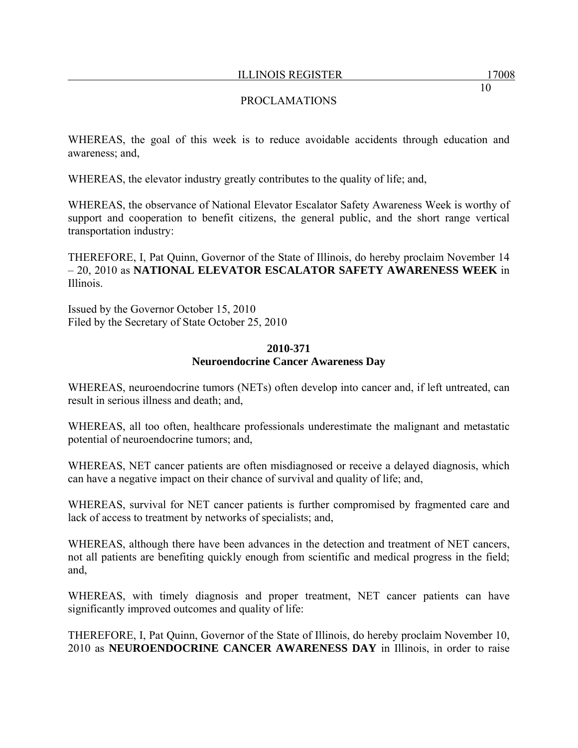# PROCLAMATIONS

WHEREAS, the goal of this week is to reduce avoidable accidents through education and awareness; and,

WHEREAS, the elevator industry greatly contributes to the quality of life; and,

WHEREAS, the observance of National Elevator Escalator Safety Awareness Week is worthy of support and cooperation to benefit citizens, the general public, and the short range vertical transportation industry:

THEREFORE, I, Pat Quinn, Governor of the State of Illinois, do hereby proclaim November 14 – 20, 2010 as **NATIONAL ELEVATOR ESCALATOR SAFETY AWARENESS WEEK** in Illinois.

Issued by the Governor October 15, 2010 Filed by the Secretary of State October 25, 2010

#### **2010-371 Neuroendocrine Cancer Awareness Day**

WHEREAS, neuroendocrine tumors (NETs) often develop into cancer and, if left untreated, can result in serious illness and death; and,

WHEREAS, all too often, healthcare professionals underestimate the malignant and metastatic potential of neuroendocrine tumors; and,

WHEREAS, NET cancer patients are often misdiagnosed or receive a delayed diagnosis, which can have a negative impact on their chance of survival and quality of life; and,

WHEREAS, survival for NET cancer patients is further compromised by fragmented care and lack of access to treatment by networks of specialists; and,

WHEREAS, although there have been advances in the detection and treatment of NET cancers, not all patients are benefiting quickly enough from scientific and medical progress in the field; and,

WHEREAS, with timely diagnosis and proper treatment, NET cancer patients can have significantly improved outcomes and quality of life:

THEREFORE, I, Pat Quinn, Governor of the State of Illinois, do hereby proclaim November 10, 2010 as **NEUROENDOCRINE CANCER AWARENESS DAY** in Illinois, in order to raise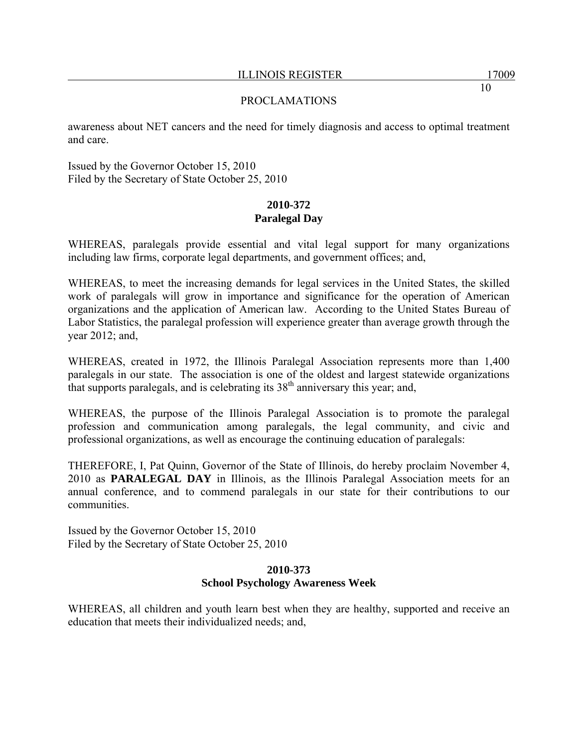awareness about NET cancers and the need for timely diagnosis and access to optimal treatment and care.

Issued by the Governor October 15, 2010 Filed by the Secretary of State October 25, 2010

# **2010-372 Paralegal Day**

WHEREAS, paralegals provide essential and vital legal support for many organizations including law firms, corporate legal departments, and government offices; and,

WHEREAS, to meet the increasing demands for legal services in the United States, the skilled work of paralegals will grow in importance and significance for the operation of American organizations and the application of American law. According to the United States Bureau of Labor Statistics, the paralegal profession will experience greater than average growth through the year 2012; and,

WHEREAS, created in 1972, the Illinois Paralegal Association represents more than 1,400 paralegals in our state. The association is one of the oldest and largest statewide organizations that supports paralegals, and is celebrating its  $38<sup>th</sup>$  anniversary this year; and,

WHEREAS, the purpose of the Illinois Paralegal Association is to promote the paralegal profession and communication among paralegals, the legal community, and civic and professional organizations, as well as encourage the continuing education of paralegals:

THEREFORE, I, Pat Quinn, Governor of the State of Illinois, do hereby proclaim November 4, 2010 as **PARALEGAL DAY** in Illinois, as the Illinois Paralegal Association meets for an annual conference, and to commend paralegals in our state for their contributions to our communities.

Issued by the Governor October 15, 2010 Filed by the Secretary of State October 25, 2010

## **2010-373 School Psychology Awareness Week**

WHEREAS, all children and youth learn best when they are healthy, supported and receive an education that meets their individualized needs; and,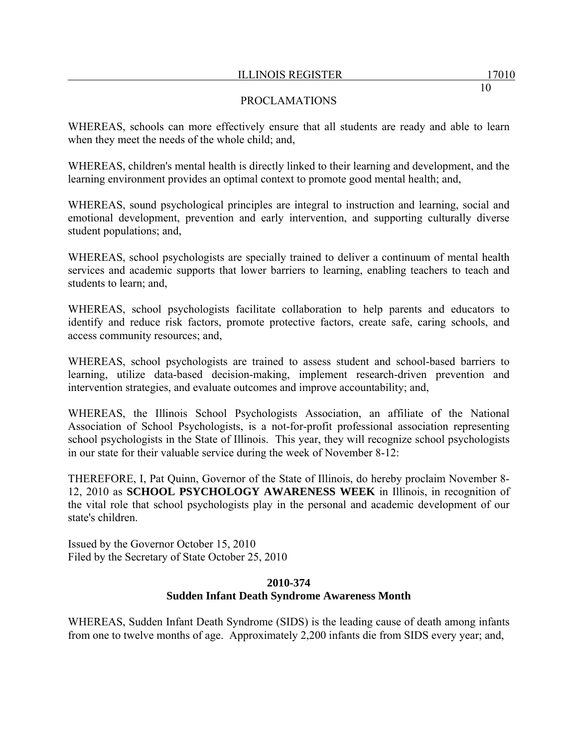# PROCLAMATIONS

WHEREAS, schools can more effectively ensure that all students are ready and able to learn when they meet the needs of the whole child; and,

WHEREAS, children's mental health is directly linked to their learning and development, and the learning environment provides an optimal context to promote good mental health; and,

WHEREAS, sound psychological principles are integral to instruction and learning, social and emotional development, prevention and early intervention, and supporting culturally diverse student populations; and,

WHEREAS, school psychologists are specially trained to deliver a continuum of mental health services and academic supports that lower barriers to learning, enabling teachers to teach and students to learn; and,

WHEREAS, school psychologists facilitate collaboration to help parents and educators to identify and reduce risk factors, promote protective factors, create safe, caring schools, and access community resources; and,

WHEREAS, school psychologists are trained to assess student and school-based barriers to learning, utilize data-based decision-making, implement research-driven prevention and intervention strategies, and evaluate outcomes and improve accountability; and,

WHEREAS, the Illinois School Psychologists Association, an affiliate of the National Association of School Psychologists, is a not-for-profit professional association representing school psychologists in the State of Illinois. This year, they will recognize school psychologists in our state for their valuable service during the week of November 8-12:

THEREFORE, I, Pat Quinn, Governor of the State of Illinois, do hereby proclaim November 8- 12, 2010 as **SCHOOL PSYCHOLOGY AWARENESS WEEK** in Illinois, in recognition of the vital role that school psychologists play in the personal and academic development of our state's children.

Issued by the Governor October 15, 2010 Filed by the Secretary of State October 25, 2010

# **2010-374 Sudden Infant Death Syndrome Awareness Month**

WHEREAS, Sudden Infant Death Syndrome (SIDS) is the leading cause of death among infants from one to twelve months of age. Approximately 2,200 infants die from SIDS every year; and,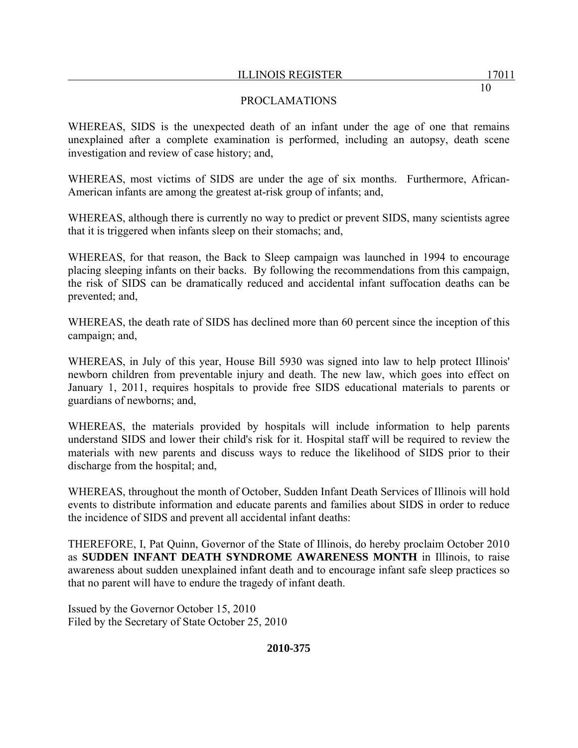# PROCLAMATIONS

WHEREAS, SIDS is the unexpected death of an infant under the age of one that remains unexplained after a complete examination is performed, including an autopsy, death scene investigation and review of case history; and,

WHEREAS, most victims of SIDS are under the age of six months. Furthermore, African-American infants are among the greatest at-risk group of infants; and,

WHEREAS, although there is currently no way to predict or prevent SIDS, many scientists agree that it is triggered when infants sleep on their stomachs; and,

WHEREAS, for that reason, the Back to Sleep campaign was launched in 1994 to encourage placing sleeping infants on their backs. By following the recommendations from this campaign, the risk of SIDS can be dramatically reduced and accidental infant suffocation deaths can be prevented; and,

WHEREAS, the death rate of SIDS has declined more than 60 percent since the inception of this campaign; and,

WHEREAS, in July of this year, House Bill 5930 was signed into law to help protect Illinois' newborn children from preventable injury and death. The new law, which goes into effect on January 1, 2011, requires hospitals to provide free SIDS educational materials to parents or guardians of newborns; and,

WHEREAS, the materials provided by hospitals will include information to help parents understand SIDS and lower their child's risk for it. Hospital staff will be required to review the materials with new parents and discuss ways to reduce the likelihood of SIDS prior to their discharge from the hospital; and,

WHEREAS, throughout the month of October, Sudden Infant Death Services of Illinois will hold events to distribute information and educate parents and families about SIDS in order to reduce the incidence of SIDS and prevent all accidental infant deaths:

THEREFORE, I, Pat Quinn, Governor of the State of Illinois, do hereby proclaim October 2010 as **SUDDEN INFANT DEATH SYNDROME AWARENESS MONTH** in Illinois, to raise awareness about sudden unexplained infant death and to encourage infant safe sleep practices so that no parent will have to endure the tragedy of infant death.

Issued by the Governor October 15, 2010 Filed by the Secretary of State October 25, 2010

**2010-375**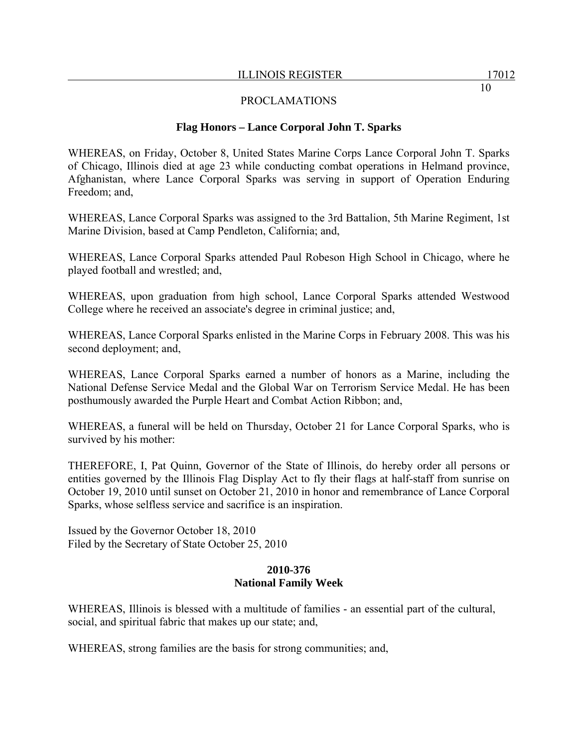## **Flag Honors – Lance Corporal John T. Sparks**

WHEREAS, on Friday, October 8, United States Marine Corps Lance Corporal John T. Sparks of Chicago, Illinois died at age 23 while conducting combat operations in Helmand province, Afghanistan, where Lance Corporal Sparks was serving in support of Operation Enduring Freedom; and,

WHEREAS, Lance Corporal Sparks was assigned to the 3rd Battalion, 5th Marine Regiment, 1st Marine Division, based at Camp Pendleton, California; and,

WHEREAS, Lance Corporal Sparks attended Paul Robeson High School in Chicago, where he played football and wrestled; and,

WHEREAS, upon graduation from high school, Lance Corporal Sparks attended Westwood College where he received an associate's degree in criminal justice; and,

WHEREAS, Lance Corporal Sparks enlisted in the Marine Corps in February 2008. This was his second deployment; and,

WHEREAS, Lance Corporal Sparks earned a number of honors as a Marine, including the National Defense Service Medal and the Global War on Terrorism Service Medal. He has been posthumously awarded the Purple Heart and Combat Action Ribbon; and,

WHEREAS, a funeral will be held on Thursday, October 21 for Lance Corporal Sparks, who is survived by his mother:

THEREFORE, I, Pat Quinn, Governor of the State of Illinois, do hereby order all persons or entities governed by the Illinois Flag Display Act to fly their flags at half-staff from sunrise on October 19, 2010 until sunset on October 21, 2010 in honor and remembrance of Lance Corporal Sparks, whose selfless service and sacrifice is an inspiration.

Issued by the Governor October 18, 2010 Filed by the Secretary of State October 25, 2010

#### **2010-376 National Family Week**

WHEREAS, Illinois is blessed with a multitude of families - an essential part of the cultural, social, and spiritual fabric that makes up our state; and,

WHEREAS, strong families are the basis for strong communities; and,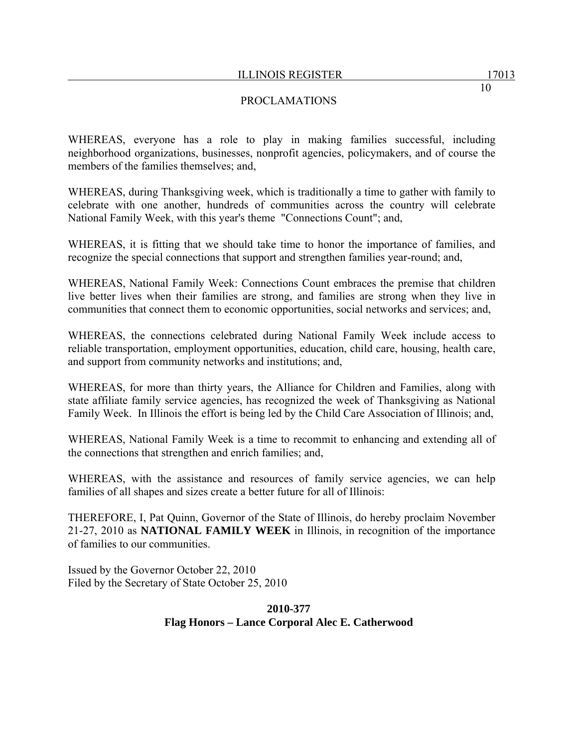# PROCLAMATIONS

WHEREAS, everyone has a role to play in making families successful, including neighborhood organizations, businesses, nonprofit agencies, policymakers, and of course the members of the families themselves; and,

WHEREAS, during Thanksgiving week, which is traditionally a time to gather with family to celebrate with one another, hundreds of communities across the country will celebrate National Family Week, with this year's theme "Connections Count"; and,

WHEREAS, it is fitting that we should take time to honor the importance of families, and recognize the special connections that support and strengthen families year-round; and,

WHEREAS, National Family Week: Connections Count embraces the premise that children live better lives when their families are strong, and families are strong when they live in communities that connect them to economic opportunities, social networks and services; and,

WHEREAS, the connections celebrated during National Family Week include access to reliable transportation, employment opportunities, education, child care, housing, health care, and support from community networks and institutions; and,

WHEREAS, for more than thirty years, the Alliance for Children and Families, along with state affiliate family service agencies, has recognized the week of Thanksgiving as National Family Week. In Illinois the effort is being led by the Child Care Association of Illinois; and,

WHEREAS, National Family Week is a time to recommit to enhancing and extending all of the connections that strengthen and enrich families; and,

WHEREAS, with the assistance and resources of family service agencies, we can help families of all shapes and sizes create a better future for all of Illinois:

THEREFORE, I, Pat Quinn, Governor of the State of Illinois, do hereby proclaim November 21-27, 2010 as **NATIONAL FAMILY WEEK** in Illinois, in recognition of the importance of families to our communities.

Issued by the Governor October 22, 2010 Filed by the Secretary of State October 25, 2010

# **2010-377 Flag Honors – Lance Corporal Alec E. Catherwood**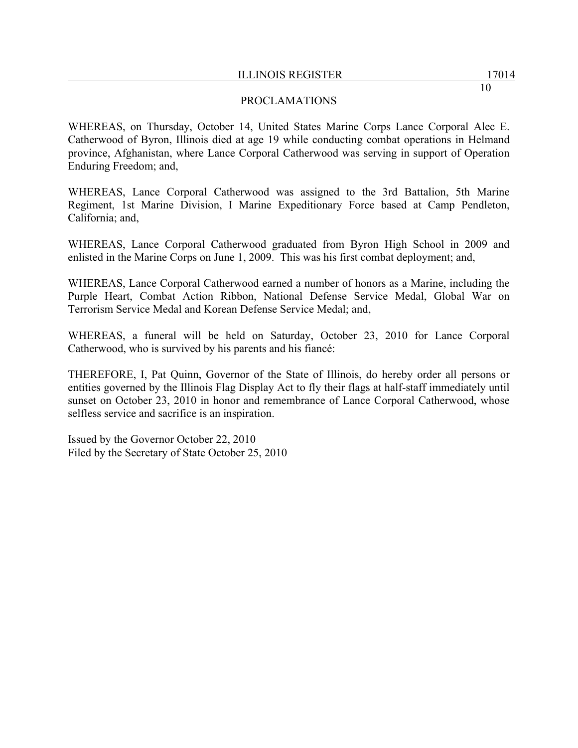## PROCLAMATIONS

WHEREAS, on Thursday, October 14, United States Marine Corps Lance Corporal Alec E. Catherwood of Byron, Illinois died at age 19 while conducting combat operations in Helmand province, Afghanistan, where Lance Corporal Catherwood was serving in support of Operation Enduring Freedom; and,

WHEREAS, Lance Corporal Catherwood was assigned to the 3rd Battalion, 5th Marine Regiment, 1st Marine Division, I Marine Expeditionary Force based at Camp Pendleton, California; and,

WHEREAS, Lance Corporal Catherwood graduated from Byron High School in 2009 and enlisted in the Marine Corps on June 1, 2009. This was his first combat deployment; and,

WHEREAS, Lance Corporal Catherwood earned a number of honors as a Marine, including the Purple Heart, Combat Action Ribbon, National Defense Service Medal, Global War on Terrorism Service Medal and Korean Defense Service Medal; and,

WHEREAS, a funeral will be held on Saturday, October 23, 2010 for Lance Corporal Catherwood, who is survived by his parents and his fiancé:

THEREFORE, I, Pat Quinn, Governor of the State of Illinois, do hereby order all persons or entities governed by the Illinois Flag Display Act to fly their flags at half-staff immediately until sunset on October 23, 2010 in honor and remembrance of Lance Corporal Catherwood, whose selfless service and sacrifice is an inspiration.

Issued by the Governor October 22, 2010 Filed by the Secretary of State October 25, 2010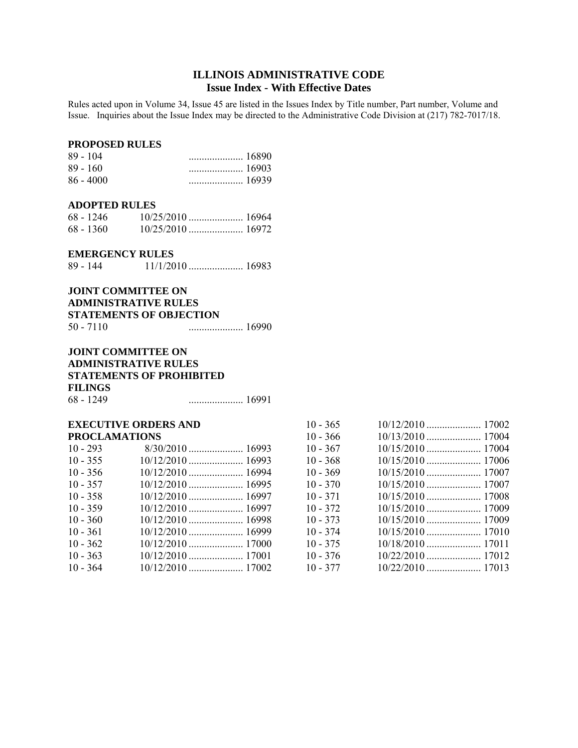# **ILLINOIS ADMINISTRATIVE CODE Issue Index - With Effective Dates**

Rules acted upon in Volume 34, Issue 45 are listed in the Issues Index by Title number, Part number, Volume and Issue. Inquiries about the Issue Index may be directed to the Administrative Code Division at (217) 782-7017/18.

#### **PROPOSED RULES**

| $89 - 104$  | $\ldots$ 16890 |
|-------------|----------------|
| $89 - 160$  |                |
| $86 - 4000$ |                |

#### **ADOPTED RULES**

| 68 - 1246   |  |
|-------------|--|
| $68 - 1360$ |  |

#### **EMERGENCY RULES**

| 89 - 144 |  |
|----------|--|
|          |  |

#### **JOINT COMMITTEE ON ADMINISTRATIVE RULES**

#### **STATEMENTS OF OBJECTION**

| 50 - 7110 |  |
|-----------|--|
|           |  |

#### **JOINT COMMITTEE ON ADMINISTRATIVE RULES STATEMENTS OF PROHIBITED FILINGS** 68 - 1249 ..................... 16991

#### **EXECUTIVE ORDERS AND PROCLAMATIONS**

| $10 - 293$ |  |
|------------|--|
| $10 - 355$ |  |
| $10 - 356$ |  |
| $10 - 357$ |  |
| $10 - 358$ |  |
| $10 - 359$ |  |
| $10 - 360$ |  |
| $10 - 361$ |  |
| $10 - 362$ |  |
| $10 - 363$ |  |
| $10 - 364$ |  |

| $10 - 365$ |  |
|------------|--|
| $10 - 366$ |  |
| $10 - 367$ |  |
| $10 - 368$ |  |
| $10 - 369$ |  |
| $10 - 370$ |  |
| $10 - 371$ |  |
| $10 - 372$ |  |
| $10 - 373$ |  |
| $10 - 374$ |  |
| $10 - 375$ |  |
| $10 - 376$ |  |
| $10 - 377$ |  |